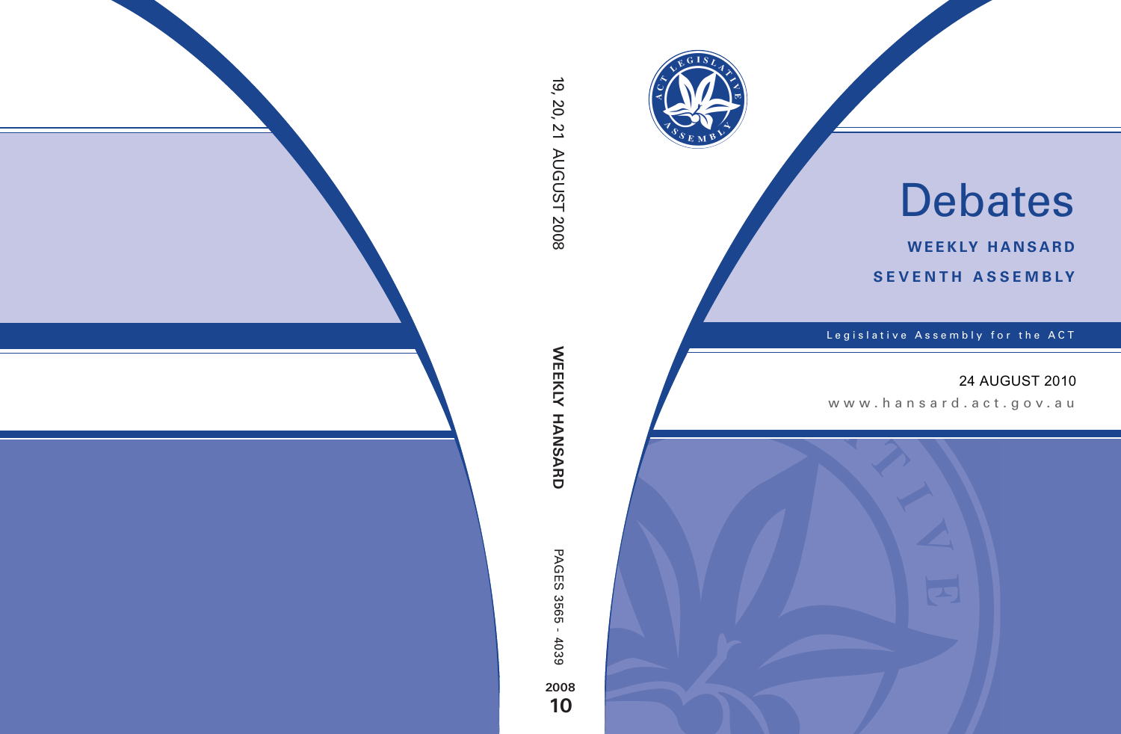

# Debates

**weekly hansard seventh asseMBly**

Legislative Assembly for the ACT

# 24 AUGUST 2010

www .hansard.act.go v.au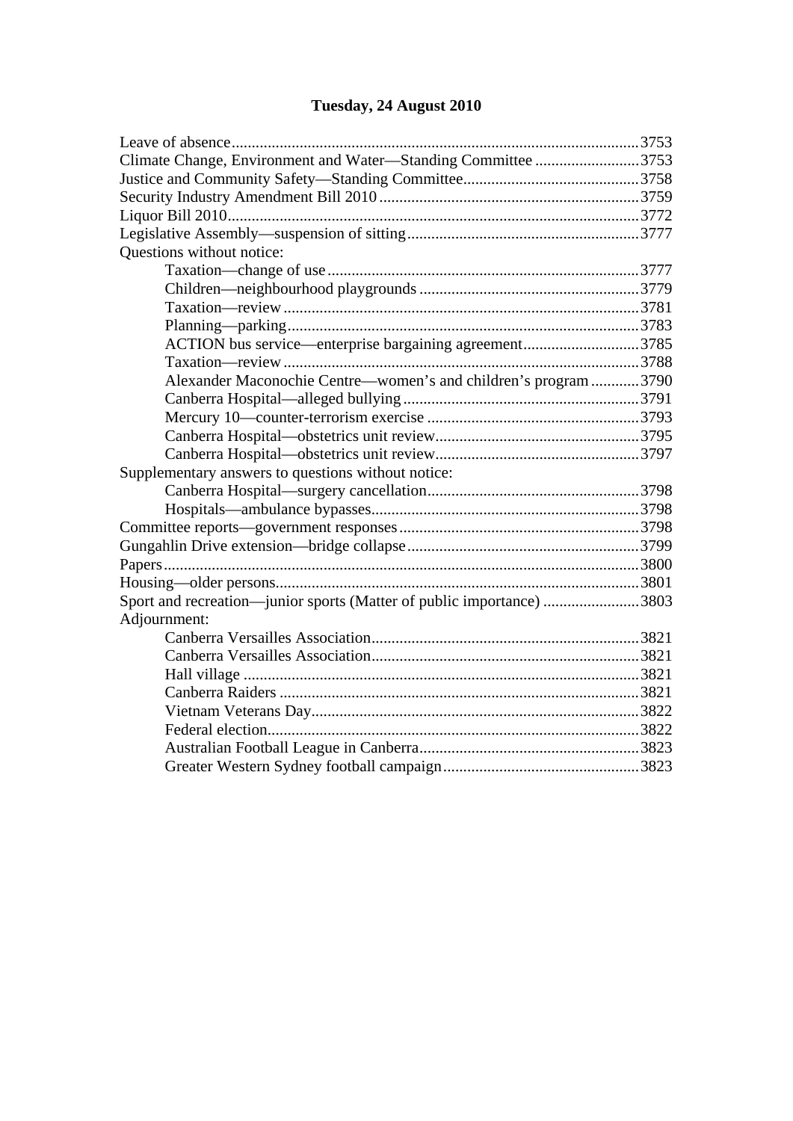# **[Tuesday, 24 August 2010](#page-2-0)**

| Climate Change, Environment and Water-Standing Committee 3753         |  |
|-----------------------------------------------------------------------|--|
|                                                                       |  |
|                                                                       |  |
|                                                                       |  |
|                                                                       |  |
| Questions without notice:                                             |  |
|                                                                       |  |
|                                                                       |  |
|                                                                       |  |
|                                                                       |  |
| ACTION bus service—enterprise bargaining agreement3785                |  |
|                                                                       |  |
| Alexander Maconochie Centre—women's and children's program 3790       |  |
|                                                                       |  |
|                                                                       |  |
|                                                                       |  |
|                                                                       |  |
| Supplementary answers to questions without notice:                    |  |
|                                                                       |  |
|                                                                       |  |
|                                                                       |  |
|                                                                       |  |
|                                                                       |  |
|                                                                       |  |
| Sport and recreation—junior sports (Matter of public importance) 3803 |  |
| Adjournment:                                                          |  |
|                                                                       |  |
|                                                                       |  |
|                                                                       |  |
|                                                                       |  |
|                                                                       |  |
|                                                                       |  |
|                                                                       |  |
|                                                                       |  |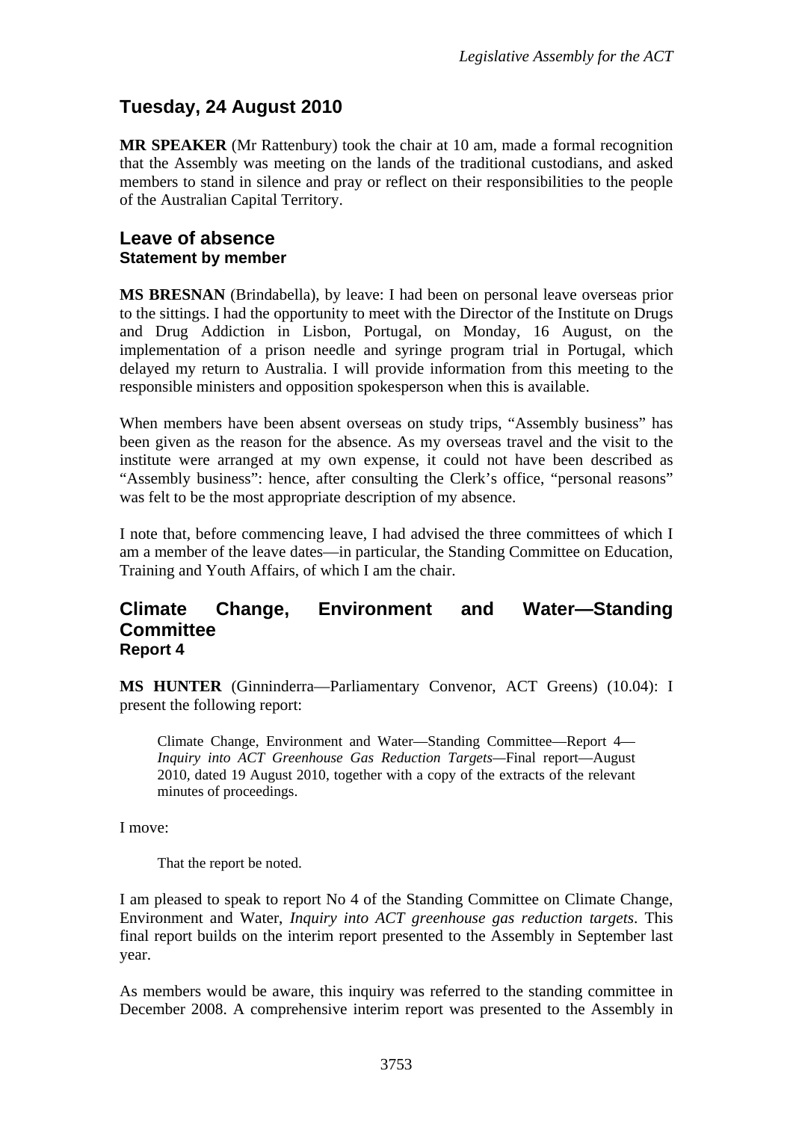# <span id="page-2-0"></span>**Tuesday, 24 August 2010**

**MR SPEAKER** (Mr Rattenbury) took the chair at 10 am, made a formal recognition that the Assembly was meeting on the lands of the traditional custodians, and asked members to stand in silence and pray or reflect on their responsibilities to the people of the Australian Capital Territory.

## <span id="page-2-1"></span>**Leave of absence Statement by member**

**MS BRESNAN** (Brindabella), by leave: I had been on personal leave overseas prior to the sittings. I had the opportunity to meet with the Director of the Institute on Drugs and Drug Addiction in Lisbon, Portugal, on Monday, 16 August, on the implementation of a prison needle and syringe program trial in Portugal, which delayed my return to Australia. I will provide information from this meeting to the responsible ministers and opposition spokesperson when this is available.

When members have been absent overseas on study trips, "Assembly business" has been given as the reason for the absence. As my overseas travel and the visit to the institute were arranged at my own expense, it could not have been described as "Assembly business": hence, after consulting the Clerk's office, "personal reasons" was felt to be the most appropriate description of my absence.

I note that, before commencing leave, I had advised the three committees of which I am a member of the leave dates—in particular, the Standing Committee on Education, Training and Youth Affairs, of which I am the chair.

## <span id="page-2-2"></span>**Climate Change, Environment and Water—Standing Committee Report 4**

**MS HUNTER** (Ginninderra—Parliamentary Convenor, ACT Greens) (10.04): I present the following report:

Climate Change, Environment and Water—Standing Committee—Report 4— *Inquiry into ACT Greenhouse Gas Reduction Targets—*Final report—August 2010*,* dated 19 August 2010, together with a copy of the extracts of the relevant minutes of proceedings.

I move:

That the report be noted.

I am pleased to speak to report No 4 of the Standing Committee on Climate Change, Environment and Water, *Inquiry into ACT greenhouse gas reduction targets*. This final report builds on the interim report presented to the Assembly in September last year.

As members would be aware, this inquiry was referred to the standing committee in December 2008. A comprehensive interim report was presented to the Assembly in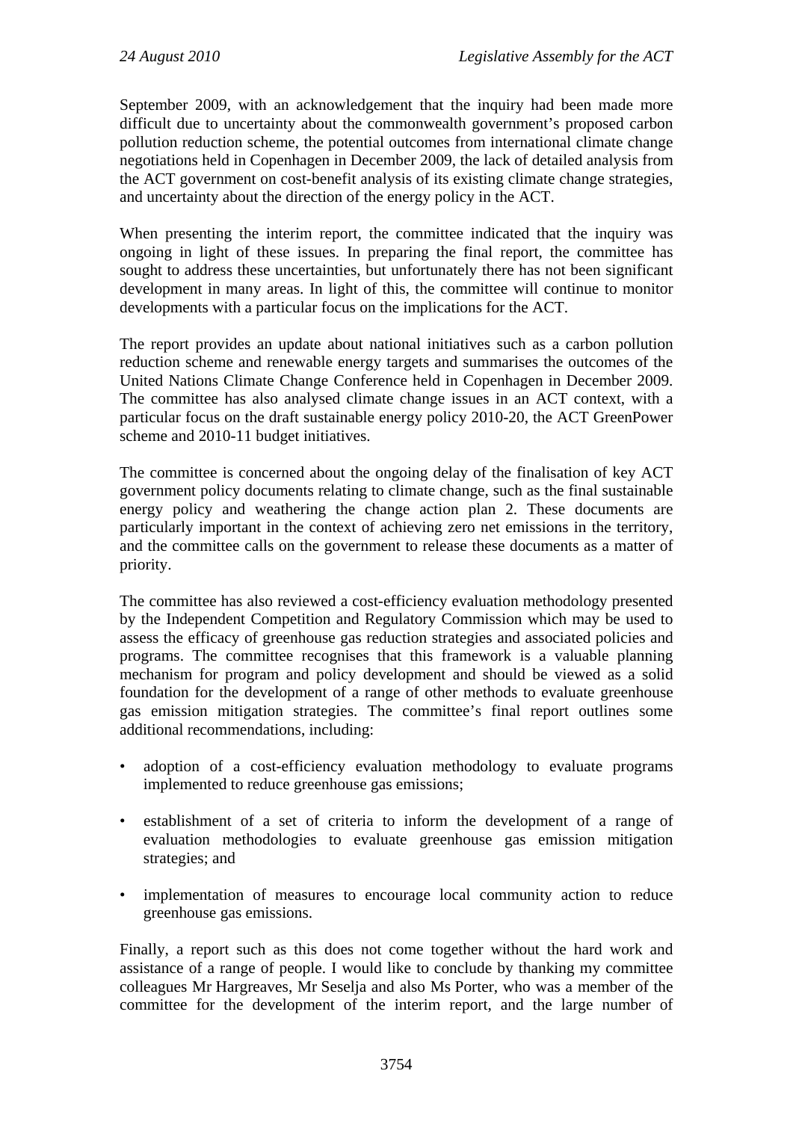September 2009, with an acknowledgement that the inquiry had been made more difficult due to uncertainty about the commonwealth government's proposed carbon pollution reduction scheme, the potential outcomes from international climate change negotiations held in Copenhagen in December 2009, the lack of detailed analysis from the ACT government on cost-benefit analysis of its existing climate change strategies, and uncertainty about the direction of the energy policy in the ACT.

When presenting the interim report, the committee indicated that the inquiry was ongoing in light of these issues. In preparing the final report, the committee has sought to address these uncertainties, but unfortunately there has not been significant development in many areas. In light of this, the committee will continue to monitor developments with a particular focus on the implications for the ACT.

The report provides an update about national initiatives such as a carbon pollution reduction scheme and renewable energy targets and summarises the outcomes of the United Nations Climate Change Conference held in Copenhagen in December 2009. The committee has also analysed climate change issues in an ACT context, with a particular focus on the draft sustainable energy policy 2010-20, the ACT GreenPower scheme and 2010-11 budget initiatives.

The committee is concerned about the ongoing delay of the finalisation of key ACT government policy documents relating to climate change, such as the final sustainable energy policy and weathering the change action plan 2. These documents are particularly important in the context of achieving zero net emissions in the territory, and the committee calls on the government to release these documents as a matter of priority.

The committee has also reviewed a cost-efficiency evaluation methodology presented by the Independent Competition and Regulatory Commission which may be used to assess the efficacy of greenhouse gas reduction strategies and associated policies and programs. The committee recognises that this framework is a valuable planning mechanism for program and policy development and should be viewed as a solid foundation for the development of a range of other methods to evaluate greenhouse gas emission mitigation strategies. The committee's final report outlines some additional recommendations, including:

- adoption of a cost-efficiency evaluation methodology to evaluate programs implemented to reduce greenhouse gas emissions;
- establishment of a set of criteria to inform the development of a range of evaluation methodologies to evaluate greenhouse gas emission mitigation strategies; and
- implementation of measures to encourage local community action to reduce greenhouse gas emissions.

Finally, a report such as this does not come together without the hard work and assistance of a range of people. I would like to conclude by thanking my committee colleagues Mr Hargreaves, Mr Seselja and also Ms Porter, who was a member of the committee for the development of the interim report, and the large number of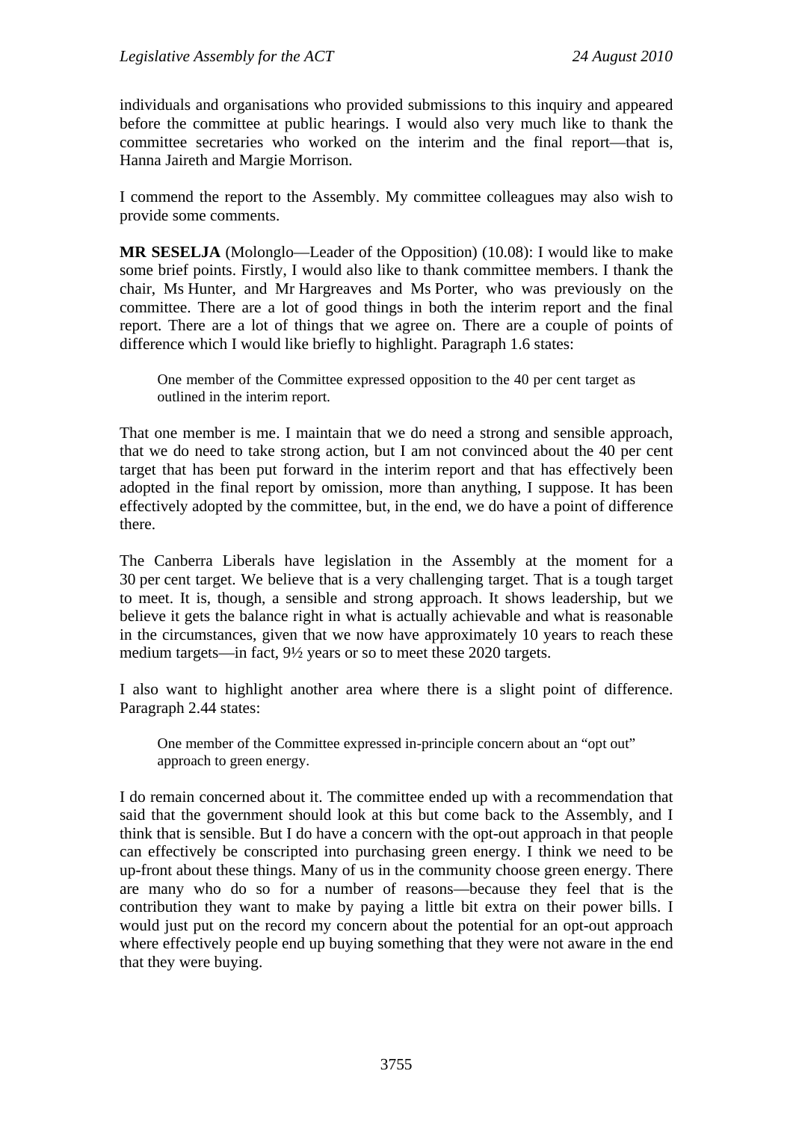individuals and organisations who provided submissions to this inquiry and appeared before the committee at public hearings. I would also very much like to thank the committee secretaries who worked on the interim and the final report—that is, Hanna Jaireth and Margie Morrison.

I commend the report to the Assembly. My committee colleagues may also wish to provide some comments.

**MR SESELJA** (Molonglo—Leader of the Opposition) (10.08): I would like to make some brief points. Firstly, I would also like to thank committee members. I thank the chair, Ms Hunter, and Mr Hargreaves and Ms Porter, who was previously on the committee. There are a lot of good things in both the interim report and the final report. There are a lot of things that we agree on. There are a couple of points of difference which I would like briefly to highlight. Paragraph 1.6 states:

One member of the Committee expressed opposition to the 40 per cent target as outlined in the interim report.

That one member is me. I maintain that we do need a strong and sensible approach, that we do need to take strong action, but I am not convinced about the 40 per cent target that has been put forward in the interim report and that has effectively been adopted in the final report by omission, more than anything, I suppose. It has been effectively adopted by the committee, but, in the end, we do have a point of difference there.

The Canberra Liberals have legislation in the Assembly at the moment for a 30 per cent target. We believe that is a very challenging target. That is a tough target to meet. It is, though, a sensible and strong approach. It shows leadership, but we believe it gets the balance right in what is actually achievable and what is reasonable in the circumstances, given that we now have approximately 10 years to reach these medium targets—in fact, 9½ years or so to meet these 2020 targets.

I also want to highlight another area where there is a slight point of difference. Paragraph 2.44 states:

One member of the Committee expressed in-principle concern about an "opt out" approach to green energy.

I do remain concerned about it. The committee ended up with a recommendation that said that the government should look at this but come back to the Assembly, and I think that is sensible. But I do have a concern with the opt-out approach in that people can effectively be conscripted into purchasing green energy. I think we need to be up-front about these things. Many of us in the community choose green energy. There are many who do so for a number of reasons—because they feel that is the contribution they want to make by paying a little bit extra on their power bills. I would just put on the record my concern about the potential for an opt-out approach where effectively people end up buying something that they were not aware in the end that they were buying.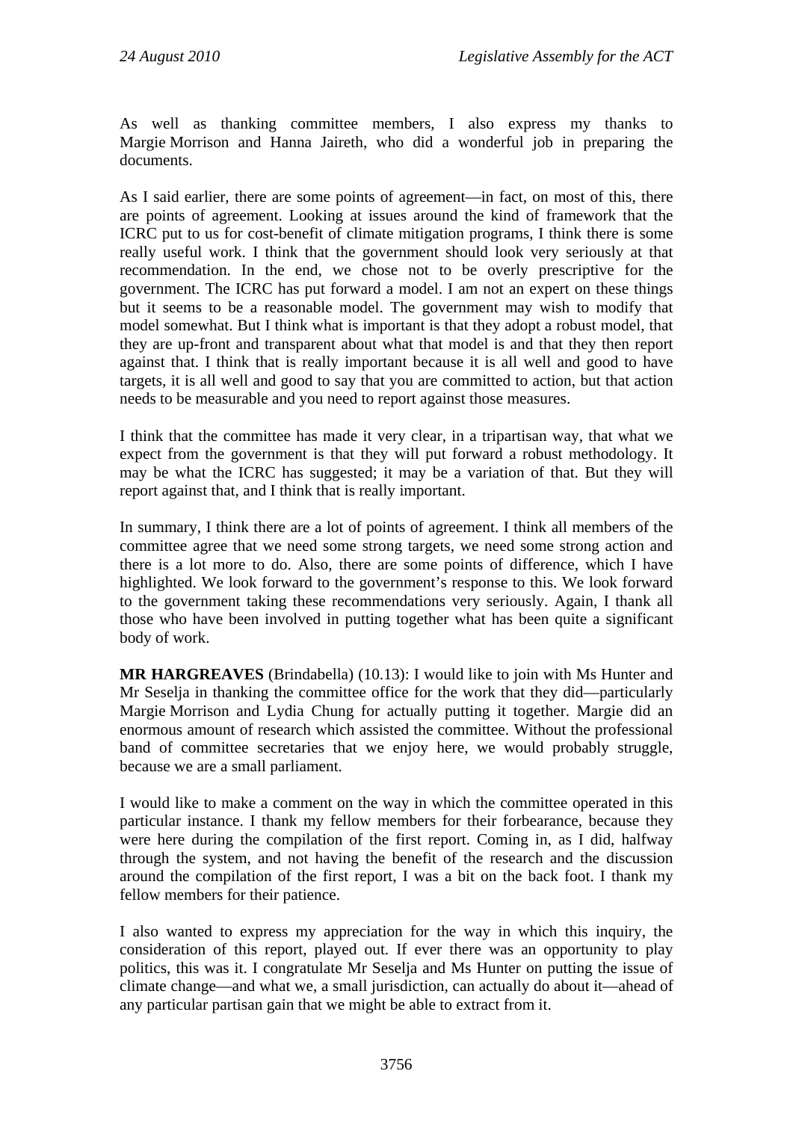As well as thanking committee members, I also express my thanks to Margie Morrison and Hanna Jaireth, who did a wonderful job in preparing the documents.

As I said earlier, there are some points of agreement—in fact, on most of this, there are points of agreement. Looking at issues around the kind of framework that the ICRC put to us for cost-benefit of climate mitigation programs, I think there is some really useful work. I think that the government should look very seriously at that recommendation. In the end, we chose not to be overly prescriptive for the government. The ICRC has put forward a model. I am not an expert on these things but it seems to be a reasonable model. The government may wish to modify that model somewhat. But I think what is important is that they adopt a robust model, that they are up-front and transparent about what that model is and that they then report against that. I think that is really important because it is all well and good to have targets, it is all well and good to say that you are committed to action, but that action needs to be measurable and you need to report against those measures.

I think that the committee has made it very clear, in a tripartisan way, that what we expect from the government is that they will put forward a robust methodology. It may be what the ICRC has suggested; it may be a variation of that. But they will report against that, and I think that is really important.

In summary, I think there are a lot of points of agreement. I think all members of the committee agree that we need some strong targets, we need some strong action and there is a lot more to do. Also, there are some points of difference, which I have highlighted. We look forward to the government's response to this. We look forward to the government taking these recommendations very seriously. Again, I thank all those who have been involved in putting together what has been quite a significant body of work.

**MR HARGREAVES** (Brindabella) (10.13): I would like to join with Ms Hunter and Mr Seselja in thanking the committee office for the work that they did—particularly Margie Morrison and Lydia Chung for actually putting it together. Margie did an enormous amount of research which assisted the committee. Without the professional band of committee secretaries that we enjoy here, we would probably struggle, because we are a small parliament.

I would like to make a comment on the way in which the committee operated in this particular instance. I thank my fellow members for their forbearance, because they were here during the compilation of the first report. Coming in, as I did, halfway through the system, and not having the benefit of the research and the discussion around the compilation of the first report, I was a bit on the back foot. I thank my fellow members for their patience.

I also wanted to express my appreciation for the way in which this inquiry, the consideration of this report, played out. If ever there was an opportunity to play politics, this was it. I congratulate Mr Seselja and Ms Hunter on putting the issue of climate change—and what we, a small jurisdiction, can actually do about it—ahead of any particular partisan gain that we might be able to extract from it.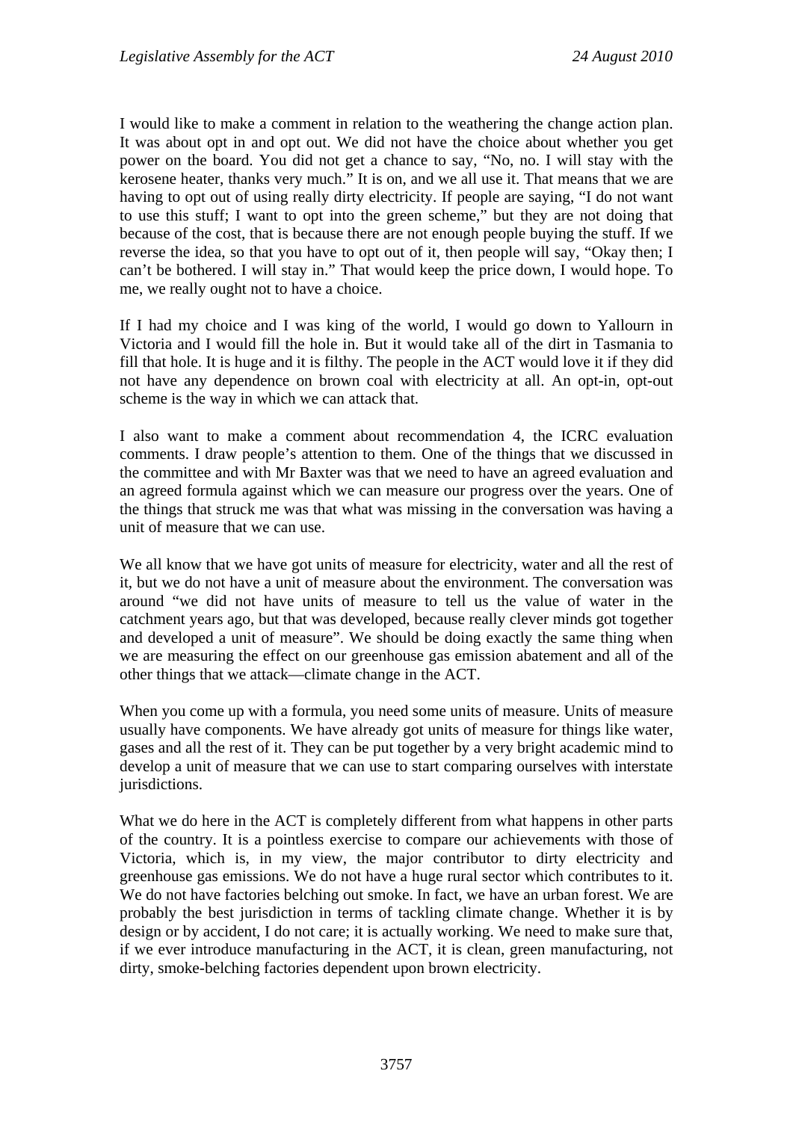I would like to make a comment in relation to the weathering the change action plan. It was about opt in and opt out. We did not have the choice about whether you get power on the board. You did not get a chance to say, "No, no. I will stay with the kerosene heater, thanks very much." It is on, and we all use it. That means that we are having to opt out of using really dirty electricity. If people are saying, "I do not want to use this stuff; I want to opt into the green scheme," but they are not doing that because of the cost, that is because there are not enough people buying the stuff. If we reverse the idea, so that you have to opt out of it, then people will say, "Okay then; I can't be bothered. I will stay in." That would keep the price down, I would hope. To me, we really ought not to have a choice.

If I had my choice and I was king of the world, I would go down to Yallourn in Victoria and I would fill the hole in. But it would take all of the dirt in Tasmania to fill that hole. It is huge and it is filthy. The people in the ACT would love it if they did not have any dependence on brown coal with electricity at all. An opt-in, opt-out scheme is the way in which we can attack that.

I also want to make a comment about recommendation 4, the ICRC evaluation comments. I draw people's attention to them. One of the things that we discussed in the committee and with Mr Baxter was that we need to have an agreed evaluation and an agreed formula against which we can measure our progress over the years. One of the things that struck me was that what was missing in the conversation was having a unit of measure that we can use.

We all know that we have got units of measure for electricity, water and all the rest of it, but we do not have a unit of measure about the environment. The conversation was around "we did not have units of measure to tell us the value of water in the catchment years ago, but that was developed, because really clever minds got together and developed a unit of measure". We should be doing exactly the same thing when we are measuring the effect on our greenhouse gas emission abatement and all of the other things that we attack—climate change in the ACT.

When you come up with a formula, you need some units of measure. Units of measure usually have components. We have already got units of measure for things like water, gases and all the rest of it. They can be put together by a very bright academic mind to develop a unit of measure that we can use to start comparing ourselves with interstate jurisdictions.

What we do here in the ACT is completely different from what happens in other parts of the country. It is a pointless exercise to compare our achievements with those of Victoria, which is, in my view, the major contributor to dirty electricity and greenhouse gas emissions. We do not have a huge rural sector which contributes to it. We do not have factories belching out smoke. In fact, we have an urban forest. We are probably the best jurisdiction in terms of tackling climate change. Whether it is by design or by accident, I do not care; it is actually working. We need to make sure that, if we ever introduce manufacturing in the ACT, it is clean, green manufacturing, not dirty, smoke-belching factories dependent upon brown electricity.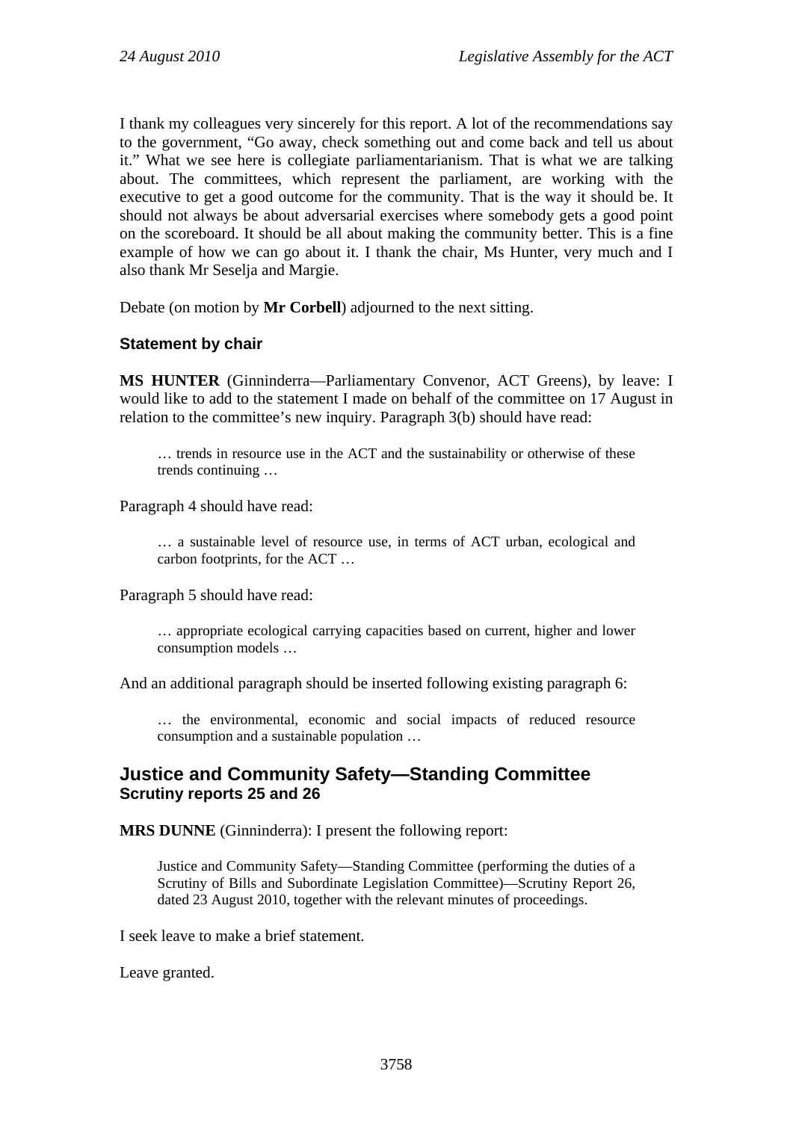I thank my colleagues very sincerely for this report. A lot of the recommendations say to the government, "Go away, check something out and come back and tell us about it." What we see here is collegiate parliamentarianism. That is what we are talking about. The committees, which represent the parliament, are working with the executive to get a good outcome for the community. That is the way it should be. It should not always be about adversarial exercises where somebody gets a good point on the scoreboard. It should be all about making the community better. This is a fine example of how we can go about it. I thank the chair, Ms Hunter, very much and I also thank Mr Seselja and Margie.

Debate (on motion by **Mr Corbell**) adjourned to the next sitting.

## **Statement by chair**

**MS HUNTER** (Ginninderra—Parliamentary Convenor, ACT Greens), by leave: I would like to add to the statement I made on behalf of the committee on 17 August in relation to the committee's new inquiry. Paragraph 3(b) should have read:

… trends in resource use in the ACT and the sustainability or otherwise of these trends continuing …

Paragraph 4 should have read:

… a sustainable level of resource use, in terms of ACT urban, ecological and carbon footprints, for the ACT …

Paragraph 5 should have read:

… appropriate ecological carrying capacities based on current, higher and lower consumption models …

And an additional paragraph should be inserted following existing paragraph 6:

… the environmental, economic and social impacts of reduced resource consumption and a sustainable population …

## <span id="page-7-0"></span>**Justice and Community Safety—Standing Committee Scrutiny reports 25 and 26**

**MRS DUNNE** (Ginninderra): I present the following report:

Justice and Community Safety—Standing Committee (performing the duties of a Scrutiny of Bills and Subordinate Legislation Committee)—Scrutiny Report 26, dated 23 August 2010, together with the relevant minutes of proceedings.

I seek leave to make a brief statement.

Leave granted.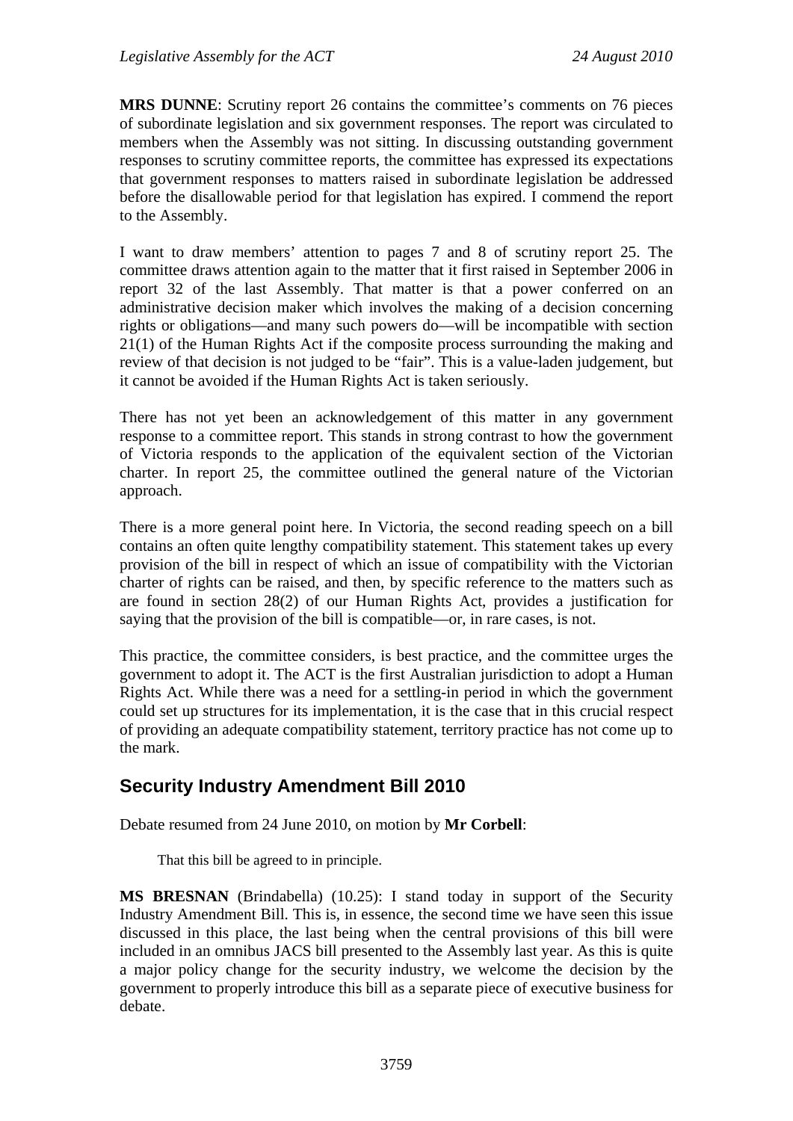**MRS DUNNE**: Scrutiny report 26 contains the committee's comments on 76 pieces of subordinate legislation and six government responses. The report was circulated to members when the Assembly was not sitting. In discussing outstanding government responses to scrutiny committee reports, the committee has expressed its expectations that government responses to matters raised in subordinate legislation be addressed before the disallowable period for that legislation has expired. I commend the report to the Assembly.

I want to draw members' attention to pages 7 and 8 of scrutiny report 25. The committee draws attention again to the matter that it first raised in September 2006 in report 32 of the last Assembly. That matter is that a power conferred on an administrative decision maker which involves the making of a decision concerning rights or obligations—and many such powers do—will be incompatible with section 21(1) of the Human Rights Act if the composite process surrounding the making and review of that decision is not judged to be "fair". This is a value-laden judgement, but it cannot be avoided if the Human Rights Act is taken seriously.

There has not yet been an acknowledgement of this matter in any government response to a committee report. This stands in strong contrast to how the government of Victoria responds to the application of the equivalent section of the Victorian charter. In report 25, the committee outlined the general nature of the Victorian approach.

There is a more general point here. In Victoria, the second reading speech on a bill contains an often quite lengthy compatibility statement. This statement takes up every provision of the bill in respect of which an issue of compatibility with the Victorian charter of rights can be raised, and then, by specific reference to the matters such as are found in section 28(2) of our Human Rights Act, provides a justification for saying that the provision of the bill is compatible—or, in rare cases, is not.

This practice, the committee considers, is best practice, and the committee urges the government to adopt it. The ACT is the first Australian jurisdiction to adopt a Human Rights Act. While there was a need for a settling-in period in which the government could set up structures for its implementation, it is the case that in this crucial respect of providing an adequate compatibility statement, territory practice has not come up to the mark.

# <span id="page-8-0"></span>**Security Industry Amendment Bill 2010**

Debate resumed from 24 June 2010, on motion by **Mr Corbell**:

That this bill be agreed to in principle.

**MS BRESNAN** (Brindabella) (10.25): I stand today in support of the Security Industry Amendment Bill. This is, in essence, the second time we have seen this issue discussed in this place, the last being when the central provisions of this bill were included in an omnibus JACS bill presented to the Assembly last year. As this is quite a major policy change for the security industry, we welcome the decision by the government to properly introduce this bill as a separate piece of executive business for debate.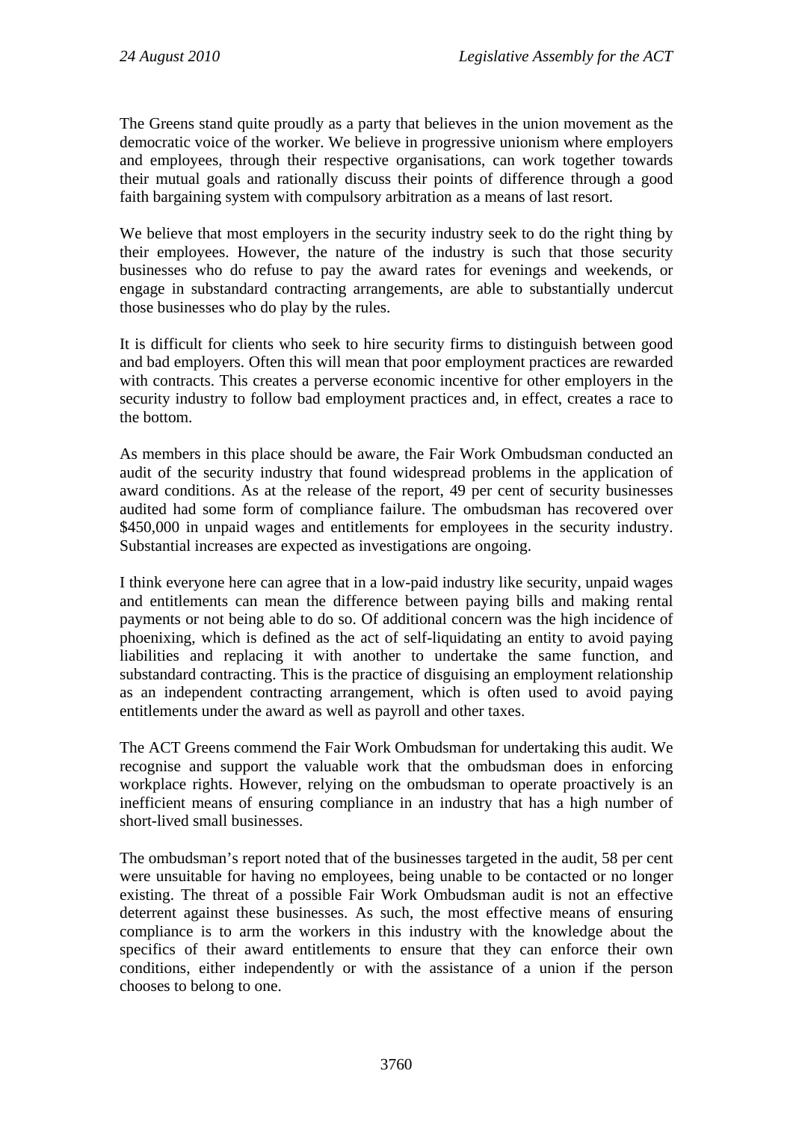The Greens stand quite proudly as a party that believes in the union movement as the democratic voice of the worker. We believe in progressive unionism where employers and employees, through their respective organisations, can work together towards their mutual goals and rationally discuss their points of difference through a good faith bargaining system with compulsory arbitration as a means of last resort.

We believe that most employers in the security industry seek to do the right thing by their employees. However, the nature of the industry is such that those security businesses who do refuse to pay the award rates for evenings and weekends, or engage in substandard contracting arrangements, are able to substantially undercut those businesses who do play by the rules.

It is difficult for clients who seek to hire security firms to distinguish between good and bad employers. Often this will mean that poor employment practices are rewarded with contracts. This creates a perverse economic incentive for other employers in the security industry to follow bad employment practices and, in effect, creates a race to the bottom.

As members in this place should be aware, the Fair Work Ombudsman conducted an audit of the security industry that found widespread problems in the application of award conditions. As at the release of the report, 49 per cent of security businesses audited had some form of compliance failure. The ombudsman has recovered over \$450,000 in unpaid wages and entitlements for employees in the security industry. Substantial increases are expected as investigations are ongoing.

I think everyone here can agree that in a low-paid industry like security, unpaid wages and entitlements can mean the difference between paying bills and making rental payments or not being able to do so. Of additional concern was the high incidence of phoenixing, which is defined as the act of self-liquidating an entity to avoid paying liabilities and replacing it with another to undertake the same function, and substandard contracting. This is the practice of disguising an employment relationship as an independent contracting arrangement, which is often used to avoid paying entitlements under the award as well as payroll and other taxes.

The ACT Greens commend the Fair Work Ombudsman for undertaking this audit. We recognise and support the valuable work that the ombudsman does in enforcing workplace rights. However, relying on the ombudsman to operate proactively is an inefficient means of ensuring compliance in an industry that has a high number of short-lived small businesses.

The ombudsman's report noted that of the businesses targeted in the audit, 58 per cent were unsuitable for having no employees, being unable to be contacted or no longer existing. The threat of a possible Fair Work Ombudsman audit is not an effective deterrent against these businesses. As such, the most effective means of ensuring compliance is to arm the workers in this industry with the knowledge about the specifics of their award entitlements to ensure that they can enforce their own conditions, either independently or with the assistance of a union if the person chooses to belong to one.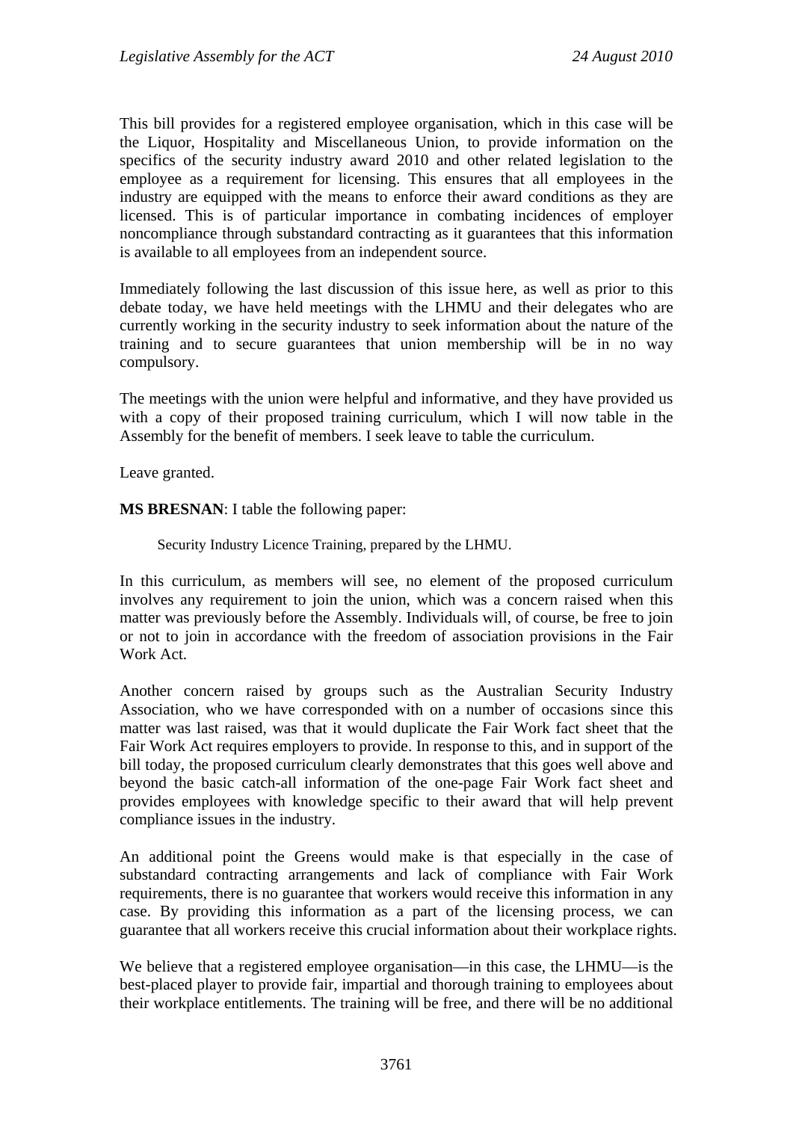This bill provides for a registered employee organisation, which in this case will be the Liquor, Hospitality and Miscellaneous Union, to provide information on the specifics of the security industry award 2010 and other related legislation to the employee as a requirement for licensing. This ensures that all employees in the industry are equipped with the means to enforce their award conditions as they are licensed. This is of particular importance in combating incidences of employer noncompliance through substandard contracting as it guarantees that this information is available to all employees from an independent source.

Immediately following the last discussion of this issue here, as well as prior to this debate today, we have held meetings with the LHMU and their delegates who are currently working in the security industry to seek information about the nature of the training and to secure guarantees that union membership will be in no way compulsory.

The meetings with the union were helpful and informative, and they have provided us with a copy of their proposed training curriculum, which I will now table in the Assembly for the benefit of members. I seek leave to table the curriculum.

Leave granted.

**MS BRESNAN**: I table the following paper:

Security Industry Licence Training, prepared by the LHMU.

In this curriculum, as members will see, no element of the proposed curriculum involves any requirement to join the union, which was a concern raised when this matter was previously before the Assembly. Individuals will, of course, be free to join or not to join in accordance with the freedom of association provisions in the Fair Work Act.

Another concern raised by groups such as the Australian Security Industry Association, who we have corresponded with on a number of occasions since this matter was last raised, was that it would duplicate the Fair Work fact sheet that the Fair Work Act requires employers to provide. In response to this, and in support of the bill today, the proposed curriculum clearly demonstrates that this goes well above and beyond the basic catch-all information of the one-page Fair Work fact sheet and provides employees with knowledge specific to their award that will help prevent compliance issues in the industry.

An additional point the Greens would make is that especially in the case of substandard contracting arrangements and lack of compliance with Fair Work requirements, there is no guarantee that workers would receive this information in any case. By providing this information as a part of the licensing process, we can guarantee that all workers receive this crucial information about their workplace rights.

We believe that a registered employee organisation—in this case, the LHMU—is the best-placed player to provide fair, impartial and thorough training to employees about their workplace entitlements. The training will be free, and there will be no additional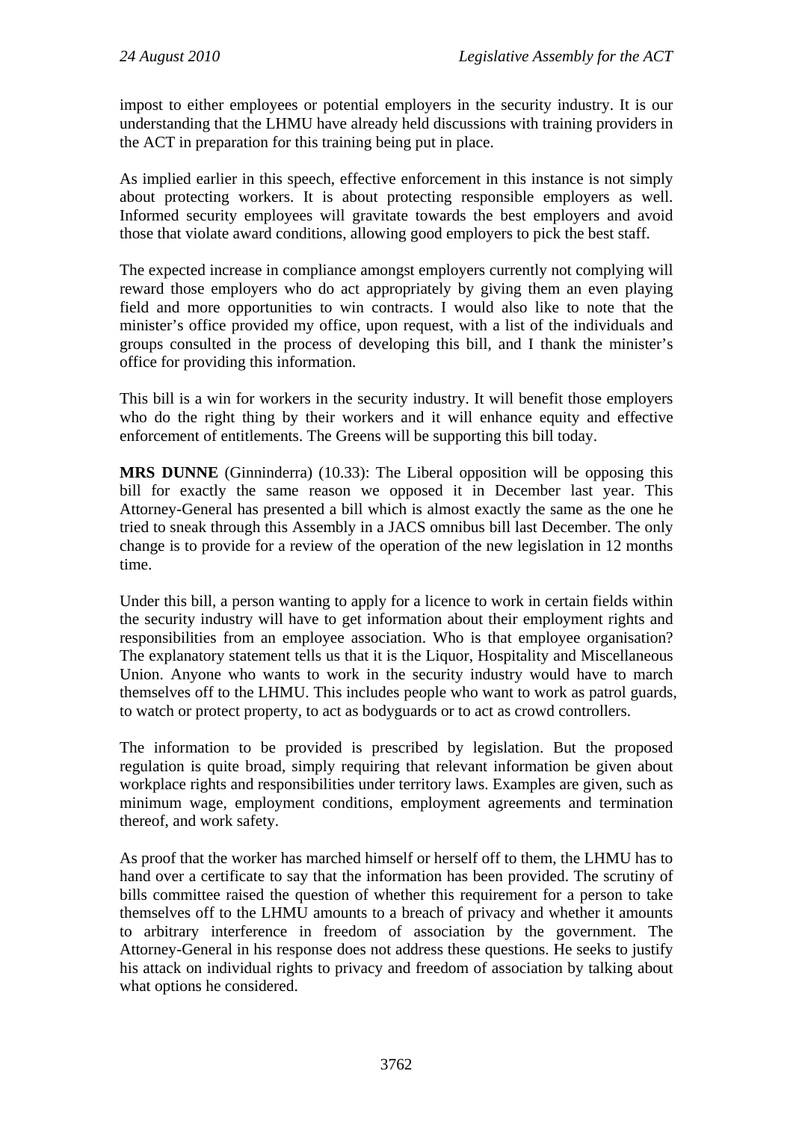impost to either employees or potential employers in the security industry. It is our understanding that the LHMU have already held discussions with training providers in the ACT in preparation for this training being put in place.

As implied earlier in this speech, effective enforcement in this instance is not simply about protecting workers. It is about protecting responsible employers as well. Informed security employees will gravitate towards the best employers and avoid those that violate award conditions, allowing good employers to pick the best staff.

The expected increase in compliance amongst employers currently not complying will reward those employers who do act appropriately by giving them an even playing field and more opportunities to win contracts. I would also like to note that the minister's office provided my office, upon request, with a list of the individuals and groups consulted in the process of developing this bill, and I thank the minister's office for providing this information.

This bill is a win for workers in the security industry. It will benefit those employers who do the right thing by their workers and it will enhance equity and effective enforcement of entitlements. The Greens will be supporting this bill today.

**MRS DUNNE** (Ginninderra) (10.33): The Liberal opposition will be opposing this bill for exactly the same reason we opposed it in December last year. This Attorney-General has presented a bill which is almost exactly the same as the one he tried to sneak through this Assembly in a JACS omnibus bill last December. The only change is to provide for a review of the operation of the new legislation in 12 months time.

Under this bill, a person wanting to apply for a licence to work in certain fields within the security industry will have to get information about their employment rights and responsibilities from an employee association. Who is that employee organisation? The explanatory statement tells us that it is the Liquor, Hospitality and Miscellaneous Union. Anyone who wants to work in the security industry would have to march themselves off to the LHMU. This includes people who want to work as patrol guards, to watch or protect property, to act as bodyguards or to act as crowd controllers.

The information to be provided is prescribed by legislation. But the proposed regulation is quite broad, simply requiring that relevant information be given about workplace rights and responsibilities under territory laws. Examples are given, such as minimum wage, employment conditions, employment agreements and termination thereof, and work safety.

As proof that the worker has marched himself or herself off to them, the LHMU has to hand over a certificate to say that the information has been provided. The scrutiny of bills committee raised the question of whether this requirement for a person to take themselves off to the LHMU amounts to a breach of privacy and whether it amounts to arbitrary interference in freedom of association by the government. The Attorney-General in his response does not address these questions. He seeks to justify his attack on individual rights to privacy and freedom of association by talking about what options he considered.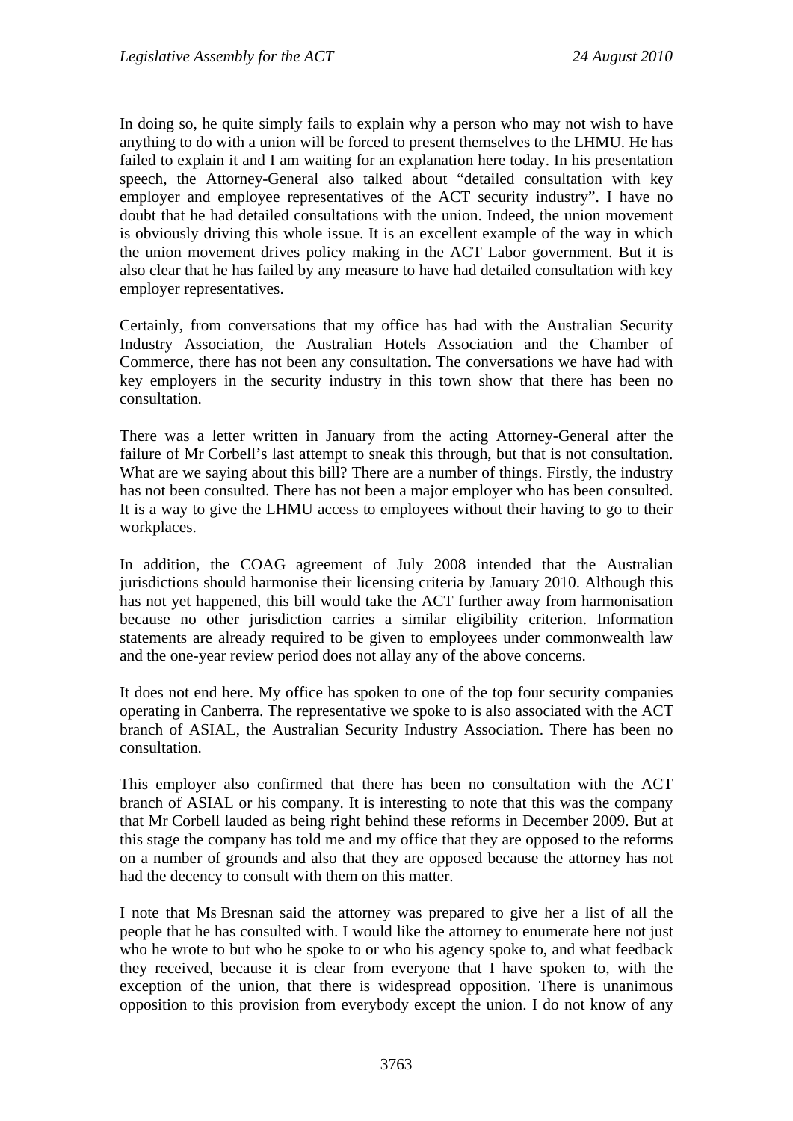In doing so, he quite simply fails to explain why a person who may not wish to have anything to do with a union will be forced to present themselves to the LHMU. He has failed to explain it and I am waiting for an explanation here today. In his presentation speech, the Attorney-General also talked about "detailed consultation with key employer and employee representatives of the ACT security industry". I have no doubt that he had detailed consultations with the union. Indeed, the union movement is obviously driving this whole issue. It is an excellent example of the way in which the union movement drives policy making in the ACT Labor government. But it is also clear that he has failed by any measure to have had detailed consultation with key employer representatives.

Certainly, from conversations that my office has had with the Australian Security Industry Association, the Australian Hotels Association and the Chamber of Commerce, there has not been any consultation. The conversations we have had with key employers in the security industry in this town show that there has been no consultation.

There was a letter written in January from the acting Attorney-General after the failure of Mr Corbell's last attempt to sneak this through, but that is not consultation. What are we saying about this bill? There are a number of things. Firstly, the industry has not been consulted. There has not been a major employer who has been consulted. It is a way to give the LHMU access to employees without their having to go to their workplaces.

In addition, the COAG agreement of July 2008 intended that the Australian jurisdictions should harmonise their licensing criteria by January 2010. Although this has not yet happened, this bill would take the ACT further away from harmonisation because no other jurisdiction carries a similar eligibility criterion. Information statements are already required to be given to employees under commonwealth law and the one-year review period does not allay any of the above concerns.

It does not end here. My office has spoken to one of the top four security companies operating in Canberra. The representative we spoke to is also associated with the ACT branch of ASIAL, the Australian Security Industry Association. There has been no consultation.

This employer also confirmed that there has been no consultation with the ACT branch of ASIAL or his company. It is interesting to note that this was the company that Mr Corbell lauded as being right behind these reforms in December 2009. But at this stage the company has told me and my office that they are opposed to the reforms on a number of grounds and also that they are opposed because the attorney has not had the decency to consult with them on this matter.

I note that Ms Bresnan said the attorney was prepared to give her a list of all the people that he has consulted with. I would like the attorney to enumerate here not just who he wrote to but who he spoke to or who his agency spoke to, and what feedback they received, because it is clear from everyone that I have spoken to, with the exception of the union, that there is widespread opposition. There is unanimous opposition to this provision from everybody except the union. I do not know of any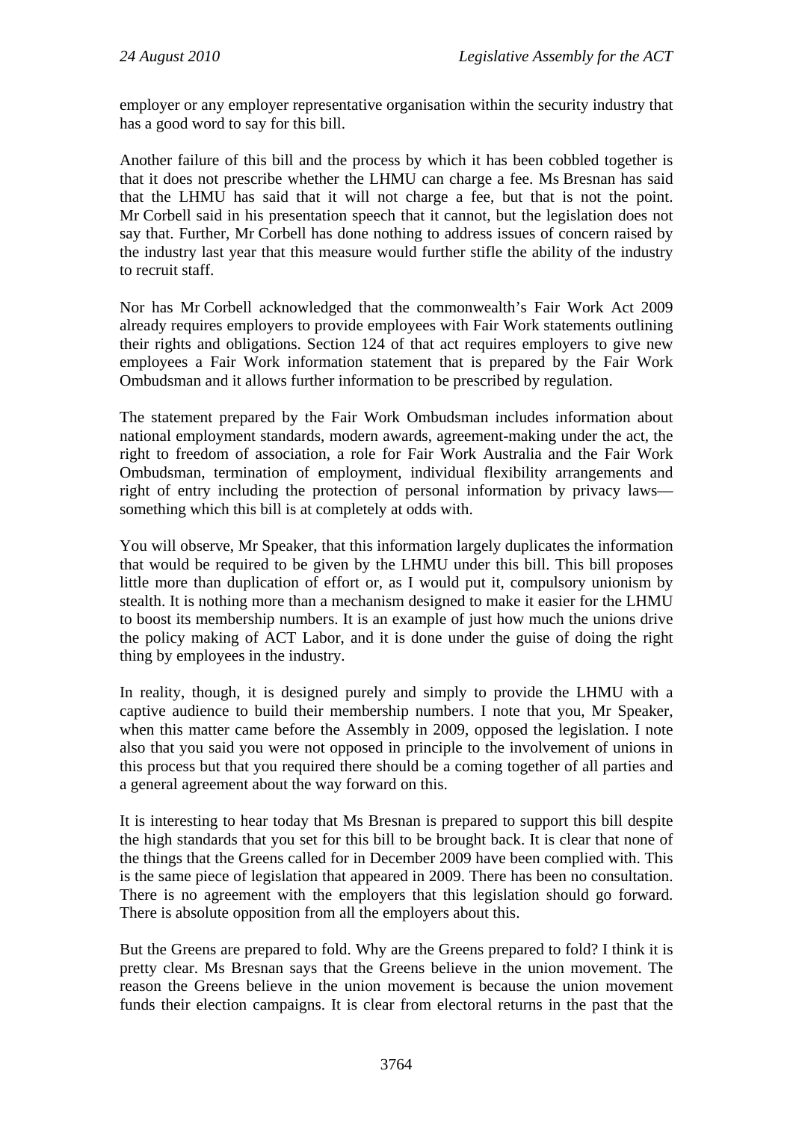employer or any employer representative organisation within the security industry that has a good word to say for this bill.

Another failure of this bill and the process by which it has been cobbled together is that it does not prescribe whether the LHMU can charge a fee. Ms Bresnan has said that the LHMU has said that it will not charge a fee, but that is not the point. Mr Corbell said in his presentation speech that it cannot, but the legislation does not say that. Further, Mr Corbell has done nothing to address issues of concern raised by the industry last year that this measure would further stifle the ability of the industry to recruit staff.

Nor has Mr Corbell acknowledged that the commonwealth's Fair Work Act 2009 already requires employers to provide employees with Fair Work statements outlining their rights and obligations. Section 124 of that act requires employers to give new employees a Fair Work information statement that is prepared by the Fair Work Ombudsman and it allows further information to be prescribed by regulation.

The statement prepared by the Fair Work Ombudsman includes information about national employment standards, modern awards, agreement-making under the act, the right to freedom of association, a role for Fair Work Australia and the Fair Work Ombudsman, termination of employment, individual flexibility arrangements and right of entry including the protection of personal information by privacy laws something which this bill is at completely at odds with.

You will observe, Mr Speaker, that this information largely duplicates the information that would be required to be given by the LHMU under this bill. This bill proposes little more than duplication of effort or, as I would put it, compulsory unionism by stealth. It is nothing more than a mechanism designed to make it easier for the LHMU to boost its membership numbers. It is an example of just how much the unions drive the policy making of ACT Labor, and it is done under the guise of doing the right thing by employees in the industry.

In reality, though, it is designed purely and simply to provide the LHMU with a captive audience to build their membership numbers. I note that you, Mr Speaker, when this matter came before the Assembly in 2009, opposed the legislation. I note also that you said you were not opposed in principle to the involvement of unions in this process but that you required there should be a coming together of all parties and a general agreement about the way forward on this.

It is interesting to hear today that Ms Bresnan is prepared to support this bill despite the high standards that you set for this bill to be brought back. It is clear that none of the things that the Greens called for in December 2009 have been complied with. This is the same piece of legislation that appeared in 2009. There has been no consultation. There is no agreement with the employers that this legislation should go forward. There is absolute opposition from all the employers about this.

But the Greens are prepared to fold. Why are the Greens prepared to fold? I think it is pretty clear. Ms Bresnan says that the Greens believe in the union movement. The reason the Greens believe in the union movement is because the union movement funds their election campaigns. It is clear from electoral returns in the past that the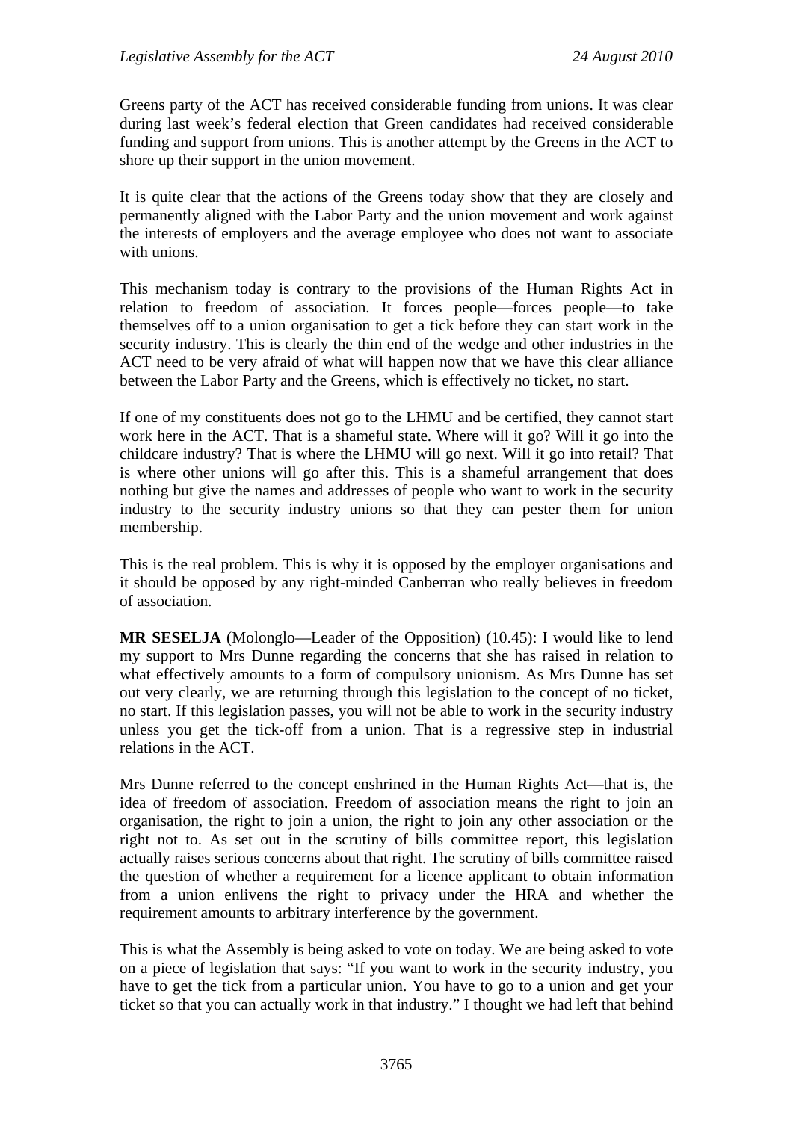Greens party of the ACT has received considerable funding from unions. It was clear during last week's federal election that Green candidates had received considerable funding and support from unions. This is another attempt by the Greens in the ACT to shore up their support in the union movement.

It is quite clear that the actions of the Greens today show that they are closely and permanently aligned with the Labor Party and the union movement and work against the interests of employers and the average employee who does not want to associate with unions.

This mechanism today is contrary to the provisions of the Human Rights Act in relation to freedom of association. It forces people—forces people—to take themselves off to a union organisation to get a tick before they can start work in the security industry. This is clearly the thin end of the wedge and other industries in the ACT need to be very afraid of what will happen now that we have this clear alliance between the Labor Party and the Greens, which is effectively no ticket, no start.

If one of my constituents does not go to the LHMU and be certified, they cannot start work here in the ACT. That is a shameful state. Where will it go? Will it go into the childcare industry? That is where the LHMU will go next. Will it go into retail? That is where other unions will go after this. This is a shameful arrangement that does nothing but give the names and addresses of people who want to work in the security industry to the security industry unions so that they can pester them for union membership.

This is the real problem. This is why it is opposed by the employer organisations and it should be opposed by any right-minded Canberran who really believes in freedom of association.

**MR SESELJA** (Molonglo—Leader of the Opposition) (10.45): I would like to lend my support to Mrs Dunne regarding the concerns that she has raised in relation to what effectively amounts to a form of compulsory unionism. As Mrs Dunne has set out very clearly, we are returning through this legislation to the concept of no ticket, no start. If this legislation passes, you will not be able to work in the security industry unless you get the tick-off from a union. That is a regressive step in industrial relations in the ACT.

Mrs Dunne referred to the concept enshrined in the Human Rights Act—that is, the idea of freedom of association. Freedom of association means the right to join an organisation, the right to join a union, the right to join any other association or the right not to. As set out in the scrutiny of bills committee report, this legislation actually raises serious concerns about that right. The scrutiny of bills committee raised the question of whether a requirement for a licence applicant to obtain information from a union enlivens the right to privacy under the HRA and whether the requirement amounts to arbitrary interference by the government.

This is what the Assembly is being asked to vote on today. We are being asked to vote on a piece of legislation that says: "If you want to work in the security industry, you have to get the tick from a particular union. You have to go to a union and get your ticket so that you can actually work in that industry." I thought we had left that behind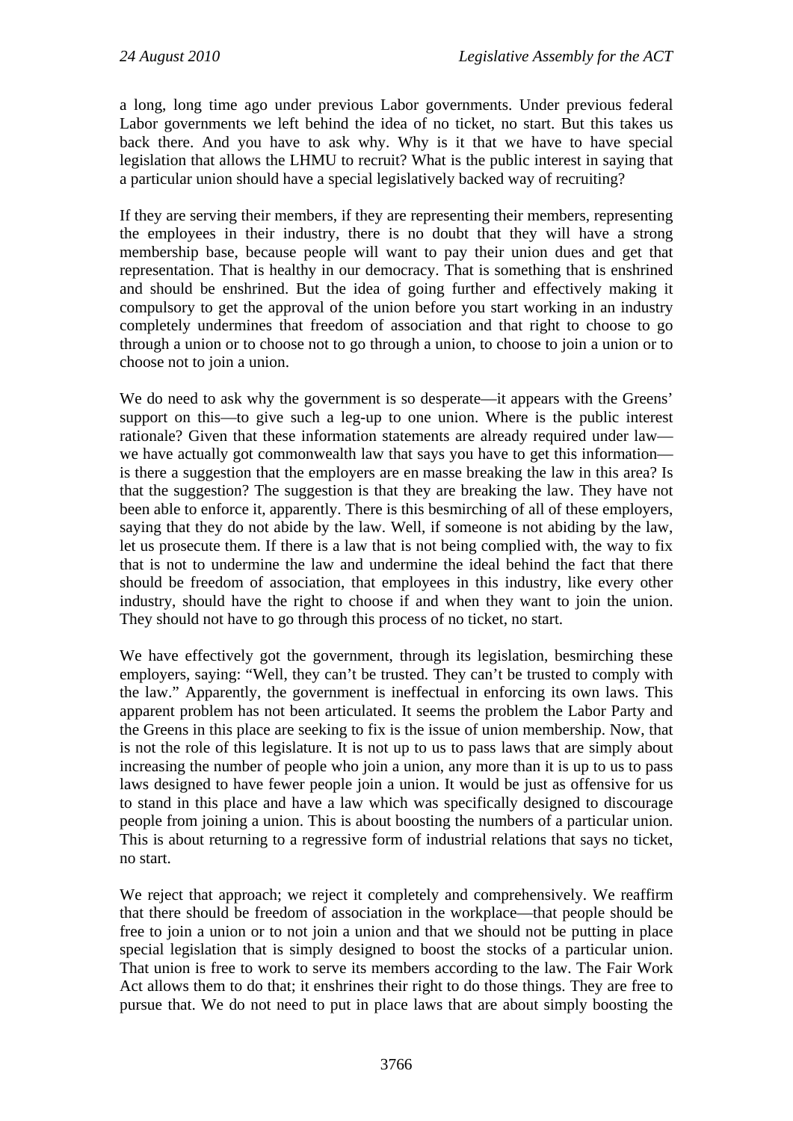a long, long time ago under previous Labor governments. Under previous federal Labor governments we left behind the idea of no ticket, no start. But this takes us back there. And you have to ask why. Why is it that we have to have special legislation that allows the LHMU to recruit? What is the public interest in saying that a particular union should have a special legislatively backed way of recruiting?

If they are serving their members, if they are representing their members, representing the employees in their industry, there is no doubt that they will have a strong membership base, because people will want to pay their union dues and get that representation. That is healthy in our democracy. That is something that is enshrined and should be enshrined. But the idea of going further and effectively making it compulsory to get the approval of the union before you start working in an industry completely undermines that freedom of association and that right to choose to go through a union or to choose not to go through a union, to choose to join a union or to choose not to join a union.

We do need to ask why the government is so desperate—it appears with the Greens' support on this—to give such a leg-up to one union. Where is the public interest rationale? Given that these information statements are already required under law we have actually got commonwealth law that says you have to get this information is there a suggestion that the employers are en masse breaking the law in this area? Is that the suggestion? The suggestion is that they are breaking the law. They have not been able to enforce it, apparently. There is this besmirching of all of these employers, saying that they do not abide by the law. Well, if someone is not abiding by the law, let us prosecute them. If there is a law that is not being complied with, the way to fix that is not to undermine the law and undermine the ideal behind the fact that there should be freedom of association, that employees in this industry, like every other industry, should have the right to choose if and when they want to join the union. They should not have to go through this process of no ticket, no start.

We have effectively got the government, through its legislation, besmirching these employers, saying: "Well, they can't be trusted. They can't be trusted to comply with the law." Apparently, the government is ineffectual in enforcing its own laws. This apparent problem has not been articulated. It seems the problem the Labor Party and the Greens in this place are seeking to fix is the issue of union membership. Now, that is not the role of this legislature. It is not up to us to pass laws that are simply about increasing the number of people who join a union, any more than it is up to us to pass laws designed to have fewer people join a union. It would be just as offensive for us to stand in this place and have a law which was specifically designed to discourage people from joining a union. This is about boosting the numbers of a particular union. This is about returning to a regressive form of industrial relations that says no ticket, no start.

We reject that approach; we reject it completely and comprehensively. We reaffirm that there should be freedom of association in the workplace—that people should be free to join a union or to not join a union and that we should not be putting in place special legislation that is simply designed to boost the stocks of a particular union. That union is free to work to serve its members according to the law. The Fair Work Act allows them to do that; it enshrines their right to do those things. They are free to pursue that. We do not need to put in place laws that are about simply boosting the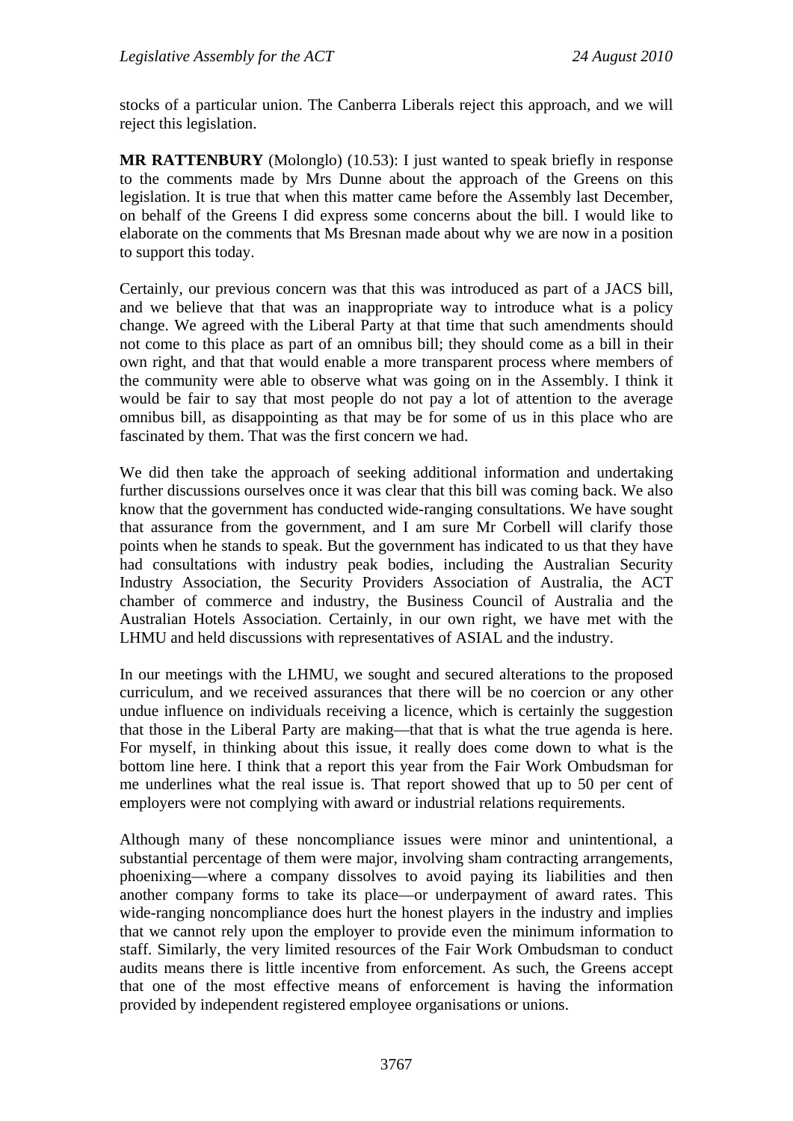stocks of a particular union. The Canberra Liberals reject this approach, and we will reject this legislation.

**MR RATTENBURY** (Molonglo) (10.53): I just wanted to speak briefly in response to the comments made by Mrs Dunne about the approach of the Greens on this legislation. It is true that when this matter came before the Assembly last December, on behalf of the Greens I did express some concerns about the bill. I would like to elaborate on the comments that Ms Bresnan made about why we are now in a position to support this today.

Certainly, our previous concern was that this was introduced as part of a JACS bill, and we believe that that was an inappropriate way to introduce what is a policy change. We agreed with the Liberal Party at that time that such amendments should not come to this place as part of an omnibus bill; they should come as a bill in their own right, and that that would enable a more transparent process where members of the community were able to observe what was going on in the Assembly. I think it would be fair to say that most people do not pay a lot of attention to the average omnibus bill, as disappointing as that may be for some of us in this place who are fascinated by them. That was the first concern we had.

We did then take the approach of seeking additional information and undertaking further discussions ourselves once it was clear that this bill was coming back. We also know that the government has conducted wide-ranging consultations. We have sought that assurance from the government, and I am sure Mr Corbell will clarify those points when he stands to speak. But the government has indicated to us that they have had consultations with industry peak bodies, including the Australian Security Industry Association, the Security Providers Association of Australia, the ACT chamber of commerce and industry, the Business Council of Australia and the Australian Hotels Association. Certainly, in our own right, we have met with the LHMU and held discussions with representatives of ASIAL and the industry.

In our meetings with the LHMU, we sought and secured alterations to the proposed curriculum, and we received assurances that there will be no coercion or any other undue influence on individuals receiving a licence, which is certainly the suggestion that those in the Liberal Party are making—that that is what the true agenda is here. For myself, in thinking about this issue, it really does come down to what is the bottom line here. I think that a report this year from the Fair Work Ombudsman for me underlines what the real issue is. That report showed that up to 50 per cent of employers were not complying with award or industrial relations requirements.

Although many of these noncompliance issues were minor and unintentional, a substantial percentage of them were major, involving sham contracting arrangements, phoenixing—where a company dissolves to avoid paying its liabilities and then another company forms to take its place—or underpayment of award rates. This wide-ranging noncompliance does hurt the honest players in the industry and implies that we cannot rely upon the employer to provide even the minimum information to staff. Similarly, the very limited resources of the Fair Work Ombudsman to conduct audits means there is little incentive from enforcement. As such, the Greens accept that one of the most effective means of enforcement is having the information provided by independent registered employee organisations or unions.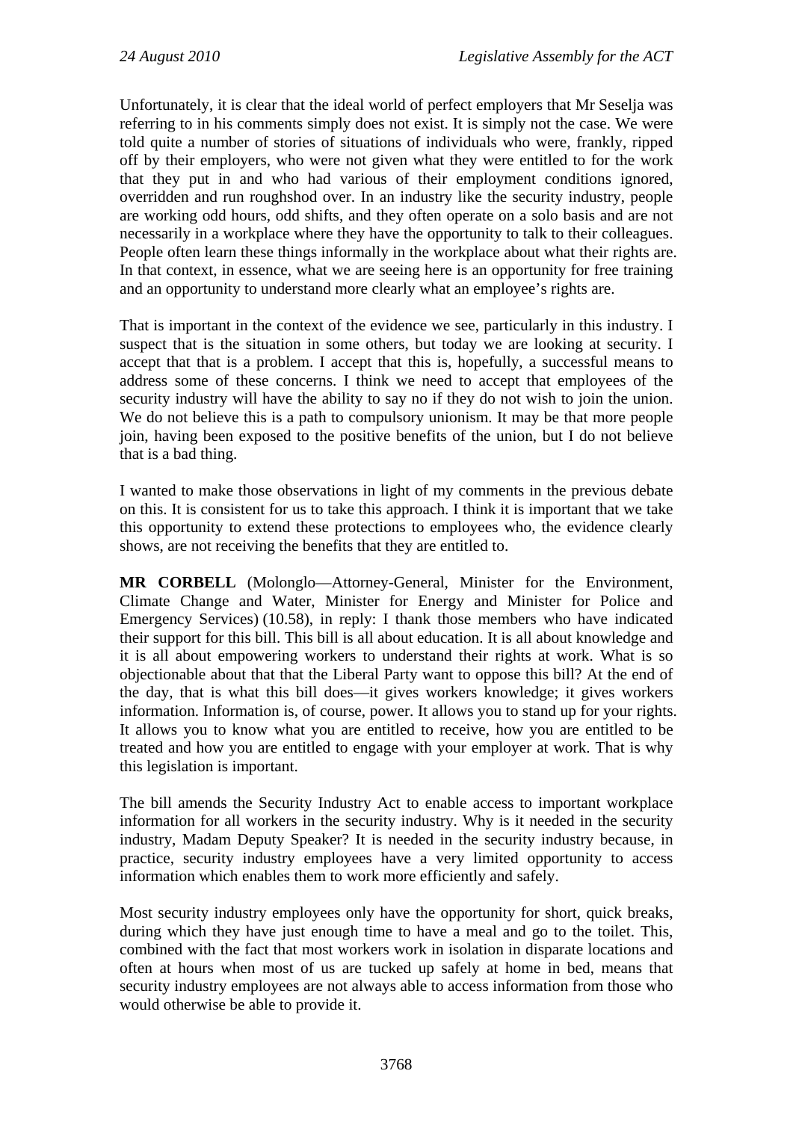Unfortunately, it is clear that the ideal world of perfect employers that Mr Seselja was referring to in his comments simply does not exist. It is simply not the case. We were told quite a number of stories of situations of individuals who were, frankly, ripped off by their employers, who were not given what they were entitled to for the work that they put in and who had various of their employment conditions ignored, overridden and run roughshod over. In an industry like the security industry, people are working odd hours, odd shifts, and they often operate on a solo basis and are not necessarily in a workplace where they have the opportunity to talk to their colleagues. People often learn these things informally in the workplace about what their rights are. In that context, in essence, what we are seeing here is an opportunity for free training and an opportunity to understand more clearly what an employee's rights are.

That is important in the context of the evidence we see, particularly in this industry. I suspect that is the situation in some others, but today we are looking at security. I accept that that is a problem. I accept that this is, hopefully, a successful means to address some of these concerns. I think we need to accept that employees of the security industry will have the ability to say no if they do not wish to join the union. We do not believe this is a path to compulsory unionism. It may be that more people join, having been exposed to the positive benefits of the union, but I do not believe that is a bad thing.

I wanted to make those observations in light of my comments in the previous debate on this. It is consistent for us to take this approach. I think it is important that we take this opportunity to extend these protections to employees who, the evidence clearly shows, are not receiving the benefits that they are entitled to.

**MR CORBELL** (Molonglo—Attorney-General, Minister for the Environment, Climate Change and Water, Minister for Energy and Minister for Police and Emergency Services) (10.58), in reply: I thank those members who have indicated their support for this bill. This bill is all about education. It is all about knowledge and it is all about empowering workers to understand their rights at work. What is so objectionable about that that the Liberal Party want to oppose this bill? At the end of the day, that is what this bill does—it gives workers knowledge; it gives workers information. Information is, of course, power. It allows you to stand up for your rights. It allows you to know what you are entitled to receive, how you are entitled to be treated and how you are entitled to engage with your employer at work. That is why this legislation is important.

The bill amends the Security Industry Act to enable access to important workplace information for all workers in the security industry. Why is it needed in the security industry, Madam Deputy Speaker? It is needed in the security industry because, in practice, security industry employees have a very limited opportunity to access information which enables them to work more efficiently and safely.

Most security industry employees only have the opportunity for short, quick breaks, during which they have just enough time to have a meal and go to the toilet. This, combined with the fact that most workers work in isolation in disparate locations and often at hours when most of us are tucked up safely at home in bed, means that security industry employees are not always able to access information from those who would otherwise be able to provide it.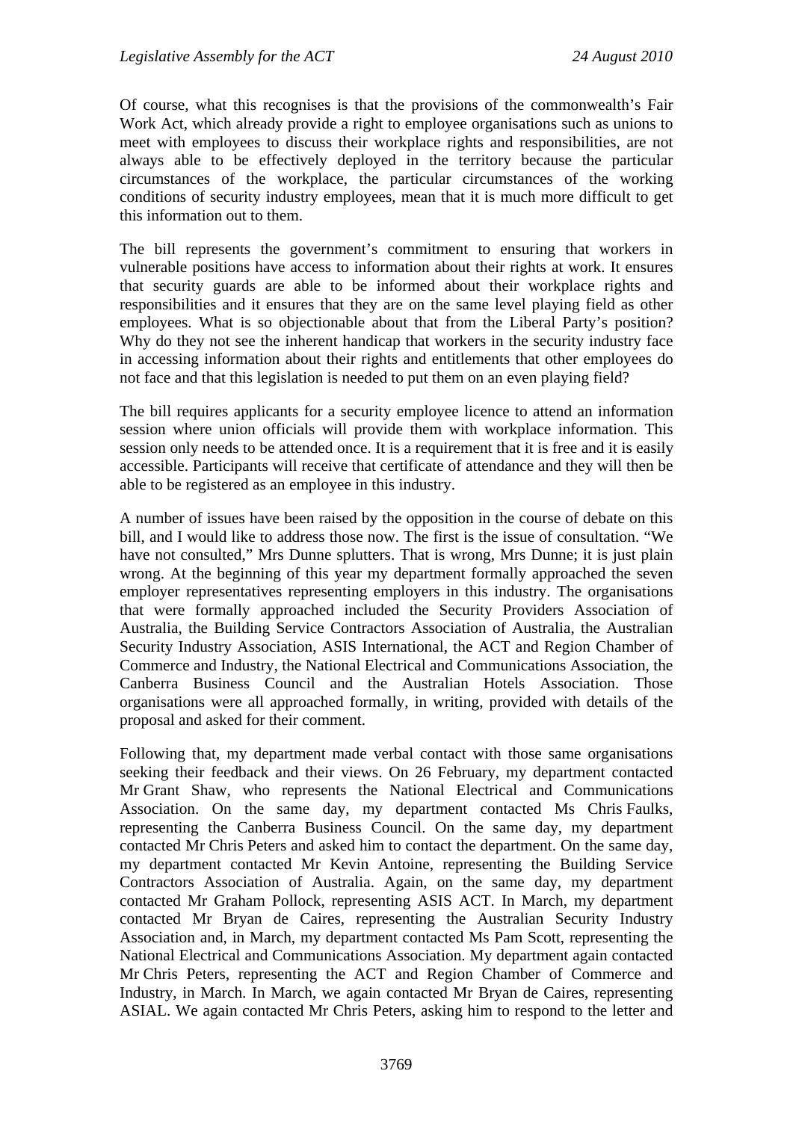Of course, what this recognises is that the provisions of the commonwealth's Fair Work Act, which already provide a right to employee organisations such as unions to meet with employees to discuss their workplace rights and responsibilities, are not always able to be effectively deployed in the territory because the particular circumstances of the workplace, the particular circumstances of the working conditions of security industry employees, mean that it is much more difficult to get this information out to them.

The bill represents the government's commitment to ensuring that workers in vulnerable positions have access to information about their rights at work. It ensures that security guards are able to be informed about their workplace rights and responsibilities and it ensures that they are on the same level playing field as other employees. What is so objectionable about that from the Liberal Party's position? Why do they not see the inherent handicap that workers in the security industry face in accessing information about their rights and entitlements that other employees do not face and that this legislation is needed to put them on an even playing field?

The bill requires applicants for a security employee licence to attend an information session where union officials will provide them with workplace information. This session only needs to be attended once. It is a requirement that it is free and it is easily accessible. Participants will receive that certificate of attendance and they will then be able to be registered as an employee in this industry.

A number of issues have been raised by the opposition in the course of debate on this bill, and I would like to address those now. The first is the issue of consultation. "We have not consulted," Mrs Dunne splutters. That is wrong, Mrs Dunne; it is just plain wrong. At the beginning of this year my department formally approached the seven employer representatives representing employers in this industry. The organisations that were formally approached included the Security Providers Association of Australia, the Building Service Contractors Association of Australia, the Australian Security Industry Association, ASIS International, the ACT and Region Chamber of Commerce and Industry, the National Electrical and Communications Association, the Canberra Business Council and the Australian Hotels Association. Those organisations were all approached formally, in writing, provided with details of the proposal and asked for their comment.

Following that, my department made verbal contact with those same organisations seeking their feedback and their views. On 26 February, my department contacted Mr Grant Shaw, who represents the National Electrical and Communications Association. On the same day, my department contacted Ms Chris Faulks, representing the Canberra Business Council. On the same day, my department contacted Mr Chris Peters and asked him to contact the department. On the same day, my department contacted Mr Kevin Antoine, representing the Building Service Contractors Association of Australia. Again, on the same day, my department contacted Mr Graham Pollock, representing ASIS ACT. In March, my department contacted Mr Bryan de Caires, representing the Australian Security Industry Association and, in March, my department contacted Ms Pam Scott, representing the National Electrical and Communications Association. My department again contacted Mr Chris Peters, representing the ACT and Region Chamber of Commerce and Industry, in March. In March, we again contacted Mr Bryan de Caires, representing ASIAL. We again contacted Mr Chris Peters, asking him to respond to the letter and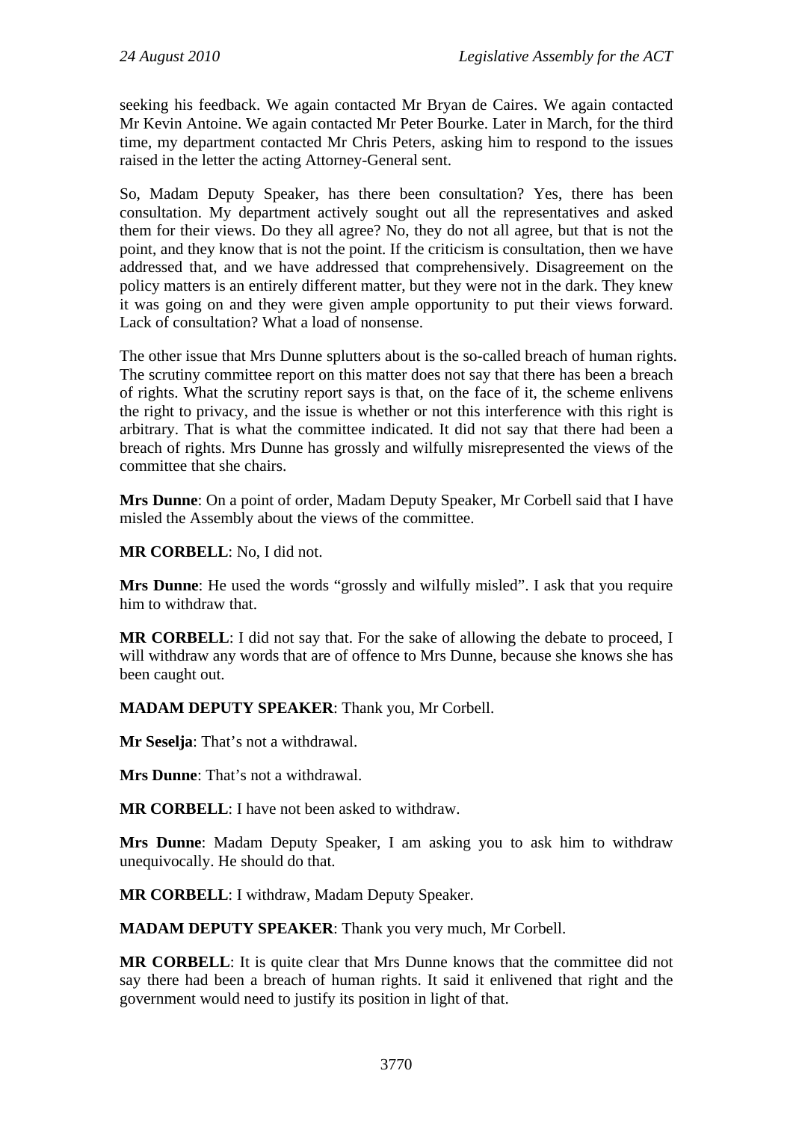seeking his feedback. We again contacted Mr Bryan de Caires. We again contacted Mr Kevin Antoine. We again contacted Mr Peter Bourke. Later in March, for the third time, my department contacted Mr Chris Peters, asking him to respond to the issues raised in the letter the acting Attorney-General sent.

So, Madam Deputy Speaker, has there been consultation? Yes, there has been consultation. My department actively sought out all the representatives and asked them for their views. Do they all agree? No, they do not all agree, but that is not the point, and they know that is not the point. If the criticism is consultation, then we have addressed that, and we have addressed that comprehensively. Disagreement on the policy matters is an entirely different matter, but they were not in the dark. They knew it was going on and they were given ample opportunity to put their views forward. Lack of consultation? What a load of nonsense.

The other issue that Mrs Dunne splutters about is the so-called breach of human rights. The scrutiny committee report on this matter does not say that there has been a breach of rights. What the scrutiny report says is that, on the face of it, the scheme enlivens the right to privacy, and the issue is whether or not this interference with this right is arbitrary. That is what the committee indicated. It did not say that there had been a breach of rights. Mrs Dunne has grossly and wilfully misrepresented the views of the committee that she chairs.

**Mrs Dunne**: On a point of order, Madam Deputy Speaker, Mr Corbell said that I have misled the Assembly about the views of the committee.

**MR CORBELL**: No, I did not.

**Mrs Dunne**: He used the words "grossly and wilfully misled". I ask that you require him to withdraw that.

**MR CORBELL**: I did not say that. For the sake of allowing the debate to proceed, I will withdraw any words that are of offence to Mrs Dunne, because she knows she has been caught out.

**MADAM DEPUTY SPEAKER**: Thank you, Mr Corbell.

**Mr Seselja**: That's not a withdrawal.

**Mrs Dunne**: That's not a withdrawal.

**MR CORBELL**: I have not been asked to withdraw.

**Mrs Dunne**: Madam Deputy Speaker, I am asking you to ask him to withdraw unequivocally. He should do that.

**MR CORBELL**: I withdraw, Madam Deputy Speaker.

**MADAM DEPUTY SPEAKER**: Thank you very much, Mr Corbell.

**MR CORBELL**: It is quite clear that Mrs Dunne knows that the committee did not say there had been a breach of human rights. It said it enlivened that right and the government would need to justify its position in light of that.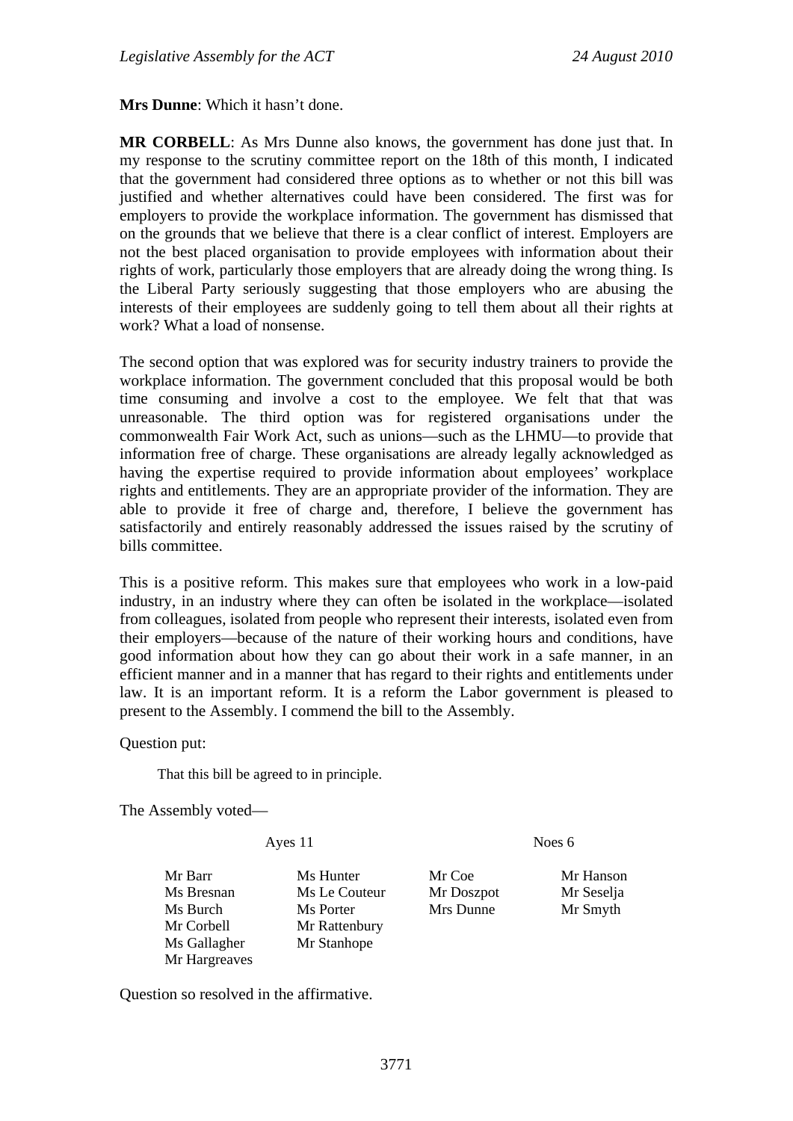**Mrs Dunne**: Which it hasn't done.

**MR CORBELL**: As Mrs Dunne also knows, the government has done just that. In my response to the scrutiny committee report on the 18th of this month, I indicated that the government had considered three options as to whether or not this bill was justified and whether alternatives could have been considered. The first was for employers to provide the workplace information. The government has dismissed that on the grounds that we believe that there is a clear conflict of interest. Employers are not the best placed organisation to provide employees with information about their rights of work, particularly those employers that are already doing the wrong thing. Is the Liberal Party seriously suggesting that those employers who are abusing the interests of their employees are suddenly going to tell them about all their rights at work? What a load of nonsense.

The second option that was explored was for security industry trainers to provide the workplace information. The government concluded that this proposal would be both time consuming and involve a cost to the employee. We felt that that was unreasonable. The third option was for registered organisations under the commonwealth Fair Work Act, such as unions—such as the LHMU—to provide that information free of charge. These organisations are already legally acknowledged as having the expertise required to provide information about employees' workplace rights and entitlements. They are an appropriate provider of the information. They are able to provide it free of charge and, therefore, I believe the government has satisfactorily and entirely reasonably addressed the issues raised by the scrutiny of bills committee.

This is a positive reform. This makes sure that employees who work in a low-paid industry, in an industry where they can often be isolated in the workplace—isolated from colleagues, isolated from people who represent their interests, isolated even from their employers—because of the nature of their working hours and conditions, have good information about how they can go about their work in a safe manner, in an efficient manner and in a manner that has regard to their rights and entitlements under law. It is an important reform. It is a reform the Labor government is pleased to present to the Assembly. I commend the bill to the Assembly.

Question put:

That this bill be agreed to in principle.

The Assembly voted—

Ayes 11 Noes 6

Ms Bresnan Ms Le Couteur Mr Doszpot Mr Seselja Ms Burch Ms Porter Mrs Dunne Mr Smyth Mr Corbell Mr Rattenbury Ms Gallagher Mr Stanhope Mr Hargreaves

Mr Barr Ms Hunter Mr Coe Mr Hanson

Question so resolved in the affirmative.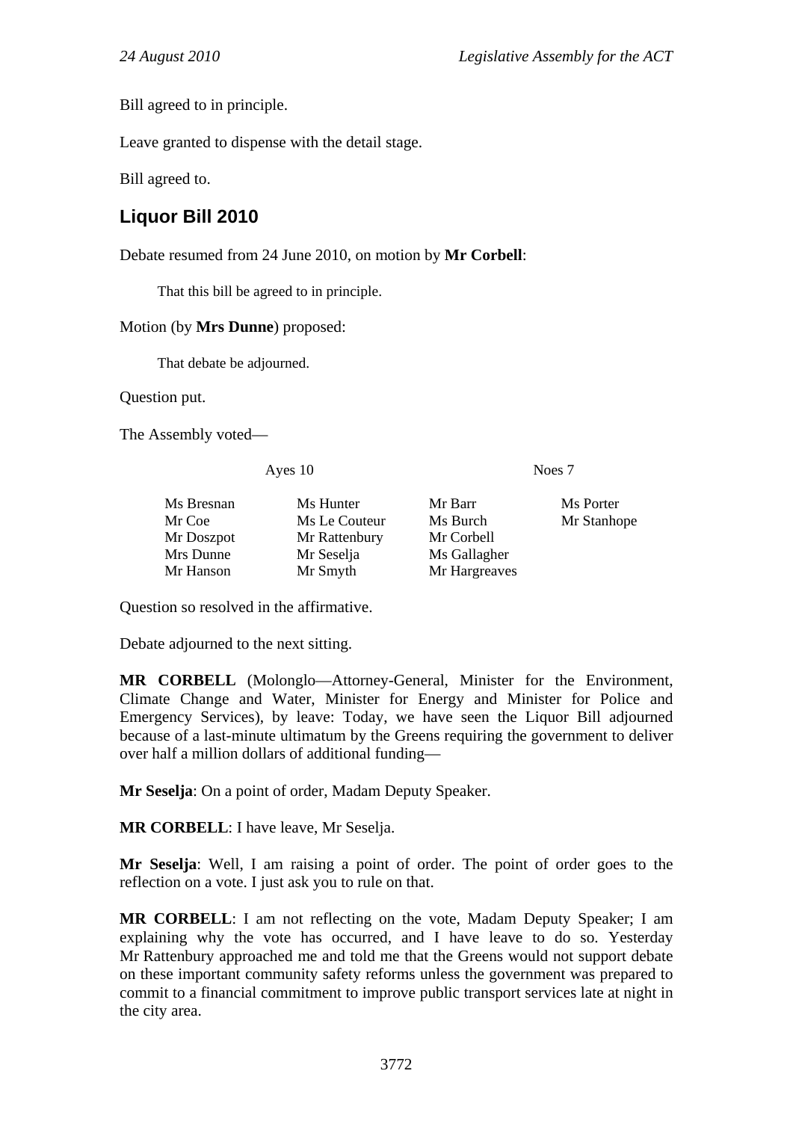Bill agreed to in principle.

Leave granted to dispense with the detail stage.

Bill agreed to.

# <span id="page-21-0"></span>**Liquor Bill 2010**

Debate resumed from 24 June 2010, on motion by **Mr Corbell**:

That this bill be agreed to in principle.

#### Motion (by **Mrs Dunne**) proposed:

That debate be adjourned.

Question put.

The Assembly voted—

Ayes 10 Noes 7

| Ms Bresnan | Ms Hunter     | Mr Barr       | Ms Porter   |
|------------|---------------|---------------|-------------|
| Mr Coe     | Ms Le Couteur | Ms Burch      | Mr Stanhope |
| Mr Doszpot | Mr Rattenbury | Mr Corbell    |             |
| Mrs Dunne  | Mr Seselja    | Ms Gallagher  |             |
| Mr Hanson  | Mr Smyth      | Mr Hargreaves |             |

Question so resolved in the affirmative.

Debate adjourned to the next sitting.

**MR CORBELL** (Molonglo—Attorney-General, Minister for the Environment, Climate Change and Water, Minister for Energy and Minister for Police and Emergency Services), by leave: Today, we have seen the Liquor Bill adjourned because of a last-minute ultimatum by the Greens requiring the government to deliver over half a million dollars of additional funding—

**Mr Seselja**: On a point of order, Madam Deputy Speaker.

**MR CORBELL**: I have leave, Mr Seselja.

**Mr Seselja**: Well, I am raising a point of order. The point of order goes to the reflection on a vote. I just ask you to rule on that.

**MR CORBELL**: I am not reflecting on the vote, Madam Deputy Speaker; I am explaining why the vote has occurred, and I have leave to do so. Yesterday Mr Rattenbury approached me and told me that the Greens would not support debate on these important community safety reforms unless the government was prepared to commit to a financial commitment to improve public transport services late at night in the city area.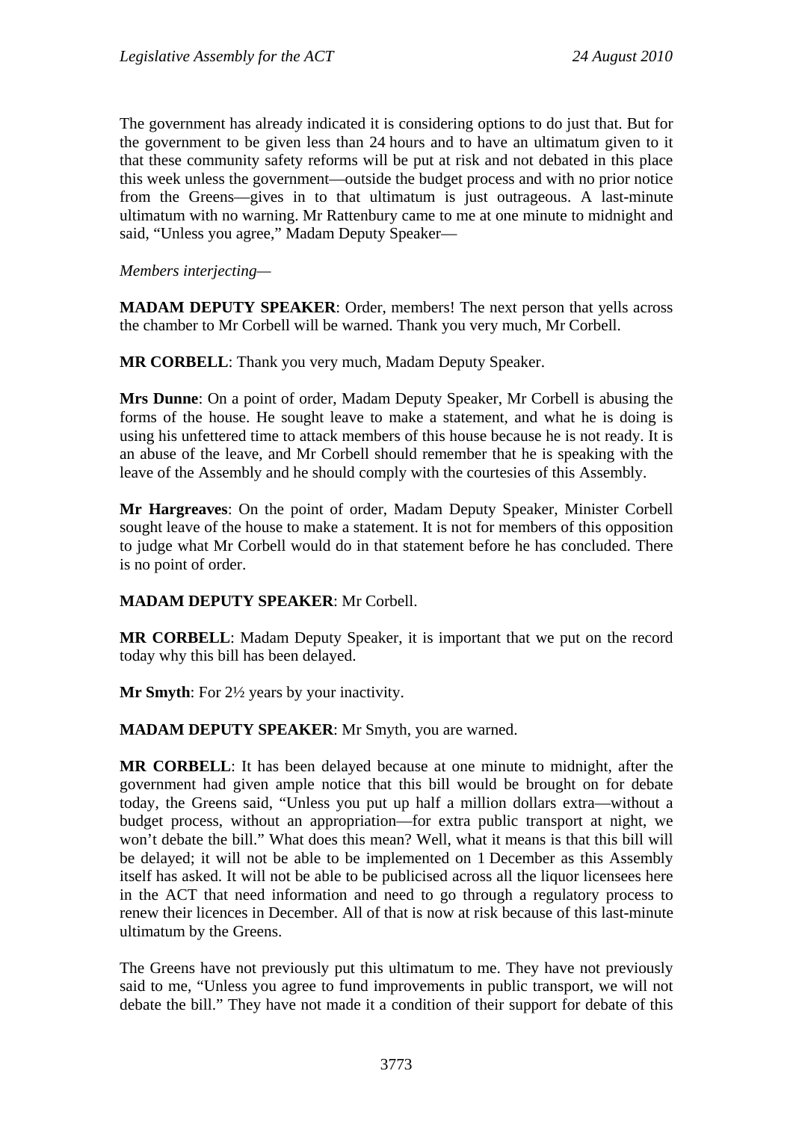The government has already indicated it is considering options to do just that. But for the government to be given less than 24 hours and to have an ultimatum given to it that these community safety reforms will be put at risk and not debated in this place this week unless the government—outside the budget process and with no prior notice from the Greens—gives in to that ultimatum is just outrageous. A last-minute ultimatum with no warning. Mr Rattenbury came to me at one minute to midnight and said, "Unless you agree," Madam Deputy Speaker—

*Members interjecting—* 

**MADAM DEPUTY SPEAKER**: Order, members! The next person that yells across the chamber to Mr Corbell will be warned. Thank you very much, Mr Corbell.

**MR CORBELL**: Thank you very much, Madam Deputy Speaker.

**Mrs Dunne**: On a point of order, Madam Deputy Speaker, Mr Corbell is abusing the forms of the house. He sought leave to make a statement, and what he is doing is using his unfettered time to attack members of this house because he is not ready. It is an abuse of the leave, and Mr Corbell should remember that he is speaking with the leave of the Assembly and he should comply with the courtesies of this Assembly.

**Mr Hargreaves**: On the point of order, Madam Deputy Speaker, Minister Corbell sought leave of the house to make a statement. It is not for members of this opposition to judge what Mr Corbell would do in that statement before he has concluded. There is no point of order.

#### **MADAM DEPUTY SPEAKER**: Mr Corbell.

**MR CORBELL**: Madam Deputy Speaker, it is important that we put on the record today why this bill has been delayed.

**Mr Smyth**: For 2½ years by your inactivity.

**MADAM DEPUTY SPEAKER**: Mr Smyth, you are warned.

**MR CORBELL**: It has been delayed because at one minute to midnight, after the government had given ample notice that this bill would be brought on for debate today, the Greens said, "Unless you put up half a million dollars extra—without a budget process, without an appropriation—for extra public transport at night, we won't debate the bill." What does this mean? Well, what it means is that this bill will be delayed; it will not be able to be implemented on 1 December as this Assembly itself has asked. It will not be able to be publicised across all the liquor licensees here in the ACT that need information and need to go through a regulatory process to renew their licences in December. All of that is now at risk because of this last-minute ultimatum by the Greens.

The Greens have not previously put this ultimatum to me. They have not previously said to me, "Unless you agree to fund improvements in public transport, we will not debate the bill." They have not made it a condition of their support for debate of this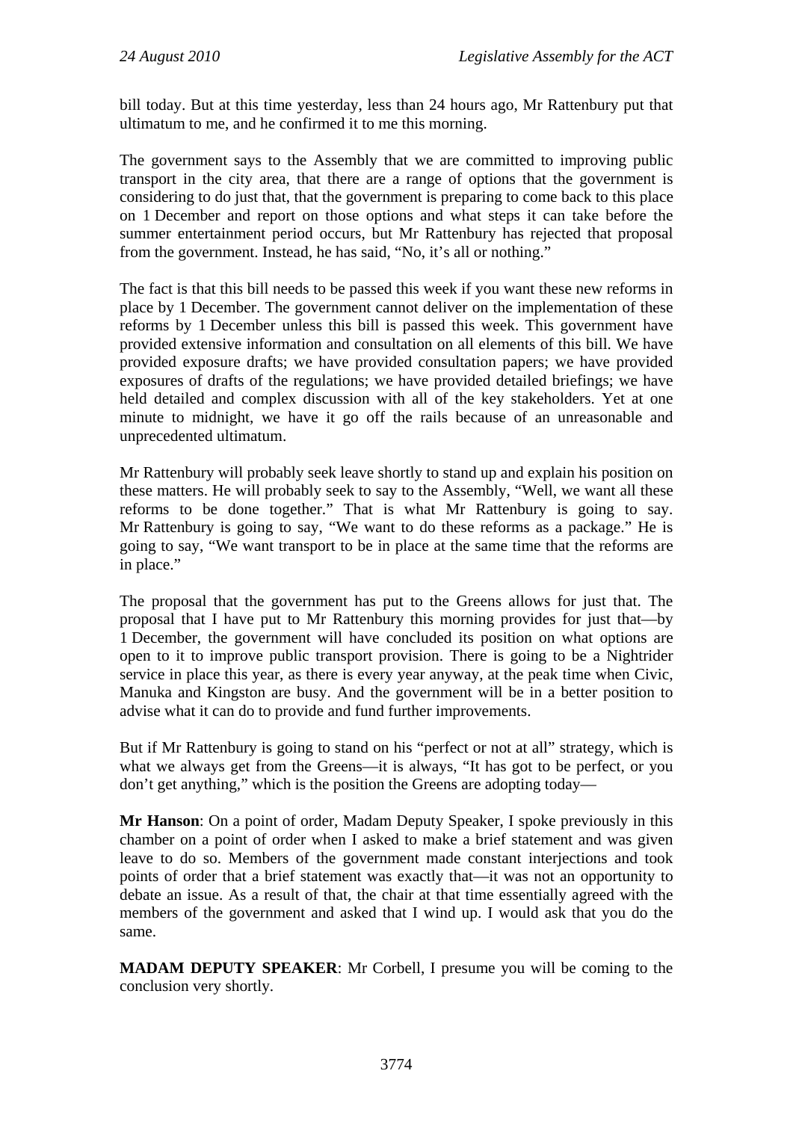bill today. But at this time yesterday, less than 24 hours ago, Mr Rattenbury put that ultimatum to me, and he confirmed it to me this morning.

The government says to the Assembly that we are committed to improving public transport in the city area, that there are a range of options that the government is considering to do just that, that the government is preparing to come back to this place on 1 December and report on those options and what steps it can take before the summer entertainment period occurs, but Mr Rattenbury has rejected that proposal from the government. Instead, he has said, "No, it's all or nothing."

The fact is that this bill needs to be passed this week if you want these new reforms in place by 1 December. The government cannot deliver on the implementation of these reforms by 1 December unless this bill is passed this week. This government have provided extensive information and consultation on all elements of this bill. We have provided exposure drafts; we have provided consultation papers; we have provided exposures of drafts of the regulations; we have provided detailed briefings; we have held detailed and complex discussion with all of the key stakeholders. Yet at one minute to midnight, we have it go off the rails because of an unreasonable and unprecedented ultimatum.

Mr Rattenbury will probably seek leave shortly to stand up and explain his position on these matters. He will probably seek to say to the Assembly, "Well, we want all these reforms to be done together." That is what Mr Rattenbury is going to say. Mr Rattenbury is going to say, "We want to do these reforms as a package." He is going to say, "We want transport to be in place at the same time that the reforms are in place."

The proposal that the government has put to the Greens allows for just that. The proposal that I have put to Mr Rattenbury this morning provides for just that—by 1 December, the government will have concluded its position on what options are open to it to improve public transport provision. There is going to be a Nightrider service in place this year, as there is every year anyway, at the peak time when Civic, Manuka and Kingston are busy. And the government will be in a better position to advise what it can do to provide and fund further improvements.

But if Mr Rattenbury is going to stand on his "perfect or not at all" strategy, which is what we always get from the Greens—it is always, "It has got to be perfect, or you don't get anything," which is the position the Greens are adopting today—

**Mr Hanson**: On a point of order, Madam Deputy Speaker, I spoke previously in this chamber on a point of order when I asked to make a brief statement and was given leave to do so. Members of the government made constant interjections and took points of order that a brief statement was exactly that—it was not an opportunity to debate an issue. As a result of that, the chair at that time essentially agreed with the members of the government and asked that I wind up. I would ask that you do the same.

**MADAM DEPUTY SPEAKER**: Mr Corbell, I presume you will be coming to the conclusion very shortly.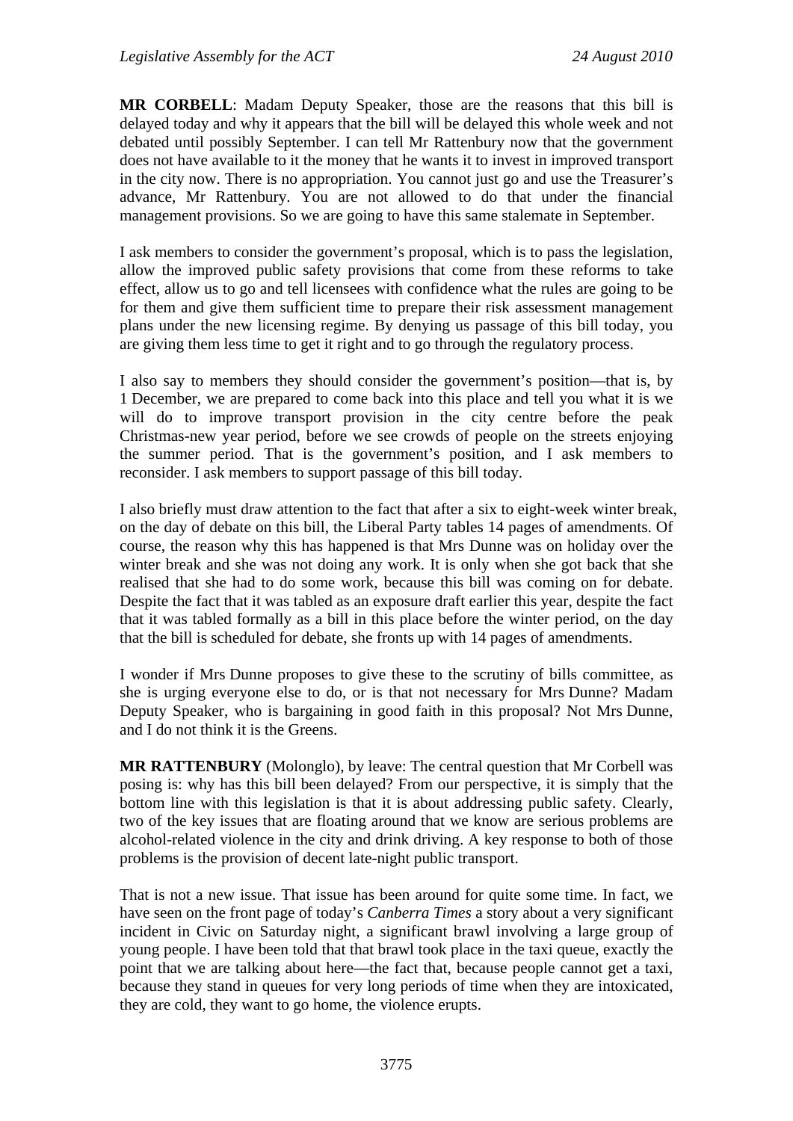**MR CORBELL**: Madam Deputy Speaker, those are the reasons that this bill is delayed today and why it appears that the bill will be delayed this whole week and not debated until possibly September. I can tell Mr Rattenbury now that the government does not have available to it the money that he wants it to invest in improved transport in the city now. There is no appropriation. You cannot just go and use the Treasurer's advance, Mr Rattenbury. You are not allowed to do that under the financial management provisions. So we are going to have this same stalemate in September.

I ask members to consider the government's proposal, which is to pass the legislation, allow the improved public safety provisions that come from these reforms to take effect, allow us to go and tell licensees with confidence what the rules are going to be for them and give them sufficient time to prepare their risk assessment management plans under the new licensing regime. By denying us passage of this bill today, you are giving them less time to get it right and to go through the regulatory process.

I also say to members they should consider the government's position—that is, by 1 December, we are prepared to come back into this place and tell you what it is we will do to improve transport provision in the city centre before the peak Christmas-new year period, before we see crowds of people on the streets enjoying the summer period. That is the government's position, and I ask members to reconsider. I ask members to support passage of this bill today.

I also briefly must draw attention to the fact that after a six to eight-week winter break, on the day of debate on this bill, the Liberal Party tables 14 pages of amendments. Of course, the reason why this has happened is that Mrs Dunne was on holiday over the winter break and she was not doing any work. It is only when she got back that she realised that she had to do some work, because this bill was coming on for debate. Despite the fact that it was tabled as an exposure draft earlier this year, despite the fact that it was tabled formally as a bill in this place before the winter period, on the day that the bill is scheduled for debate, she fronts up with 14 pages of amendments.

I wonder if Mrs Dunne proposes to give these to the scrutiny of bills committee, as she is urging everyone else to do, or is that not necessary for Mrs Dunne? Madam Deputy Speaker, who is bargaining in good faith in this proposal? Not Mrs Dunne, and I do not think it is the Greens.

**MR RATTENBURY** (Molonglo), by leave: The central question that Mr Corbell was posing is: why has this bill been delayed? From our perspective, it is simply that the bottom line with this legislation is that it is about addressing public safety. Clearly, two of the key issues that are floating around that we know are serious problems are alcohol-related violence in the city and drink driving. A key response to both of those problems is the provision of decent late-night public transport.

That is not a new issue. That issue has been around for quite some time. In fact, we have seen on the front page of today's *Canberra Times* a story about a very significant incident in Civic on Saturday night, a significant brawl involving a large group of young people. I have been told that that brawl took place in the taxi queue, exactly the point that we are talking about here—the fact that, because people cannot get a taxi, because they stand in queues for very long periods of time when they are intoxicated, they are cold, they want to go home, the violence erupts.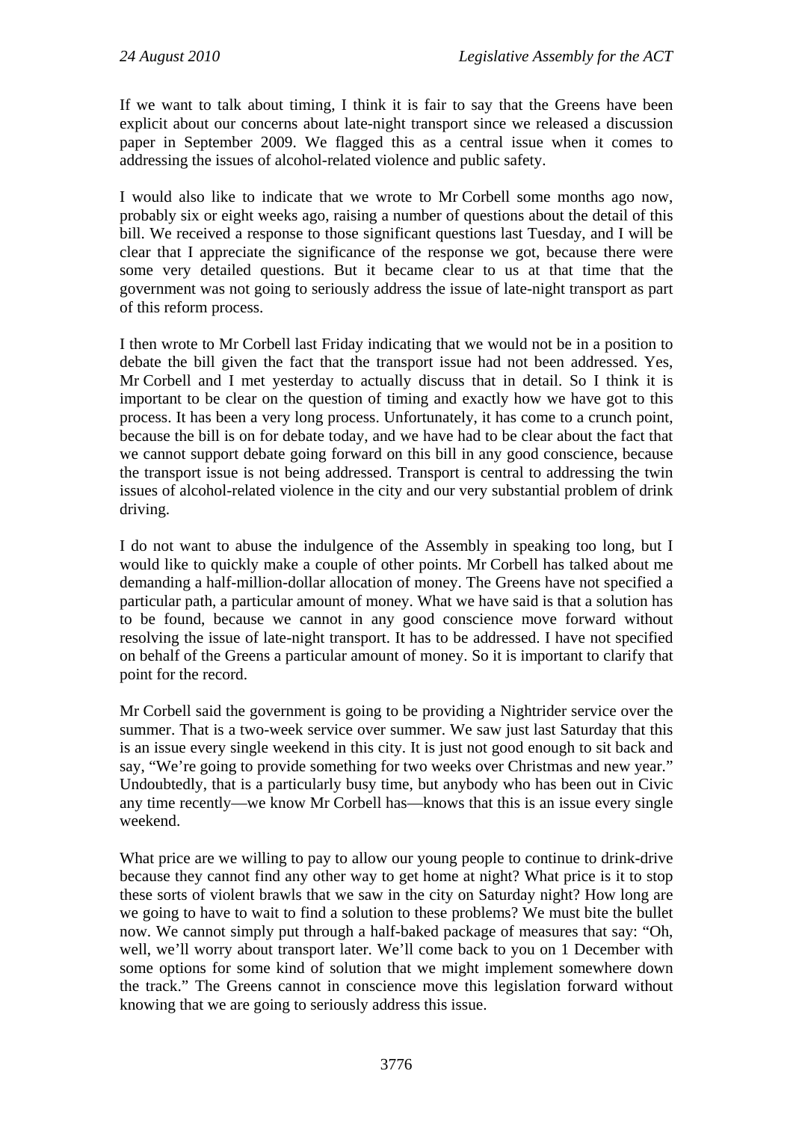If we want to talk about timing, I think it is fair to say that the Greens have been explicit about our concerns about late-night transport since we released a discussion paper in September 2009. We flagged this as a central issue when it comes to addressing the issues of alcohol-related violence and public safety.

I would also like to indicate that we wrote to Mr Corbell some months ago now, probably six or eight weeks ago, raising a number of questions about the detail of this bill. We received a response to those significant questions last Tuesday, and I will be clear that I appreciate the significance of the response we got, because there were some very detailed questions. But it became clear to us at that time that the government was not going to seriously address the issue of late-night transport as part of this reform process.

I then wrote to Mr Corbell last Friday indicating that we would not be in a position to debate the bill given the fact that the transport issue had not been addressed. Yes, Mr Corbell and I met yesterday to actually discuss that in detail. So I think it is important to be clear on the question of timing and exactly how we have got to this process. It has been a very long process. Unfortunately, it has come to a crunch point, because the bill is on for debate today, and we have had to be clear about the fact that we cannot support debate going forward on this bill in any good conscience, because the transport issue is not being addressed. Transport is central to addressing the twin issues of alcohol-related violence in the city and our very substantial problem of drink driving.

I do not want to abuse the indulgence of the Assembly in speaking too long, but I would like to quickly make a couple of other points. Mr Corbell has talked about me demanding a half-million-dollar allocation of money. The Greens have not specified a particular path, a particular amount of money. What we have said is that a solution has to be found, because we cannot in any good conscience move forward without resolving the issue of late-night transport. It has to be addressed. I have not specified on behalf of the Greens a particular amount of money. So it is important to clarify that point for the record.

Mr Corbell said the government is going to be providing a Nightrider service over the summer. That is a two-week service over summer. We saw just last Saturday that this is an issue every single weekend in this city. It is just not good enough to sit back and say, "We're going to provide something for two weeks over Christmas and new year." Undoubtedly, that is a particularly busy time, but anybody who has been out in Civic any time recently—we know Mr Corbell has—knows that this is an issue every single weekend.

What price are we willing to pay to allow our young people to continue to drink-drive because they cannot find any other way to get home at night? What price is it to stop these sorts of violent brawls that we saw in the city on Saturday night? How long are we going to have to wait to find a solution to these problems? We must bite the bullet now. We cannot simply put through a half-baked package of measures that say: "Oh, well, we'll worry about transport later. We'll come back to you on 1 December with some options for some kind of solution that we might implement somewhere down the track." The Greens cannot in conscience move this legislation forward without knowing that we are going to seriously address this issue.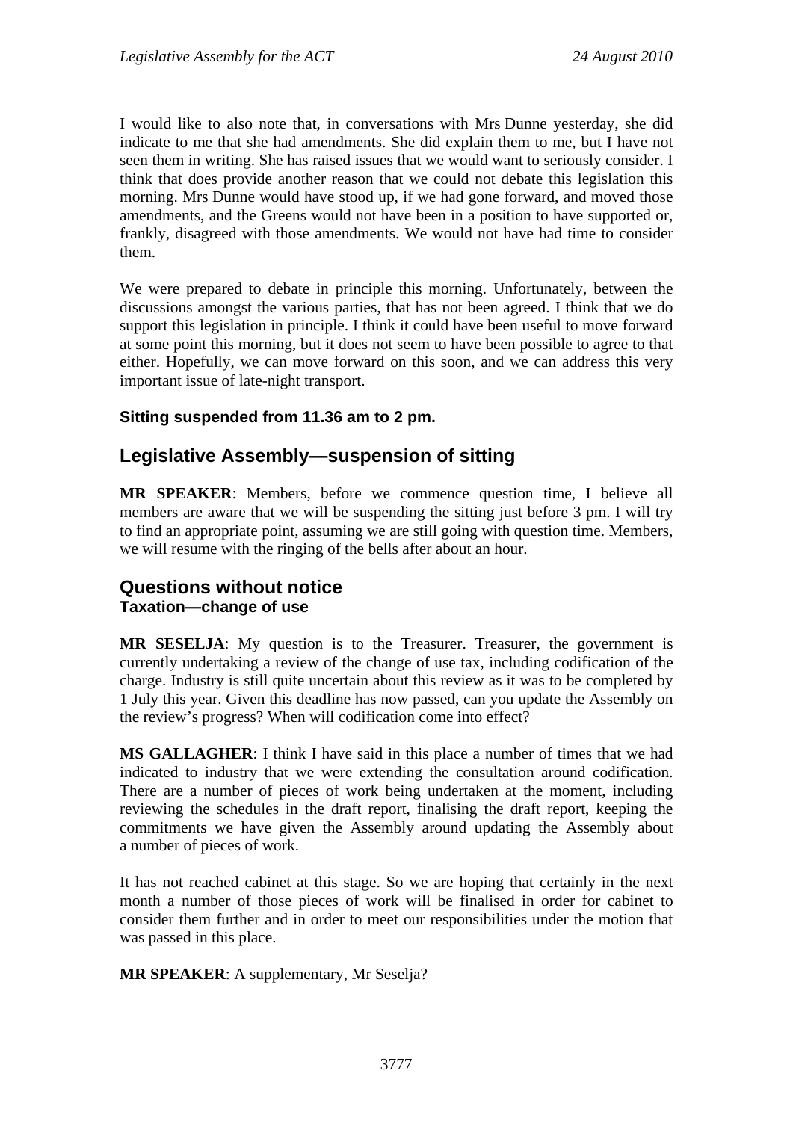I would like to also note that, in conversations with Mrs Dunne yesterday, she did indicate to me that she had amendments. She did explain them to me, but I have not seen them in writing. She has raised issues that we would want to seriously consider. I think that does provide another reason that we could not debate this legislation this morning. Mrs Dunne would have stood up, if we had gone forward, and moved those amendments, and the Greens would not have been in a position to have supported or, frankly, disagreed with those amendments. We would not have had time to consider them.

We were prepared to debate in principle this morning. Unfortunately, between the discussions amongst the various parties, that has not been agreed. I think that we do support this legislation in principle. I think it could have been useful to move forward at some point this morning, but it does not seem to have been possible to agree to that either. Hopefully, we can move forward on this soon, and we can address this very important issue of late-night transport.

## **Sitting suspended from 11.36 am to 2 pm.**

# <span id="page-26-0"></span>**Legislative Assembly—suspension of sitting**

**MR SPEAKER**: Members, before we commence question time, I believe all members are aware that we will be suspending the sitting just before 3 pm. I will try to find an appropriate point, assuming we are still going with question time. Members, we will resume with the ringing of the bells after about an hour.

# <span id="page-26-2"></span><span id="page-26-1"></span>**Questions without notice Taxation—change of use**

**MR SESELJA**: My question is to the Treasurer. Treasurer, the government is currently undertaking a review of the change of use tax, including codification of the charge. Industry is still quite uncertain about this review as it was to be completed by 1 July this year. Given this deadline has now passed, can you update the Assembly on the review's progress? When will codification come into effect?

**MS GALLAGHER**: I think I have said in this place a number of times that we had indicated to industry that we were extending the consultation around codification. There are a number of pieces of work being undertaken at the moment, including reviewing the schedules in the draft report, finalising the draft report, keeping the commitments we have given the Assembly around updating the Assembly about a number of pieces of work.

It has not reached cabinet at this stage. So we are hoping that certainly in the next month a number of those pieces of work will be finalised in order for cabinet to consider them further and in order to meet our responsibilities under the motion that was passed in this place.

**MR SPEAKER**: A supplementary, Mr Seselja?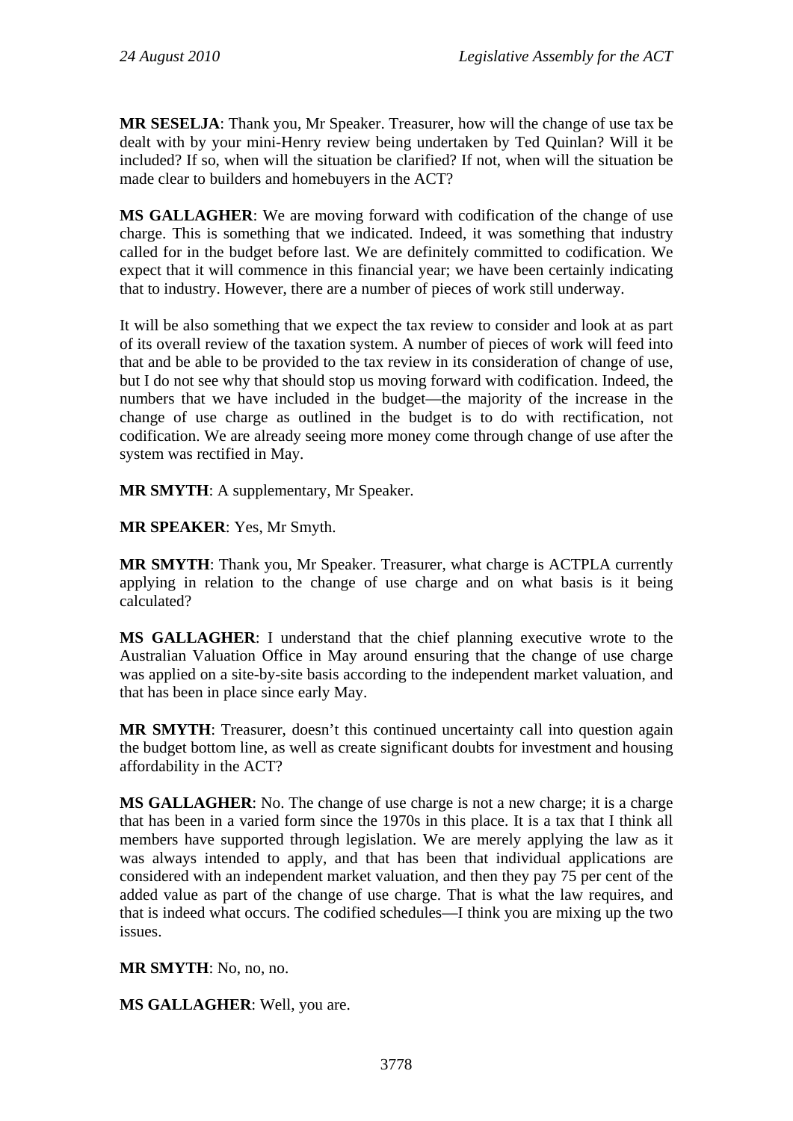**MR SESELJA**: Thank you, Mr Speaker. Treasurer, how will the change of use tax be dealt with by your mini-Henry review being undertaken by Ted Quinlan? Will it be included? If so, when will the situation be clarified? If not, when will the situation be made clear to builders and homebuyers in the ACT?

**MS GALLAGHER**: We are moving forward with codification of the change of use charge. This is something that we indicated. Indeed, it was something that industry called for in the budget before last. We are definitely committed to codification. We expect that it will commence in this financial year; we have been certainly indicating that to industry. However, there are a number of pieces of work still underway.

It will be also something that we expect the tax review to consider and look at as part of its overall review of the taxation system. A number of pieces of work will feed into that and be able to be provided to the tax review in its consideration of change of use, but I do not see why that should stop us moving forward with codification. Indeed, the numbers that we have included in the budget—the majority of the increase in the change of use charge as outlined in the budget is to do with rectification, not codification. We are already seeing more money come through change of use after the system was rectified in May.

**MR SMYTH**: A supplementary, Mr Speaker.

**MR SPEAKER**: Yes, Mr Smyth.

**MR SMYTH**: Thank you, Mr Speaker. Treasurer, what charge is ACTPLA currently applying in relation to the change of use charge and on what basis is it being calculated?

**MS GALLAGHER**: I understand that the chief planning executive wrote to the Australian Valuation Office in May around ensuring that the change of use charge was applied on a site-by-site basis according to the independent market valuation, and that has been in place since early May.

**MR SMYTH**: Treasurer, doesn't this continued uncertainty call into question again the budget bottom line, as well as create significant doubts for investment and housing affordability in the ACT?

**MS GALLAGHER:** No. The change of use charge is not a new charge; it is a charge that has been in a varied form since the 1970s in this place. It is a tax that I think all members have supported through legislation. We are merely applying the law as it was always intended to apply, and that has been that individual applications are considered with an independent market valuation, and then they pay 75 per cent of the added value as part of the change of use charge. That is what the law requires, and that is indeed what occurs. The codified schedules—I think you are mixing up the two issues.

**MR SMYTH**: No, no, no.

**MS GALLAGHER**: Well, you are.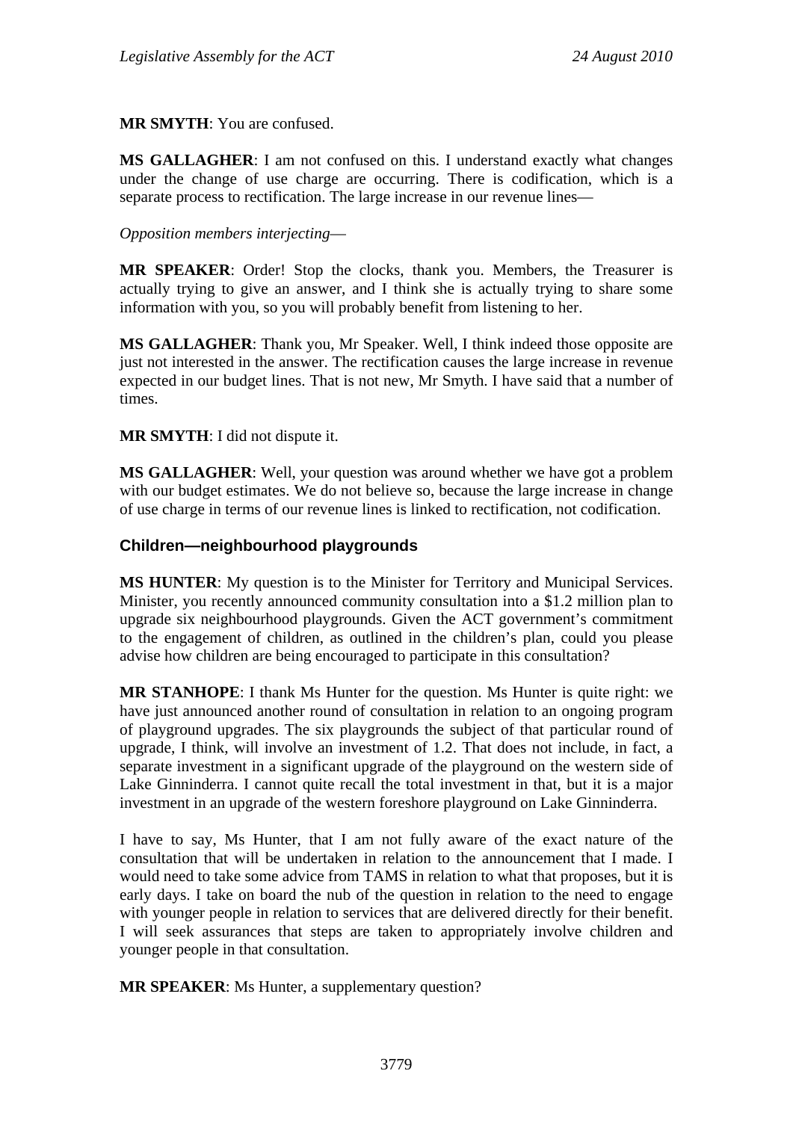#### **MR SMYTH**: You are confused.

**MS GALLAGHER**: I am not confused on this. I understand exactly what changes under the change of use charge are occurring. There is codification, which is a separate process to rectification. The large increase in our revenue lines—

#### *Opposition members interjecting*—

**MR SPEAKER**: Order! Stop the clocks, thank you. Members, the Treasurer is actually trying to give an answer, and I think she is actually trying to share some information with you, so you will probably benefit from listening to her.

**MS GALLAGHER**: Thank you, Mr Speaker. Well, I think indeed those opposite are just not interested in the answer. The rectification causes the large increase in revenue expected in our budget lines. That is not new, Mr Smyth. I have said that a number of times.

#### **MR SMYTH**: I did not dispute it.

**MS GALLAGHER**: Well, your question was around whether we have got a problem with our budget estimates. We do not believe so, because the large increase in change of use charge in terms of our revenue lines is linked to rectification, not codification.

#### <span id="page-28-0"></span>**Children—neighbourhood playgrounds**

**MS HUNTER**: My question is to the Minister for Territory and Municipal Services. Minister, you recently announced community consultation into a \$1.2 million plan to upgrade six neighbourhood playgrounds. Given the ACT government's commitment to the engagement of children, as outlined in the children's plan, could you please advise how children are being encouraged to participate in this consultation?

**MR STANHOPE**: I thank Ms Hunter for the question. Ms Hunter is quite right: we have just announced another round of consultation in relation to an ongoing program of playground upgrades. The six playgrounds the subject of that particular round of upgrade, I think, will involve an investment of 1.2. That does not include, in fact, a separate investment in a significant upgrade of the playground on the western side of Lake Ginninderra. I cannot quite recall the total investment in that, but it is a major investment in an upgrade of the western foreshore playground on Lake Ginninderra.

I have to say, Ms Hunter, that I am not fully aware of the exact nature of the consultation that will be undertaken in relation to the announcement that I made. I would need to take some advice from TAMS in relation to what that proposes, but it is early days. I take on board the nub of the question in relation to the need to engage with younger people in relation to services that are delivered directly for their benefit. I will seek assurances that steps are taken to appropriately involve children and younger people in that consultation.

**MR SPEAKER:** Ms Hunter, a supplementary question?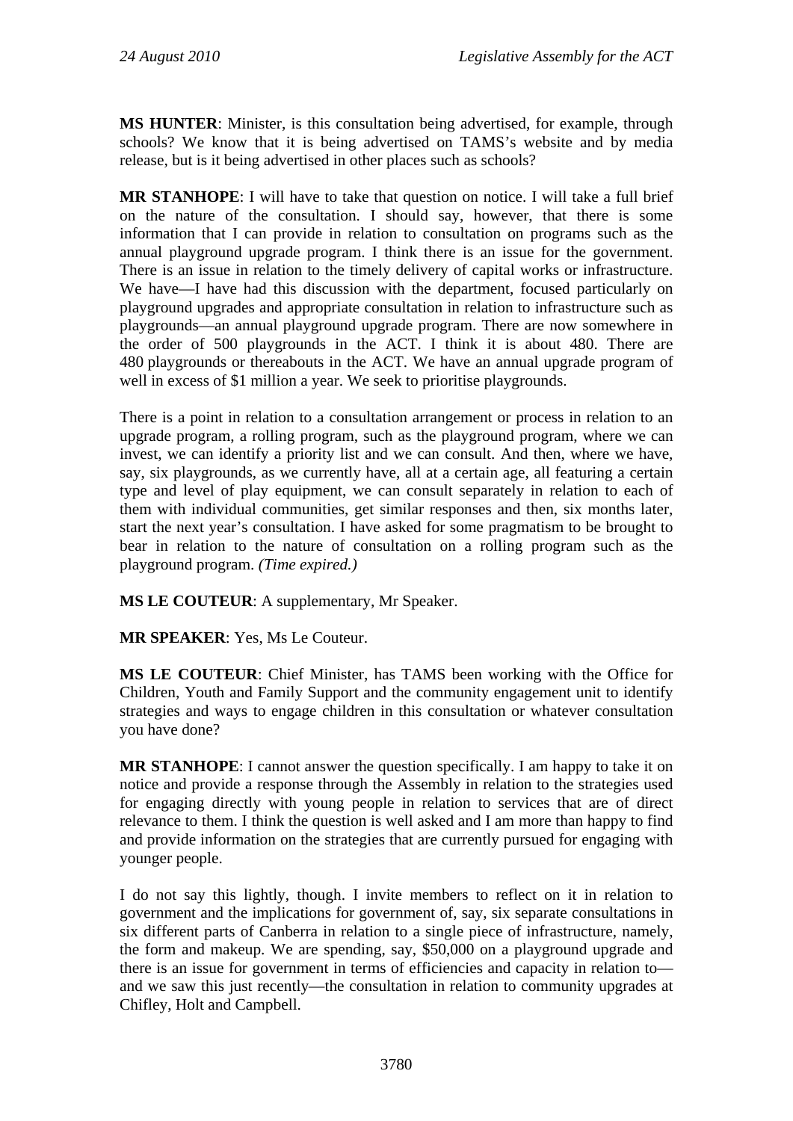**MS HUNTER**: Minister, is this consultation being advertised, for example, through schools? We know that it is being advertised on TAMS's website and by media release, but is it being advertised in other places such as schools?

**MR STANHOPE**: I will have to take that question on notice. I will take a full brief on the nature of the consultation. I should say, however, that there is some information that I can provide in relation to consultation on programs such as the annual playground upgrade program. I think there is an issue for the government. There is an issue in relation to the timely delivery of capital works or infrastructure. We have—I have had this discussion with the department, focused particularly on playground upgrades and appropriate consultation in relation to infrastructure such as playgrounds—an annual playground upgrade program. There are now somewhere in the order of 500 playgrounds in the ACT. I think it is about 480. There are 480 playgrounds or thereabouts in the ACT. We have an annual upgrade program of well in excess of \$1 million a year. We seek to prioritise playgrounds.

There is a point in relation to a consultation arrangement or process in relation to an upgrade program, a rolling program, such as the playground program, where we can invest, we can identify a priority list and we can consult. And then, where we have, say, six playgrounds, as we currently have, all at a certain age, all featuring a certain type and level of play equipment, we can consult separately in relation to each of them with individual communities, get similar responses and then, six months later, start the next year's consultation. I have asked for some pragmatism to be brought to bear in relation to the nature of consultation on a rolling program such as the playground program. *(Time expired.)*

**MS LE COUTEUR**: A supplementary, Mr Speaker.

**MR SPEAKER**: Yes, Ms Le Couteur.

**MS LE COUTEUR**: Chief Minister, has TAMS been working with the Office for Children, Youth and Family Support and the community engagement unit to identify strategies and ways to engage children in this consultation or whatever consultation you have done?

**MR STANHOPE**: I cannot answer the question specifically. I am happy to take it on notice and provide a response through the Assembly in relation to the strategies used for engaging directly with young people in relation to services that are of direct relevance to them. I think the question is well asked and I am more than happy to find and provide information on the strategies that are currently pursued for engaging with younger people.

I do not say this lightly, though. I invite members to reflect on it in relation to government and the implications for government of, say, six separate consultations in six different parts of Canberra in relation to a single piece of infrastructure, namely, the form and makeup. We are spending, say, \$50,000 on a playground upgrade and there is an issue for government in terms of efficiencies and capacity in relation to and we saw this just recently—the consultation in relation to community upgrades at Chifley, Holt and Campbell.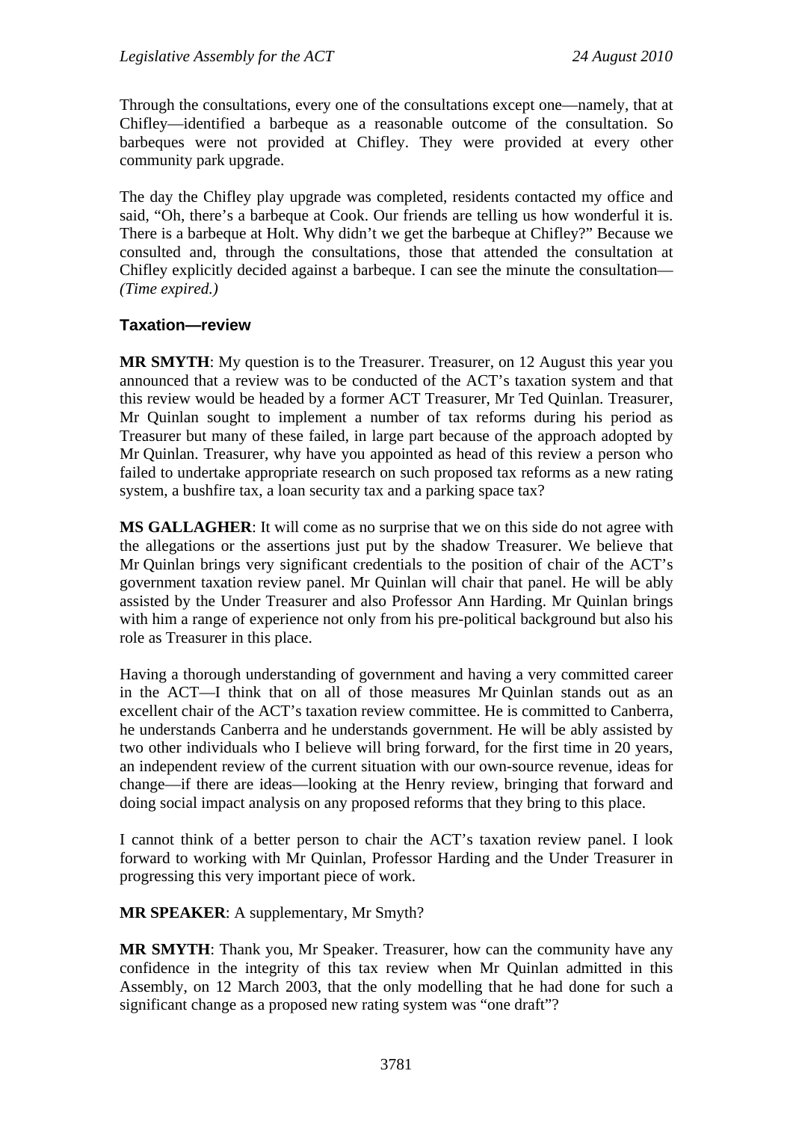Through the consultations, every one of the consultations except one—namely, that at Chifley—identified a barbeque as a reasonable outcome of the consultation. So barbeques were not provided at Chifley. They were provided at every other community park upgrade.

The day the Chifley play upgrade was completed, residents contacted my office and said, "Oh, there's a barbeque at Cook. Our friends are telling us how wonderful it is. There is a barbeque at Holt. Why didn't we get the barbeque at Chifley?" Because we consulted and, through the consultations, those that attended the consultation at Chifley explicitly decided against a barbeque. I can see the minute the consultation— *(Time expired.)*

#### <span id="page-30-0"></span>**Taxation—review**

**MR SMYTH**: My question is to the Treasurer. Treasurer, on 12 August this year you announced that a review was to be conducted of the ACT's taxation system and that this review would be headed by a former ACT Treasurer, Mr Ted Quinlan. Treasurer, Mr Quinlan sought to implement a number of tax reforms during his period as Treasurer but many of these failed, in large part because of the approach adopted by Mr Quinlan. Treasurer, why have you appointed as head of this review a person who failed to undertake appropriate research on such proposed tax reforms as a new rating system, a bushfire tax, a loan security tax and a parking space tax?

**MS GALLAGHER**: It will come as no surprise that we on this side do not agree with the allegations or the assertions just put by the shadow Treasurer. We believe that Mr Quinlan brings very significant credentials to the position of chair of the ACT's government taxation review panel. Mr Quinlan will chair that panel. He will be ably assisted by the Under Treasurer and also Professor Ann Harding. Mr Quinlan brings with him a range of experience not only from his pre-political background but also his role as Treasurer in this place.

Having a thorough understanding of government and having a very committed career in the ACT—I think that on all of those measures Mr Quinlan stands out as an excellent chair of the ACT's taxation review committee. He is committed to Canberra, he understands Canberra and he understands government. He will be ably assisted by two other individuals who I believe will bring forward, for the first time in 20 years, an independent review of the current situation with our own-source revenue, ideas for change—if there are ideas—looking at the Henry review, bringing that forward and doing social impact analysis on any proposed reforms that they bring to this place.

I cannot think of a better person to chair the ACT's taxation review panel. I look forward to working with Mr Quinlan, Professor Harding and the Under Treasurer in progressing this very important piece of work.

**MR SPEAKER**: A supplementary, Mr Smyth?

**MR SMYTH**: Thank you, Mr Speaker. Treasurer, how can the community have any confidence in the integrity of this tax review when Mr Quinlan admitted in this Assembly, on 12 March 2003, that the only modelling that he had done for such a significant change as a proposed new rating system was "one draft"?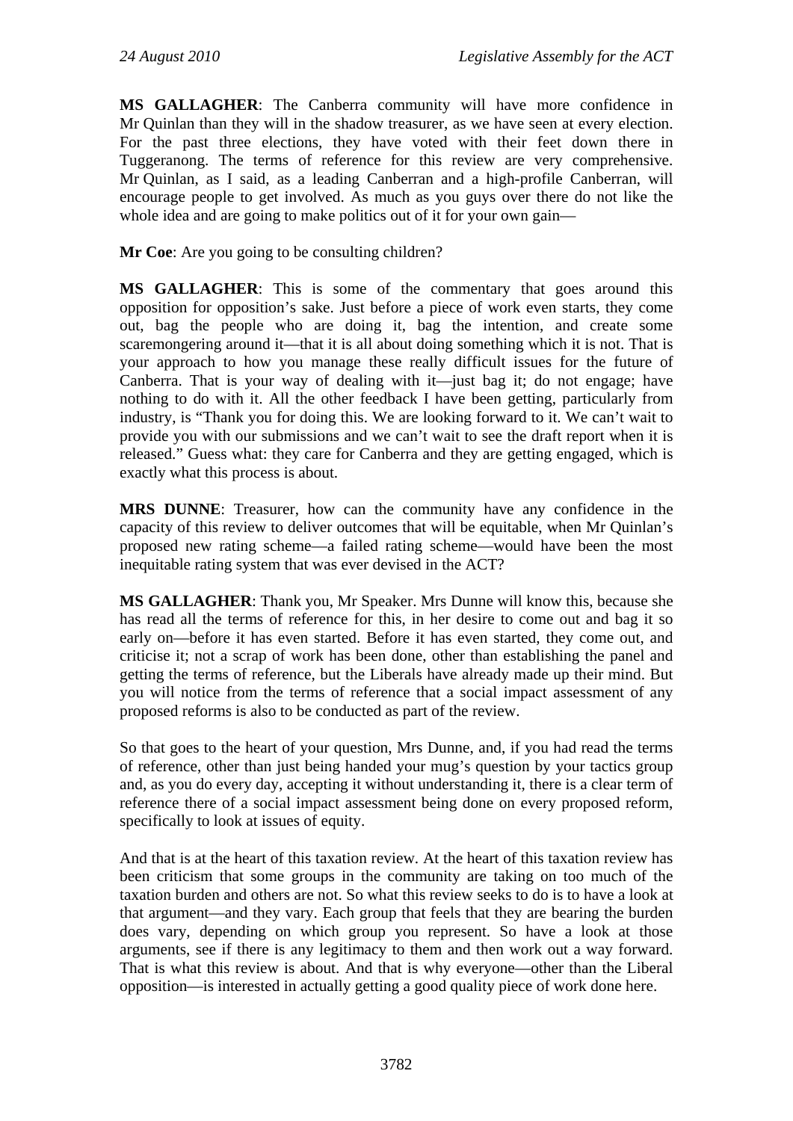**MS GALLAGHER**: The Canberra community will have more confidence in Mr Quinlan than they will in the shadow treasurer, as we have seen at every election. For the past three elections, they have voted with their feet down there in Tuggeranong. The terms of reference for this review are very comprehensive. Mr Quinlan, as I said, as a leading Canberran and a high-profile Canberran, will encourage people to get involved. As much as you guys over there do not like the whole idea and are going to make politics out of it for your own gain—

**Mr Coe**: Are you going to be consulting children?

**MS GALLAGHER**: This is some of the commentary that goes around this opposition for opposition's sake. Just before a piece of work even starts, they come out, bag the people who are doing it, bag the intention, and create some scaremongering around it—that it is all about doing something which it is not. That is your approach to how you manage these really difficult issues for the future of Canberra. That is your way of dealing with it—just bag it; do not engage; have nothing to do with it. All the other feedback I have been getting, particularly from industry, is "Thank you for doing this. We are looking forward to it. We can't wait to provide you with our submissions and we can't wait to see the draft report when it is released." Guess what: they care for Canberra and they are getting engaged, which is exactly what this process is about.

**MRS DUNNE**: Treasurer, how can the community have any confidence in the capacity of this review to deliver outcomes that will be equitable, when Mr Quinlan's proposed new rating scheme—a failed rating scheme—would have been the most inequitable rating system that was ever devised in the ACT?

**MS GALLAGHER**: Thank you, Mr Speaker. Mrs Dunne will know this, because she has read all the terms of reference for this, in her desire to come out and bag it so early on—before it has even started. Before it has even started, they come out, and criticise it; not a scrap of work has been done, other than establishing the panel and getting the terms of reference, but the Liberals have already made up their mind. But you will notice from the terms of reference that a social impact assessment of any proposed reforms is also to be conducted as part of the review.

So that goes to the heart of your question, Mrs Dunne, and, if you had read the terms of reference, other than just being handed your mug's question by your tactics group and, as you do every day, accepting it without understanding it, there is a clear term of reference there of a social impact assessment being done on every proposed reform, specifically to look at issues of equity.

And that is at the heart of this taxation review. At the heart of this taxation review has been criticism that some groups in the community are taking on too much of the taxation burden and others are not. So what this review seeks to do is to have a look at that argument—and they vary. Each group that feels that they are bearing the burden does vary, depending on which group you represent. So have a look at those arguments, see if there is any legitimacy to them and then work out a way forward. That is what this review is about. And that is why everyone—other than the Liberal opposition—is interested in actually getting a good quality piece of work done here.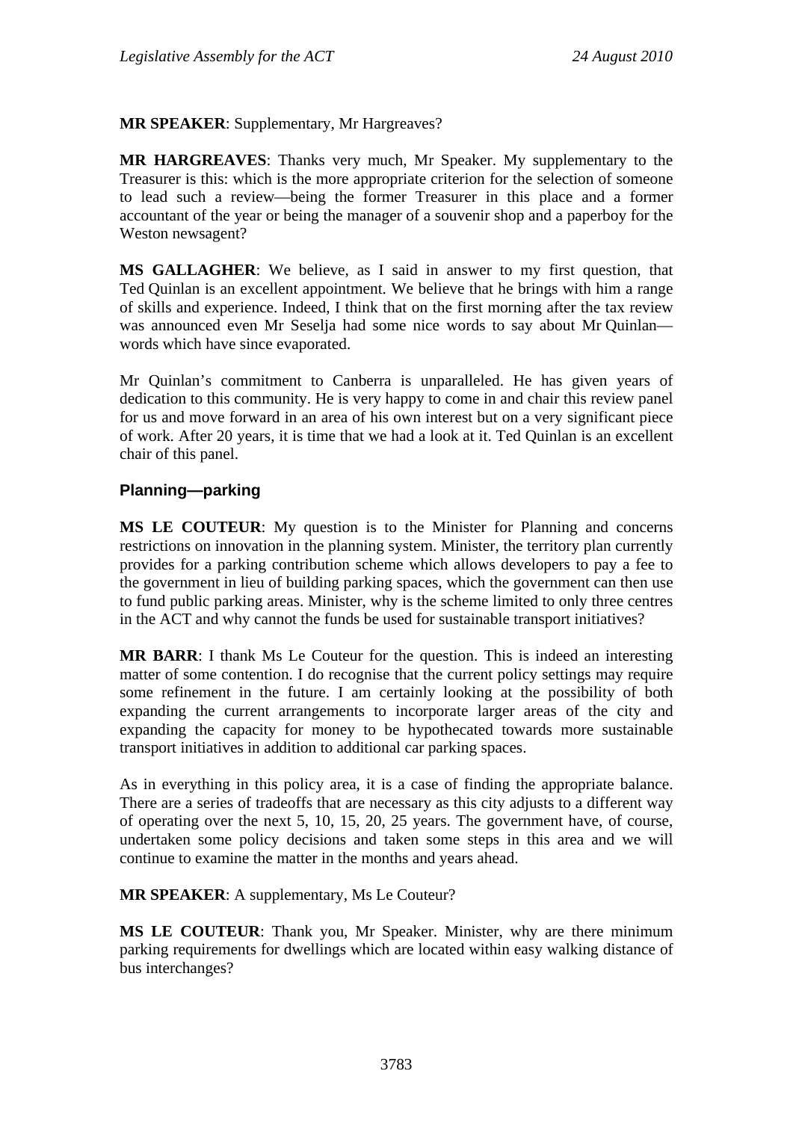**MR SPEAKER**: Supplementary, Mr Hargreaves?

**MR HARGREAVES**: Thanks very much, Mr Speaker. My supplementary to the Treasurer is this: which is the more appropriate criterion for the selection of someone to lead such a review—being the former Treasurer in this place and a former accountant of the year or being the manager of a souvenir shop and a paperboy for the Weston newsagent?

**MS GALLAGHER**: We believe, as I said in answer to my first question, that Ted Quinlan is an excellent appointment. We believe that he brings with him a range of skills and experience. Indeed, I think that on the first morning after the tax review was announced even Mr Seselja had some nice words to say about Mr Quinlan words which have since evaporated.

Mr Quinlan's commitment to Canberra is unparalleled. He has given years of dedication to this community. He is very happy to come in and chair this review panel for us and move forward in an area of his own interest but on a very significant piece of work. After 20 years, it is time that we had a look at it. Ted Quinlan is an excellent chair of this panel.

#### <span id="page-32-0"></span>**Planning—parking**

**MS LE COUTEUR**: My question is to the Minister for Planning and concerns restrictions on innovation in the planning system. Minister, the territory plan currently provides for a parking contribution scheme which allows developers to pay a fee to the government in lieu of building parking spaces, which the government can then use to fund public parking areas. Minister, why is the scheme limited to only three centres in the ACT and why cannot the funds be used for sustainable transport initiatives?

**MR BARR**: I thank Ms Le Couteur for the question. This is indeed an interesting matter of some contention. I do recognise that the current policy settings may require some refinement in the future. I am certainly looking at the possibility of both expanding the current arrangements to incorporate larger areas of the city and expanding the capacity for money to be hypothecated towards more sustainable transport initiatives in addition to additional car parking spaces.

As in everything in this policy area, it is a case of finding the appropriate balance. There are a series of tradeoffs that are necessary as this city adjusts to a different way of operating over the next 5, 10, 15, 20, 25 years. The government have, of course, undertaken some policy decisions and taken some steps in this area and we will continue to examine the matter in the months and years ahead.

**MR SPEAKER**: A supplementary, Ms Le Couteur?

**MS LE COUTEUR**: Thank you, Mr Speaker. Minister, why are there minimum parking requirements for dwellings which are located within easy walking distance of bus interchanges?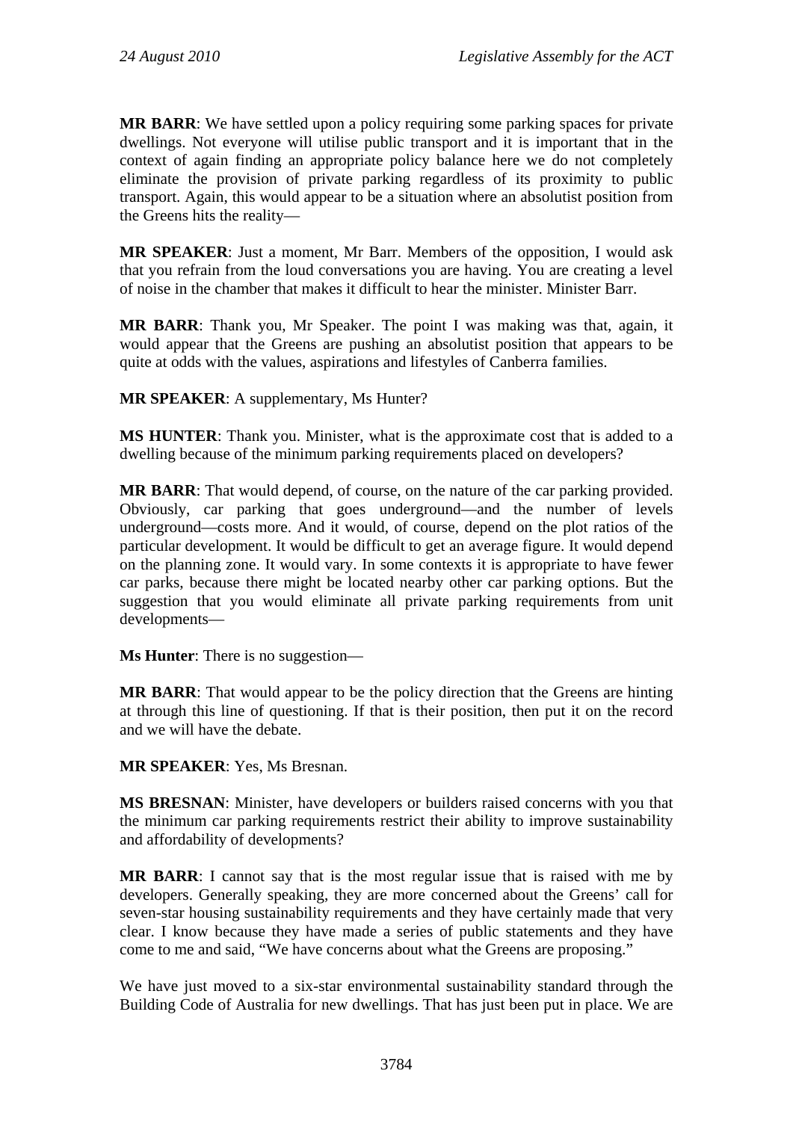**MR BARR**: We have settled upon a policy requiring some parking spaces for private dwellings. Not everyone will utilise public transport and it is important that in the context of again finding an appropriate policy balance here we do not completely eliminate the provision of private parking regardless of its proximity to public transport. Again, this would appear to be a situation where an absolutist position from the Greens hits the reality—

**MR SPEAKER**: Just a moment, Mr Barr. Members of the opposition, I would ask that you refrain from the loud conversations you are having. You are creating a level of noise in the chamber that makes it difficult to hear the minister. Minister Barr.

**MR BARR**: Thank you, Mr Speaker. The point I was making was that, again, it would appear that the Greens are pushing an absolutist position that appears to be quite at odds with the values, aspirations and lifestyles of Canberra families.

**MR SPEAKER**: A supplementary, Ms Hunter?

**MS HUNTER**: Thank you. Minister, what is the approximate cost that is added to a dwelling because of the minimum parking requirements placed on developers?

**MR BARR**: That would depend, of course, on the nature of the car parking provided. Obviously, car parking that goes underground—and the number of levels underground—costs more. And it would, of course, depend on the plot ratios of the particular development. It would be difficult to get an average figure. It would depend on the planning zone. It would vary. In some contexts it is appropriate to have fewer car parks, because there might be located nearby other car parking options. But the suggestion that you would eliminate all private parking requirements from unit developments—

**Ms Hunter**: There is no suggestion—

**MR BARR**: That would appear to be the policy direction that the Greens are hinting at through this line of questioning. If that is their position, then put it on the record and we will have the debate.

**MR SPEAKER**: Yes, Ms Bresnan.

**MS BRESNAN**: Minister, have developers or builders raised concerns with you that the minimum car parking requirements restrict their ability to improve sustainability and affordability of developments?

**MR BARR**: I cannot say that is the most regular issue that is raised with me by developers. Generally speaking, they are more concerned about the Greens' call for seven-star housing sustainability requirements and they have certainly made that very clear. I know because they have made a series of public statements and they have come to me and said, "We have concerns about what the Greens are proposing."

We have just moved to a six-star environmental sustainability standard through the Building Code of Australia for new dwellings. That has just been put in place. We are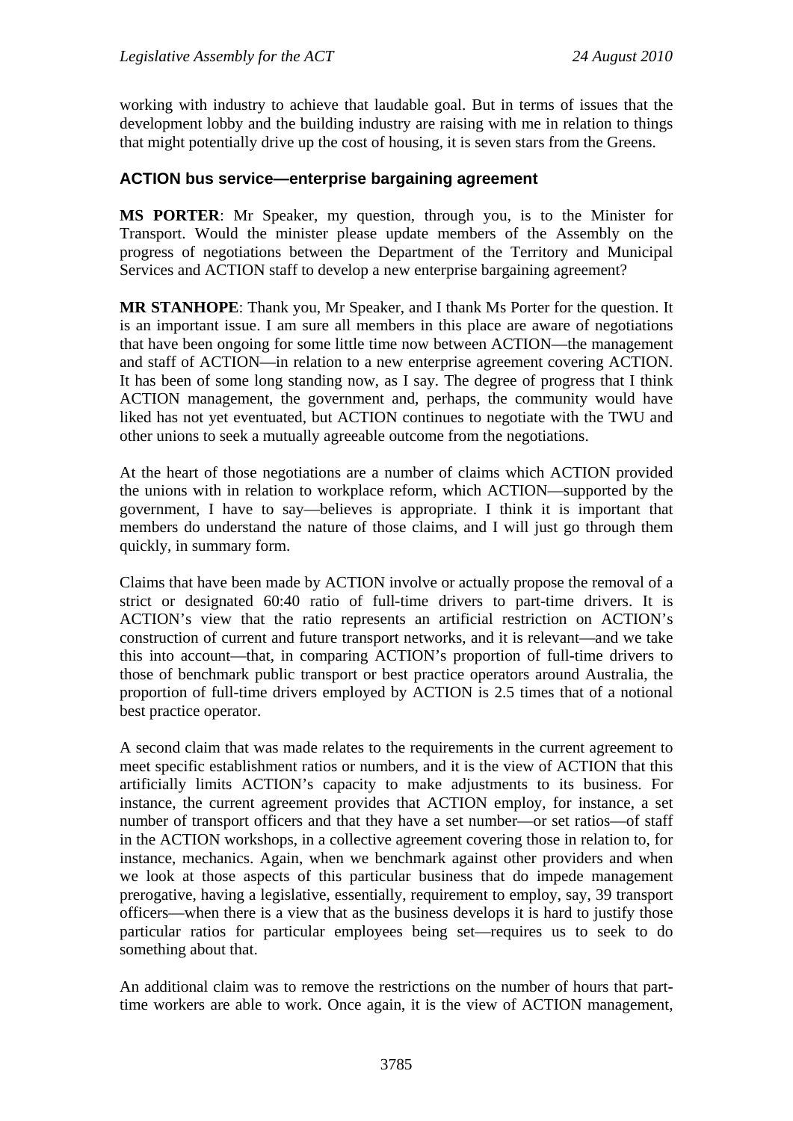working with industry to achieve that laudable goal. But in terms of issues that the development lobby and the building industry are raising with me in relation to things that might potentially drive up the cost of housing, it is seven stars from the Greens.

## <span id="page-34-0"></span>**ACTION bus service—enterprise bargaining agreement**

**MS PORTER**: Mr Speaker, my question, through you, is to the Minister for Transport. Would the minister please update members of the Assembly on the progress of negotiations between the Department of the Territory and Municipal Services and ACTION staff to develop a new enterprise bargaining agreement?

**MR STANHOPE**: Thank you, Mr Speaker, and I thank Ms Porter for the question. It is an important issue. I am sure all members in this place are aware of negotiations that have been ongoing for some little time now between ACTION—the management and staff of ACTION—in relation to a new enterprise agreement covering ACTION. It has been of some long standing now, as I say. The degree of progress that I think ACTION management, the government and, perhaps, the community would have liked has not yet eventuated, but ACTION continues to negotiate with the TWU and other unions to seek a mutually agreeable outcome from the negotiations.

At the heart of those negotiations are a number of claims which ACTION provided the unions with in relation to workplace reform, which ACTION—supported by the government, I have to say—believes is appropriate. I think it is important that members do understand the nature of those claims, and I will just go through them quickly, in summary form.

Claims that have been made by ACTION involve or actually propose the removal of a strict or designated 60:40 ratio of full-time drivers to part-time drivers. It is ACTION's view that the ratio represents an artificial restriction on ACTION's construction of current and future transport networks, and it is relevant—and we take this into account—that, in comparing ACTION's proportion of full-time drivers to those of benchmark public transport or best practice operators around Australia, the proportion of full-time drivers employed by ACTION is 2.5 times that of a notional best practice operator.

A second claim that was made relates to the requirements in the current agreement to meet specific establishment ratios or numbers, and it is the view of ACTION that this artificially limits ACTION's capacity to make adjustments to its business. For instance, the current agreement provides that ACTION employ, for instance, a set number of transport officers and that they have a set number—or set ratios—of staff in the ACTION workshops, in a collective agreement covering those in relation to, for instance, mechanics. Again, when we benchmark against other providers and when we look at those aspects of this particular business that do impede management prerogative, having a legislative, essentially, requirement to employ, say, 39 transport officers—when there is a view that as the business develops it is hard to justify those particular ratios for particular employees being set—requires us to seek to do something about that.

An additional claim was to remove the restrictions on the number of hours that parttime workers are able to work. Once again, it is the view of ACTION management,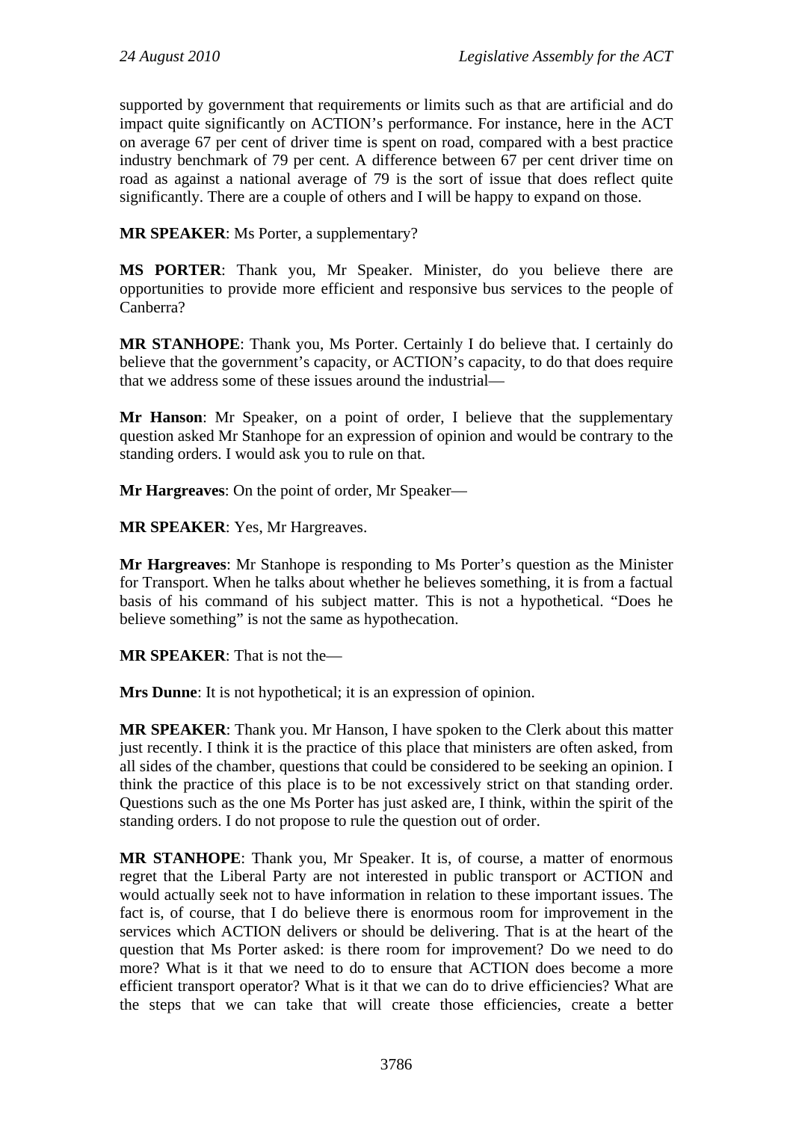supported by government that requirements or limits such as that are artificial and do impact quite significantly on ACTION's performance. For instance, here in the ACT on average 67 per cent of driver time is spent on road, compared with a best practice industry benchmark of 79 per cent. A difference between 67 per cent driver time on road as against a national average of 79 is the sort of issue that does reflect quite significantly. There are a couple of others and I will be happy to expand on those.

**MR SPEAKER**: Ms Porter, a supplementary?

**MS PORTER**: Thank you, Mr Speaker. Minister, do you believe there are opportunities to provide more efficient and responsive bus services to the people of Canberra?

**MR STANHOPE**: Thank you, Ms Porter. Certainly I do believe that. I certainly do believe that the government's capacity, or ACTION's capacity, to do that does require that we address some of these issues around the industrial—

**Mr Hanson**: Mr Speaker, on a point of order, I believe that the supplementary question asked Mr Stanhope for an expression of opinion and would be contrary to the standing orders. I would ask you to rule on that.

**Mr Hargreaves**: On the point of order, Mr Speaker—

**MR SPEAKER**: Yes, Mr Hargreaves.

**Mr Hargreaves**: Mr Stanhope is responding to Ms Porter's question as the Minister for Transport. When he talks about whether he believes something, it is from a factual basis of his command of his subject matter. This is not a hypothetical. "Does he believe something" is not the same as hypothecation.

**MR SPEAKER**: That is not the—

**Mrs Dunne**: It is not hypothetical; it is an expression of opinion.

**MR SPEAKER**: Thank you. Mr Hanson, I have spoken to the Clerk about this matter just recently. I think it is the practice of this place that ministers are often asked, from all sides of the chamber, questions that could be considered to be seeking an opinion. I think the practice of this place is to be not excessively strict on that standing order. Questions such as the one Ms Porter has just asked are, I think, within the spirit of the standing orders. I do not propose to rule the question out of order.

**MR STANHOPE**: Thank you, Mr Speaker. It is, of course, a matter of enormous regret that the Liberal Party are not interested in public transport or ACTION and would actually seek not to have information in relation to these important issues. The fact is, of course, that I do believe there is enormous room for improvement in the services which ACTION delivers or should be delivering. That is at the heart of the question that Ms Porter asked: is there room for improvement? Do we need to do more? What is it that we need to do to ensure that ACTION does become a more efficient transport operator? What is it that we can do to drive efficiencies? What are the steps that we can take that will create those efficiencies, create a better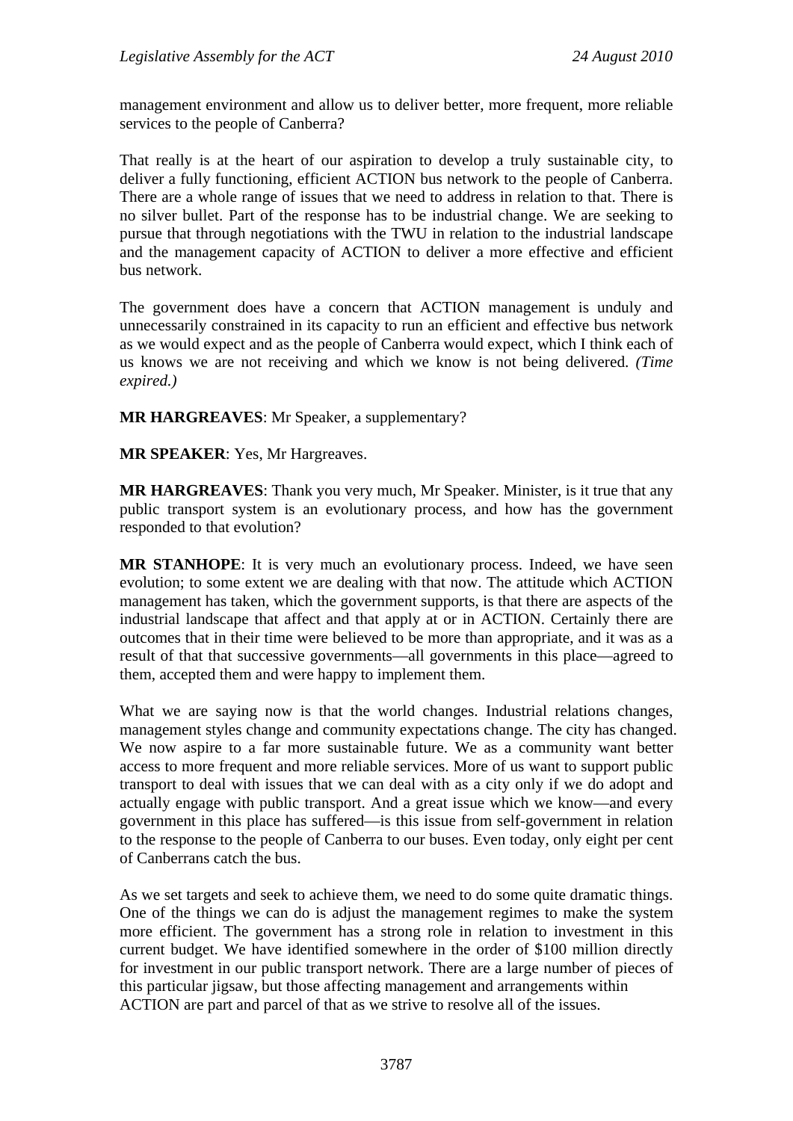management environment and allow us to deliver better, more frequent, more reliable services to the people of Canberra?

That really is at the heart of our aspiration to develop a truly sustainable city, to deliver a fully functioning, efficient ACTION bus network to the people of Canberra. There are a whole range of issues that we need to address in relation to that. There is no silver bullet. Part of the response has to be industrial change. We are seeking to pursue that through negotiations with the TWU in relation to the industrial landscape and the management capacity of ACTION to deliver a more effective and efficient bus network.

The government does have a concern that ACTION management is unduly and unnecessarily constrained in its capacity to run an efficient and effective bus network as we would expect and as the people of Canberra would expect, which I think each of us knows we are not receiving and which we know is not being delivered. *(Time expired.)*

**MR HARGREAVES**: Mr Speaker, a supplementary?

**MR SPEAKER**: Yes, Mr Hargreaves.

**MR HARGREAVES**: Thank you very much, Mr Speaker. Minister, is it true that any public transport system is an evolutionary process, and how has the government responded to that evolution?

**MR STANHOPE**: It is very much an evolutionary process. Indeed, we have seen evolution; to some extent we are dealing with that now. The attitude which ACTION management has taken, which the government supports, is that there are aspects of the industrial landscape that affect and that apply at or in ACTION. Certainly there are outcomes that in their time were believed to be more than appropriate, and it was as a result of that that successive governments—all governments in this place—agreed to them, accepted them and were happy to implement them.

What we are saying now is that the world changes. Industrial relations changes, management styles change and community expectations change. The city has changed. We now aspire to a far more sustainable future. We as a community want better access to more frequent and more reliable services. More of us want to support public transport to deal with issues that we can deal with as a city only if we do adopt and actually engage with public transport. And a great issue which we know—and every government in this place has suffered—is this issue from self-government in relation to the response to the people of Canberra to our buses. Even today, only eight per cent of Canberrans catch the bus.

As we set targets and seek to achieve them, we need to do some quite dramatic things. One of the things we can do is adjust the management regimes to make the system more efficient. The government has a strong role in relation to investment in this current budget. We have identified somewhere in the order of \$100 million directly for investment in our public transport network. There are a large number of pieces of this particular jugsaw, but those affecting management and arrangements within ACTION are part and parcel of that as we strive to resolve all of the issues.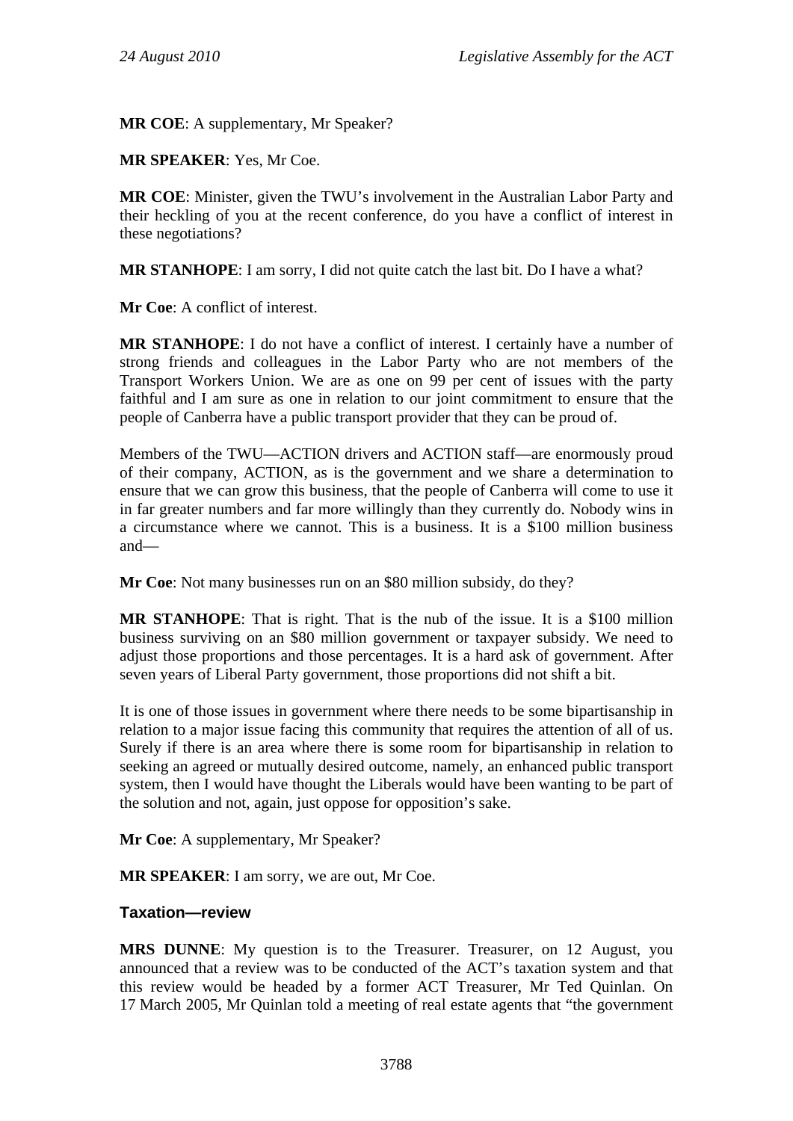**MR COE**: A supplementary, Mr Speaker?

**MR SPEAKER**: Yes, Mr Coe.

**MR COE**: Minister, given the TWU's involvement in the Australian Labor Party and their heckling of you at the recent conference, do you have a conflict of interest in these negotiations?

**MR STANHOPE**: I am sorry, I did not quite catch the last bit. Do I have a what?

**Mr Coe**: A conflict of interest.

**MR STANHOPE**: I do not have a conflict of interest. I certainly have a number of strong friends and colleagues in the Labor Party who are not members of the Transport Workers Union. We are as one on 99 per cent of issues with the party faithful and I am sure as one in relation to our joint commitment to ensure that the people of Canberra have a public transport provider that they can be proud of.

Members of the TWU—ACTION drivers and ACTION staff—are enormously proud of their company, ACTION, as is the government and we share a determination to ensure that we can grow this business, that the people of Canberra will come to use it in far greater numbers and far more willingly than they currently do. Nobody wins in a circumstance where we cannot. This is a business. It is a \$100 million business and—

**Mr Coe**: Not many businesses run on an \$80 million subsidy, do they?

**MR STANHOPE**: That is right. That is the nub of the issue. It is a \$100 million business surviving on an \$80 million government or taxpayer subsidy. We need to adjust those proportions and those percentages. It is a hard ask of government. After seven years of Liberal Party government, those proportions did not shift a bit.

It is one of those issues in government where there needs to be some bipartisanship in relation to a major issue facing this community that requires the attention of all of us. Surely if there is an area where there is some room for bipartisanship in relation to seeking an agreed or mutually desired outcome, namely, an enhanced public transport system, then I would have thought the Liberals would have been wanting to be part of the solution and not, again, just oppose for opposition's sake.

**Mr Coe**: A supplementary, Mr Speaker?

**MR SPEAKER**: I am sorry, we are out, Mr Coe.

## **Taxation—review**

**MRS DUNNE**: My question is to the Treasurer. Treasurer, on 12 August, you announced that a review was to be conducted of the ACT's taxation system and that this review would be headed by a former ACT Treasurer, Mr Ted Quinlan. On 17 March 2005, Mr Quinlan told a meeting of real estate agents that "the government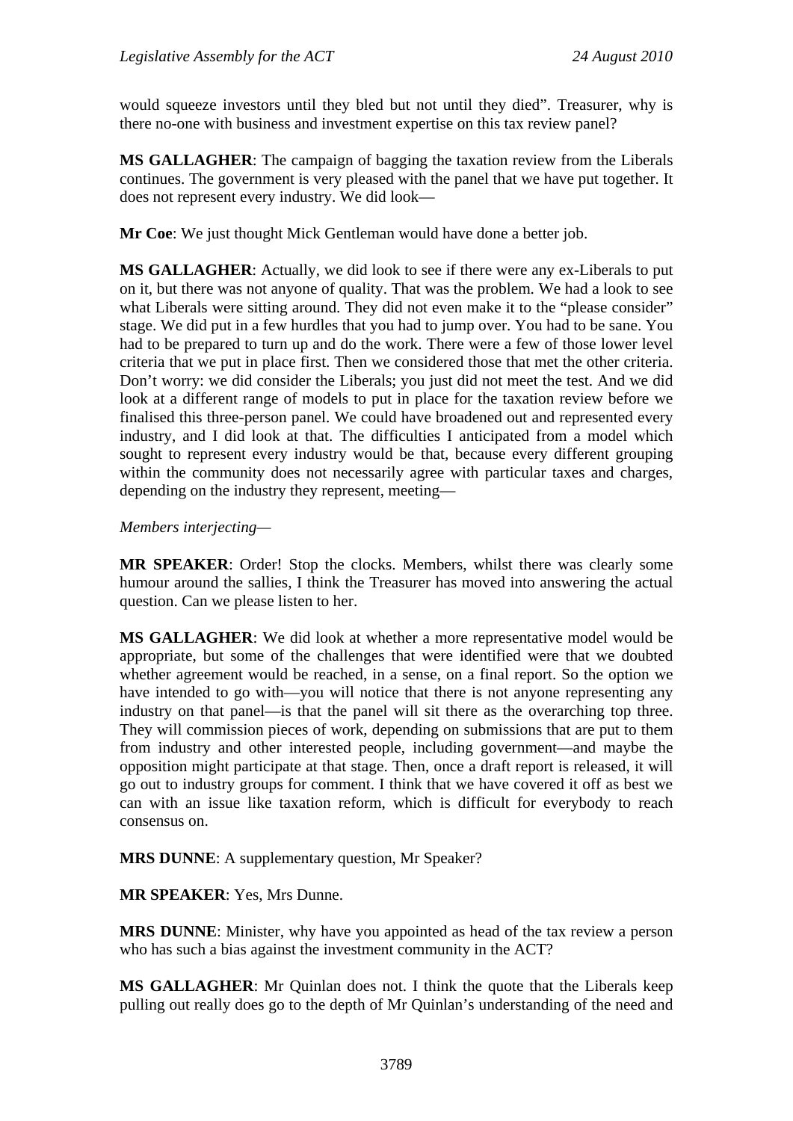would squeeze investors until they bled but not until they died". Treasurer, why is there no-one with business and investment expertise on this tax review panel?

**MS GALLAGHER**: The campaign of bagging the taxation review from the Liberals continues. The government is very pleased with the panel that we have put together. It does not represent every industry. We did look—

**Mr Coe**: We just thought Mick Gentleman would have done a better job.

**MS GALLAGHER**: Actually, we did look to see if there were any ex-Liberals to put on it, but there was not anyone of quality. That was the problem. We had a look to see what Liberals were sitting around. They did not even make it to the "please consider" stage. We did put in a few hurdles that you had to jump over. You had to be sane. You had to be prepared to turn up and do the work. There were a few of those lower level criteria that we put in place first. Then we considered those that met the other criteria. Don't worry: we did consider the Liberals; you just did not meet the test. And we did look at a different range of models to put in place for the taxation review before we finalised this three-person panel. We could have broadened out and represented every industry, and I did look at that. The difficulties I anticipated from a model which sought to represent every industry would be that, because every different grouping within the community does not necessarily agree with particular taxes and charges, depending on the industry they represent, meeting—

#### *Members interjecting—*

**MR SPEAKER**: Order! Stop the clocks. Members, whilst there was clearly some humour around the sallies, I think the Treasurer has moved into answering the actual question. Can we please listen to her.

**MS GALLAGHER**: We did look at whether a more representative model would be appropriate, but some of the challenges that were identified were that we doubted whether agreement would be reached, in a sense, on a final report. So the option we have intended to go with—you will notice that there is not anyone representing any industry on that panel—is that the panel will sit there as the overarching top three. They will commission pieces of work, depending on submissions that are put to them from industry and other interested people, including government—and maybe the opposition might participate at that stage. Then, once a draft report is released, it will go out to industry groups for comment. I think that we have covered it off as best we can with an issue like taxation reform, which is difficult for everybody to reach consensus on.

**MRS DUNNE**: A supplementary question, Mr Speaker?

**MR SPEAKER**: Yes, Mrs Dunne.

**MRS DUNNE**: Minister, why have you appointed as head of the tax review a person who has such a bias against the investment community in the ACT?

**MS GALLAGHER**: Mr Quinlan does not. I think the quote that the Liberals keep pulling out really does go to the depth of Mr Quinlan's understanding of the need and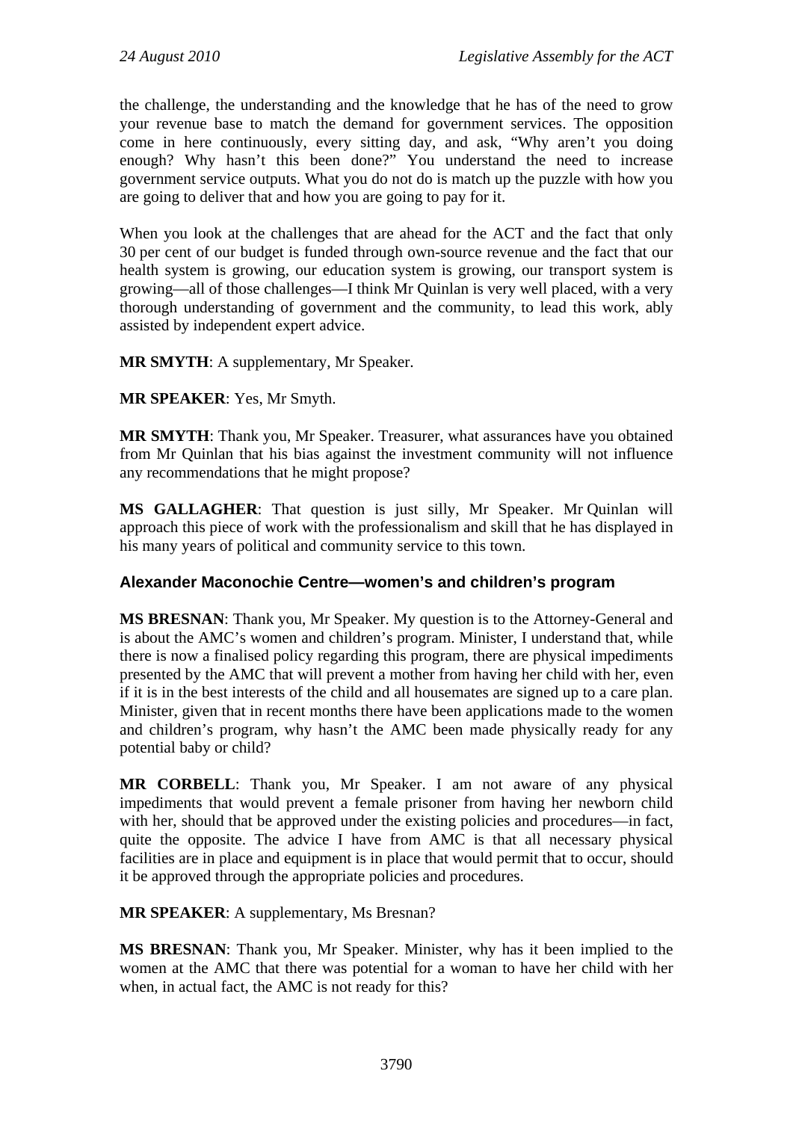the challenge, the understanding and the knowledge that he has of the need to grow your revenue base to match the demand for government services. The opposition come in here continuously, every sitting day, and ask, "Why aren't you doing enough? Why hasn't this been done?" You understand the need to increase government service outputs. What you do not do is match up the puzzle with how you are going to deliver that and how you are going to pay for it.

When you look at the challenges that are ahead for the ACT and the fact that only 30 per cent of our budget is funded through own-source revenue and the fact that our health system is growing, our education system is growing, our transport system is growing—all of those challenges—I think Mr Quinlan is very well placed, with a very thorough understanding of government and the community, to lead this work, ably assisted by independent expert advice.

**MR SMYTH**: A supplementary, Mr Speaker.

**MR SPEAKER**: Yes, Mr Smyth.

**MR SMYTH**: Thank you, Mr Speaker. Treasurer, what assurances have you obtained from Mr Quinlan that his bias against the investment community will not influence any recommendations that he might propose?

**MS GALLAGHER**: That question is just silly, Mr Speaker. Mr Quinlan will approach this piece of work with the professionalism and skill that he has displayed in his many years of political and community service to this town.

# **Alexander Maconochie Centre—women's and children's program**

**MS BRESNAN**: Thank you, Mr Speaker. My question is to the Attorney-General and is about the AMC's women and children's program. Minister, I understand that, while there is now a finalised policy regarding this program, there are physical impediments presented by the AMC that will prevent a mother from having her child with her, even if it is in the best interests of the child and all housemates are signed up to a care plan. Minister, given that in recent months there have been applications made to the women and children's program, why hasn't the AMC been made physically ready for any potential baby or child?

**MR CORBELL**: Thank you, Mr Speaker. I am not aware of any physical impediments that would prevent a female prisoner from having her newborn child with her, should that be approved under the existing policies and procedures—in fact, quite the opposite. The advice I have from AMC is that all necessary physical facilities are in place and equipment is in place that would permit that to occur, should it be approved through the appropriate policies and procedures.

**MR SPEAKER**: A supplementary, Ms Bresnan?

**MS BRESNAN**: Thank you, Mr Speaker. Minister, why has it been implied to the women at the AMC that there was potential for a woman to have her child with her when, in actual fact, the AMC is not ready for this?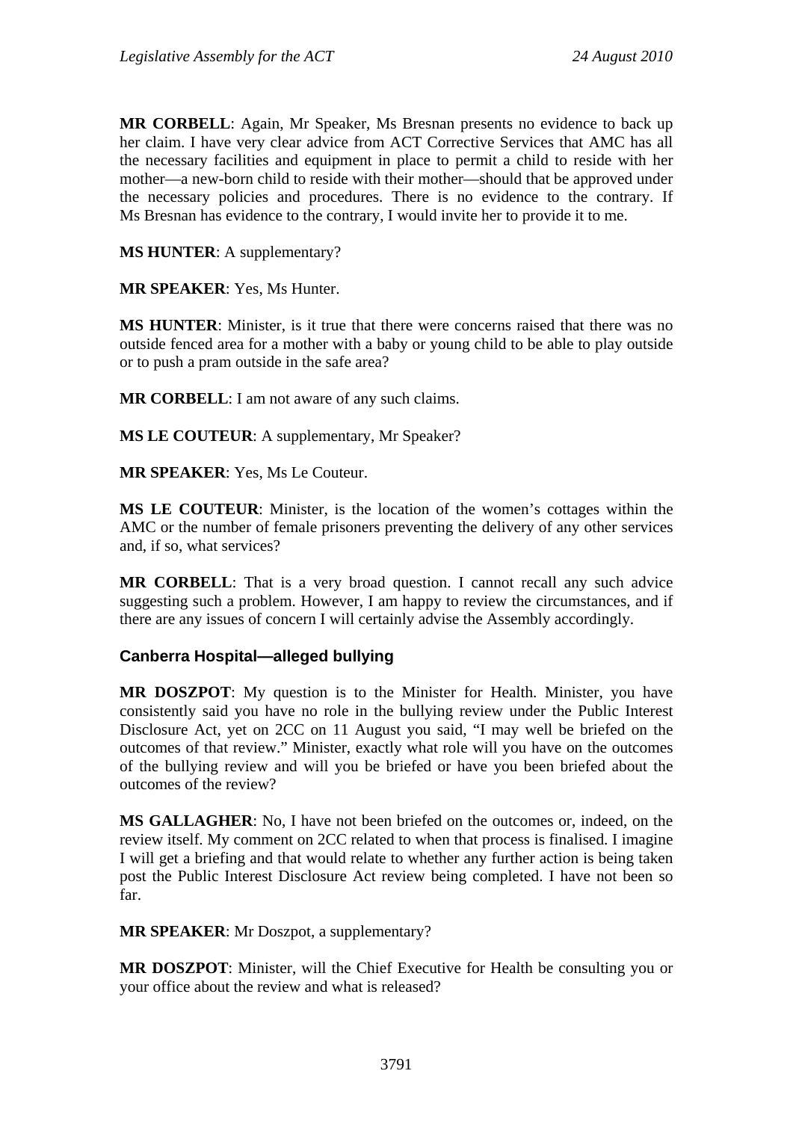**MR CORBELL**: Again, Mr Speaker, Ms Bresnan presents no evidence to back up her claim. I have very clear advice from ACT Corrective Services that AMC has all the necessary facilities and equipment in place to permit a child to reside with her mother—a new-born child to reside with their mother—should that be approved under the necessary policies and procedures. There is no evidence to the contrary. If Ms Bresnan has evidence to the contrary, I would invite her to provide it to me.

**MS HUNTER**: A supplementary?

**MR SPEAKER**: Yes, Ms Hunter.

**MS HUNTER**: Minister, is it true that there were concerns raised that there was no outside fenced area for a mother with a baby or young child to be able to play outside or to push a pram outside in the safe area?

**MR CORBELL**: I am not aware of any such claims.

**MS LE COUTEUR**: A supplementary, Mr Speaker?

**MR SPEAKER**: Yes, Ms Le Couteur.

**MS LE COUTEUR**: Minister, is the location of the women's cottages within the AMC or the number of female prisoners preventing the delivery of any other services and, if so, what services?

**MR CORBELL**: That is a very broad question. I cannot recall any such advice suggesting such a problem. However, I am happy to review the circumstances, and if there are any issues of concern I will certainly advise the Assembly accordingly.

#### **Canberra Hospital—alleged bullying**

**MR DOSZPOT**: My question is to the Minister for Health. Minister, you have consistently said you have no role in the bullying review under the Public Interest Disclosure Act, yet on 2CC on 11 August you said, "I may well be briefed on the outcomes of that review." Minister, exactly what role will you have on the outcomes of the bullying review and will you be briefed or have you been briefed about the outcomes of the review?

**MS GALLAGHER**: No, I have not been briefed on the outcomes or, indeed, on the review itself. My comment on 2CC related to when that process is finalised. I imagine I will get a briefing and that would relate to whether any further action is being taken post the Public Interest Disclosure Act review being completed. I have not been so far.

**MR SPEAKER**: Mr Doszpot, a supplementary?

**MR DOSZPOT**: Minister, will the Chief Executive for Health be consulting you or your office about the review and what is released?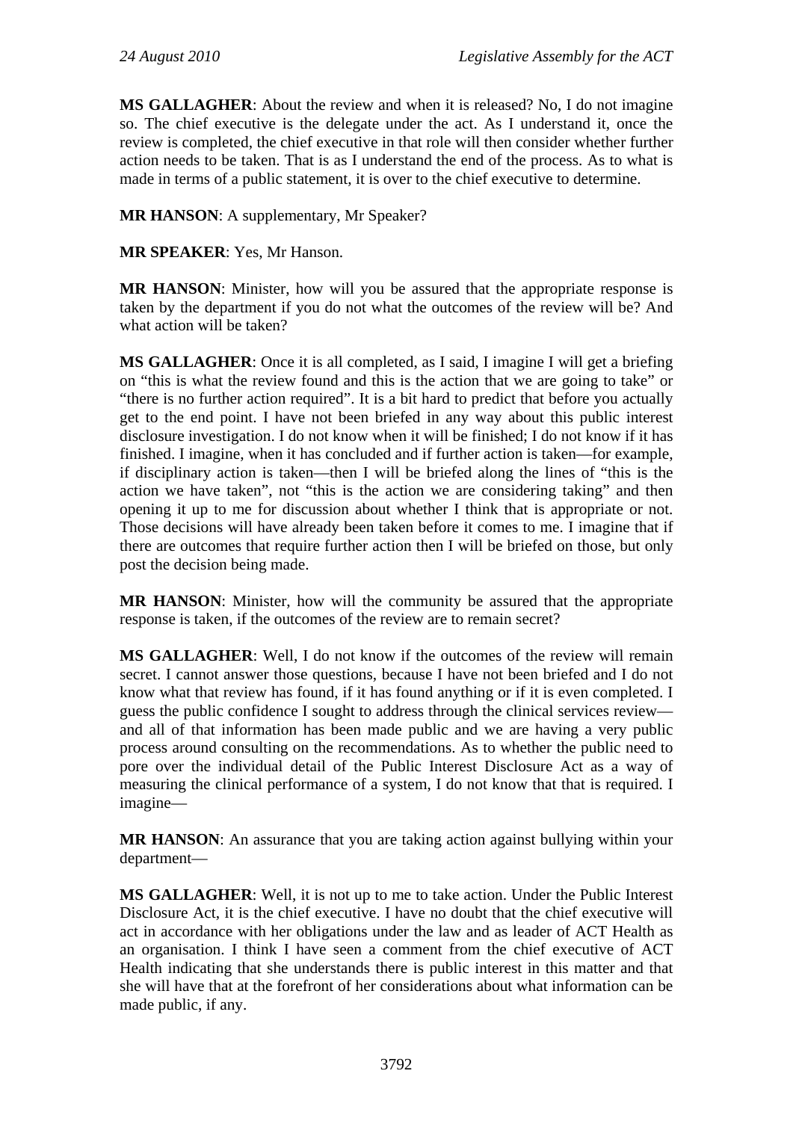**MS GALLAGHER**: About the review and when it is released? No, I do not imagine so. The chief executive is the delegate under the act. As I understand it, once the review is completed, the chief executive in that role will then consider whether further action needs to be taken. That is as I understand the end of the process. As to what is made in terms of a public statement, it is over to the chief executive to determine.

**MR HANSON**: A supplementary, Mr Speaker?

**MR SPEAKER**: Yes, Mr Hanson.

**MR HANSON**: Minister, how will you be assured that the appropriate response is taken by the department if you do not what the outcomes of the review will be? And what action will be taken?

**MS GALLAGHER**: Once it is all completed, as I said, I imagine I will get a briefing on "this is what the review found and this is the action that we are going to take" or "there is no further action required". It is a bit hard to predict that before you actually get to the end point. I have not been briefed in any way about this public interest disclosure investigation. I do not know when it will be finished; I do not know if it has finished. I imagine, when it has concluded and if further action is taken—for example, if disciplinary action is taken—then I will be briefed along the lines of "this is the action we have taken", not "this is the action we are considering taking" and then opening it up to me for discussion about whether I think that is appropriate or not. Those decisions will have already been taken before it comes to me. I imagine that if there are outcomes that require further action then I will be briefed on those, but only post the decision being made.

**MR HANSON**: Minister, how will the community be assured that the appropriate response is taken, if the outcomes of the review are to remain secret?

**MS GALLAGHER**: Well, I do not know if the outcomes of the review will remain secret. I cannot answer those questions, because I have not been briefed and I do not know what that review has found, if it has found anything or if it is even completed. I guess the public confidence I sought to address through the clinical services review and all of that information has been made public and we are having a very public process around consulting on the recommendations. As to whether the public need to pore over the individual detail of the Public Interest Disclosure Act as a way of measuring the clinical performance of a system, I do not know that that is required. I imagine—

**MR HANSON:** An assurance that you are taking action against bullying within your department—

**MS GALLAGHER**: Well, it is not up to me to take action. Under the Public Interest Disclosure Act, it is the chief executive. I have no doubt that the chief executive will act in accordance with her obligations under the law and as leader of ACT Health as an organisation. I think I have seen a comment from the chief executive of ACT Health indicating that she understands there is public interest in this matter and that she will have that at the forefront of her considerations about what information can be made public, if any.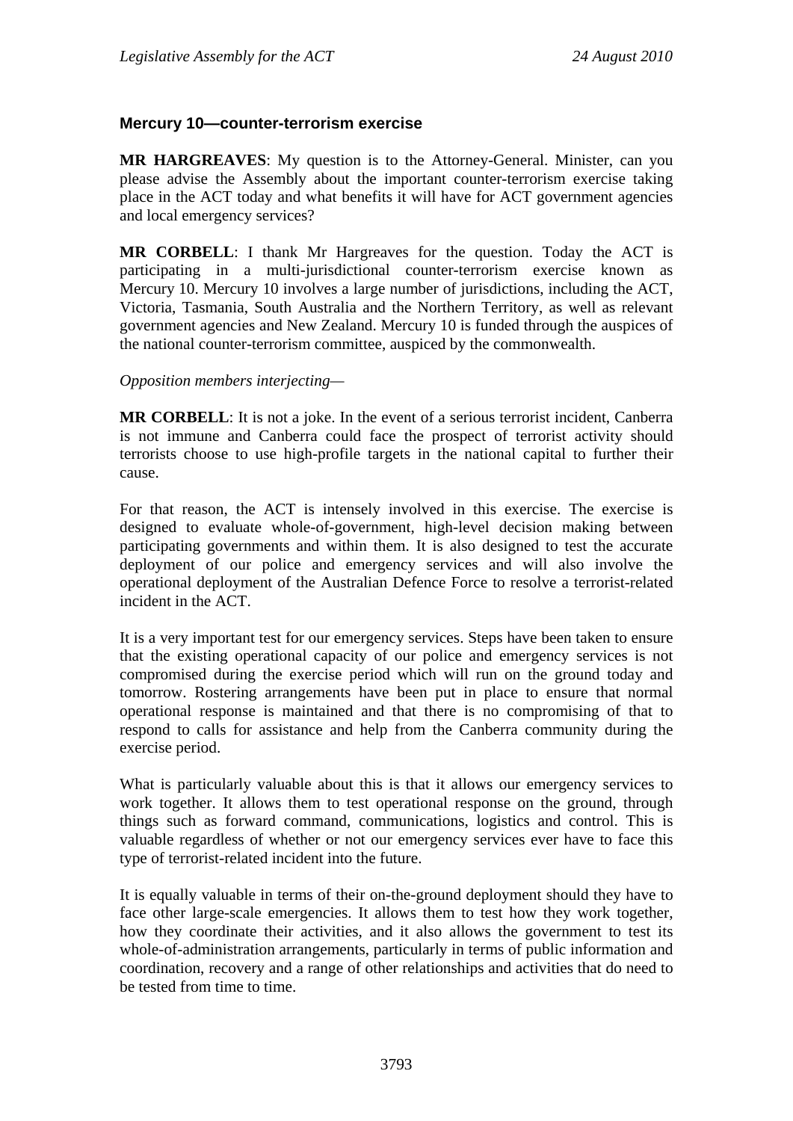## **Mercury 10—counter-terrorism exercise**

**MR HARGREAVES**: My question is to the Attorney-General. Minister, can you please advise the Assembly about the important counter-terrorism exercise taking place in the ACT today and what benefits it will have for ACT government agencies and local emergency services?

**MR CORBELL**: I thank Mr Hargreaves for the question. Today the ACT is participating in a multi-jurisdictional counter-terrorism exercise known as Mercury 10. Mercury 10 involves a large number of jurisdictions, including the ACT, Victoria, Tasmania, South Australia and the Northern Territory, as well as relevant government agencies and New Zealand. Mercury 10 is funded through the auspices of the national counter-terrorism committee, auspiced by the commonwealth.

#### *Opposition members interjecting—*

**MR CORBELL**: It is not a joke. In the event of a serious terrorist incident, Canberra is not immune and Canberra could face the prospect of terrorist activity should terrorists choose to use high-profile targets in the national capital to further their cause.

For that reason, the ACT is intensely involved in this exercise. The exercise is designed to evaluate whole-of-government, high-level decision making between participating governments and within them. It is also designed to test the accurate deployment of our police and emergency services and will also involve the operational deployment of the Australian Defence Force to resolve a terrorist-related incident in the ACT.

It is a very important test for our emergency services. Steps have been taken to ensure that the existing operational capacity of our police and emergency services is not compromised during the exercise period which will run on the ground today and tomorrow. Rostering arrangements have been put in place to ensure that normal operational response is maintained and that there is no compromising of that to respond to calls for assistance and help from the Canberra community during the exercise period.

What is particularly valuable about this is that it allows our emergency services to work together. It allows them to test operational response on the ground, through things such as forward command, communications, logistics and control. This is valuable regardless of whether or not our emergency services ever have to face this type of terrorist-related incident into the future.

It is equally valuable in terms of their on-the-ground deployment should they have to face other large-scale emergencies. It allows them to test how they work together, how they coordinate their activities, and it also allows the government to test its whole-of-administration arrangements, particularly in terms of public information and coordination, recovery and a range of other relationships and activities that do need to be tested from time to time.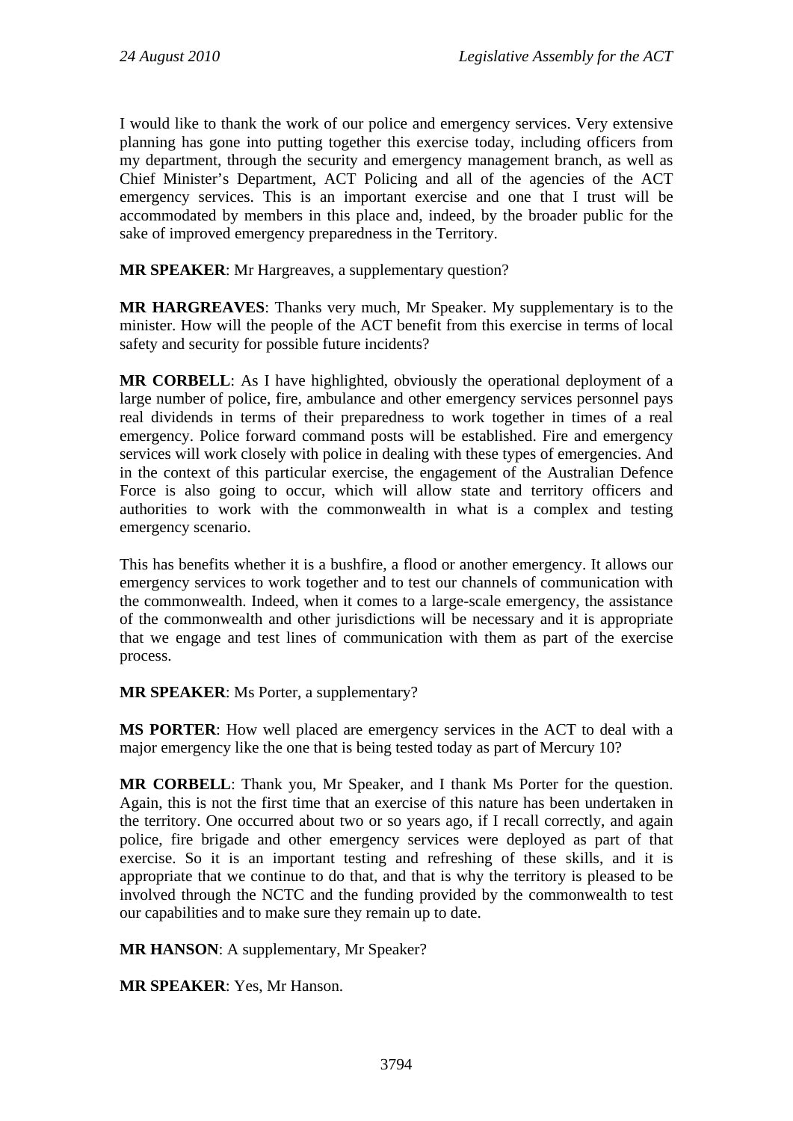I would like to thank the work of our police and emergency services. Very extensive planning has gone into putting together this exercise today, including officers from my department, through the security and emergency management branch, as well as Chief Minister's Department, ACT Policing and all of the agencies of the ACT emergency services. This is an important exercise and one that I trust will be accommodated by members in this place and, indeed, by the broader public for the sake of improved emergency preparedness in the Territory.

**MR SPEAKER**: Mr Hargreaves, a supplementary question?

**MR HARGREAVES**: Thanks very much, Mr Speaker. My supplementary is to the minister. How will the people of the ACT benefit from this exercise in terms of local safety and security for possible future incidents?

**MR CORBELL**: As I have highlighted, obviously the operational deployment of a large number of police, fire, ambulance and other emergency services personnel pays real dividends in terms of their preparedness to work together in times of a real emergency. Police forward command posts will be established. Fire and emergency services will work closely with police in dealing with these types of emergencies. And in the context of this particular exercise, the engagement of the Australian Defence Force is also going to occur, which will allow state and territory officers and authorities to work with the commonwealth in what is a complex and testing emergency scenario.

This has benefits whether it is a bushfire, a flood or another emergency. It allows our emergency services to work together and to test our channels of communication with the commonwealth. Indeed, when it comes to a large-scale emergency, the assistance of the commonwealth and other jurisdictions will be necessary and it is appropriate that we engage and test lines of communication with them as part of the exercise process.

## **MR SPEAKER**: Ms Porter, a supplementary?

**MS PORTER**: How well placed are emergency services in the ACT to deal with a major emergency like the one that is being tested today as part of Mercury 10?

**MR CORBELL**: Thank you, Mr Speaker, and I thank Ms Porter for the question. Again, this is not the first time that an exercise of this nature has been undertaken in the territory. One occurred about two or so years ago, if I recall correctly, and again police, fire brigade and other emergency services were deployed as part of that exercise. So it is an important testing and refreshing of these skills, and it is appropriate that we continue to do that, and that is why the territory is pleased to be involved through the NCTC and the funding provided by the commonwealth to test our capabilities and to make sure they remain up to date.

**MR HANSON**: A supplementary, Mr Speaker?

**MR SPEAKER**: Yes, Mr Hanson.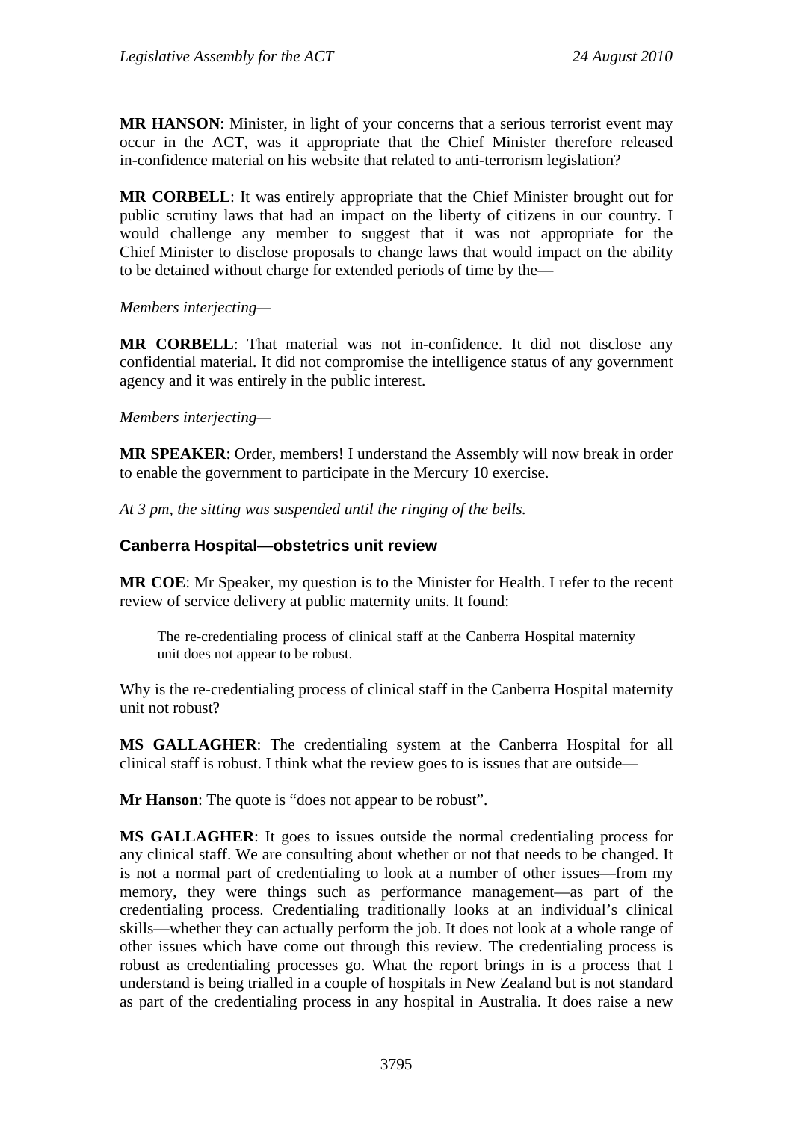**MR HANSON**: Minister, in light of your concerns that a serious terrorist event may occur in the ACT, was it appropriate that the Chief Minister therefore released in-confidence material on his website that related to anti-terrorism legislation?

**MR CORBELL**: It was entirely appropriate that the Chief Minister brought out for public scrutiny laws that had an impact on the liberty of citizens in our country. I would challenge any member to suggest that it was not appropriate for the Chief Minister to disclose proposals to change laws that would impact on the ability to be detained without charge for extended periods of time by the—

*Members interjecting—* 

**MR CORBELL**: That material was not in-confidence. It did not disclose any confidential material. It did not compromise the intelligence status of any government agency and it was entirely in the public interest.

## *Members interjecting—*

**MR SPEAKER**: Order, members! I understand the Assembly will now break in order to enable the government to participate in the Mercury 10 exercise.

*At 3 pm, the sitting was suspended until the ringing of the bells.* 

# **Canberra Hospital—obstetrics unit review**

**MR COE**: Mr Speaker, my question is to the Minister for Health. I refer to the recent review of service delivery at public maternity units. It found:

The re-credentialing process of clinical staff at the Canberra Hospital maternity unit does not appear to be robust.

Why is the re-credentialing process of clinical staff in the Canberra Hospital maternity unit not robust?

**MS GALLAGHER**: The credentialing system at the Canberra Hospital for all clinical staff is robust. I think what the review goes to is issues that are outside—

**Mr Hanson**: The quote is "does not appear to be robust".

**MS GALLAGHER**: It goes to issues outside the normal credentialing process for any clinical staff. We are consulting about whether or not that needs to be changed. It is not a normal part of credentialing to look at a number of other issues—from my memory, they were things such as performance management—as part of the credentialing process. Credentialing traditionally looks at an individual's clinical skills—whether they can actually perform the job. It does not look at a whole range of other issues which have come out through this review. The credentialing process is robust as credentialing processes go. What the report brings in is a process that I understand is being trialled in a couple of hospitals in New Zealand but is not standard as part of the credentialing process in any hospital in Australia. It does raise a new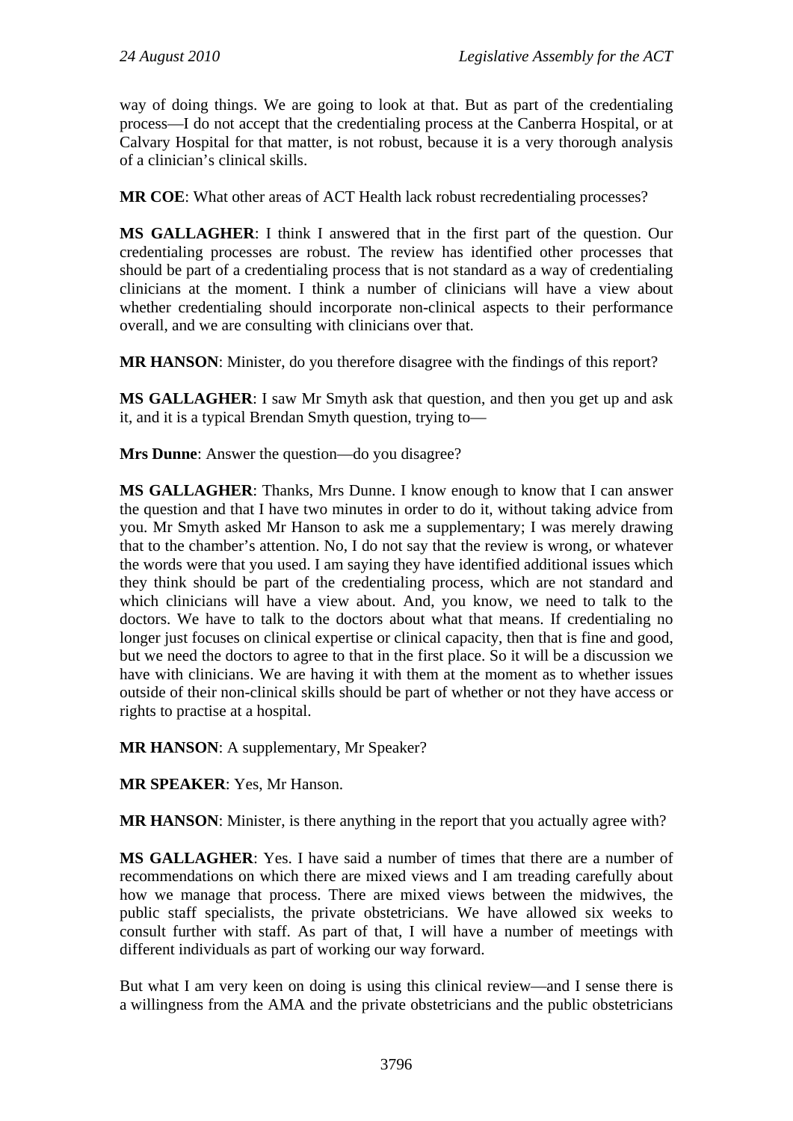way of doing things. We are going to look at that. But as part of the credentialing process—I do not accept that the credentialing process at the Canberra Hospital, or at Calvary Hospital for that matter, is not robust, because it is a very thorough analysis of a clinician's clinical skills.

**MR COE**: What other areas of ACT Health lack robust recredentialing processes?

**MS GALLAGHER**: I think I answered that in the first part of the question. Our credentialing processes are robust. The review has identified other processes that should be part of a credentialing process that is not standard as a way of credentialing clinicians at the moment. I think a number of clinicians will have a view about whether credentialing should incorporate non-clinical aspects to their performance overall, and we are consulting with clinicians over that.

**MR HANSON**: Minister, do you therefore disagree with the findings of this report?

**MS GALLAGHER**: I saw Mr Smyth ask that question, and then you get up and ask it, and it is a typical Brendan Smyth question, trying to—

**Mrs Dunne**: Answer the question—do you disagree?

**MS GALLAGHER**: Thanks, Mrs Dunne. I know enough to know that I can answer the question and that I have two minutes in order to do it, without taking advice from you. Mr Smyth asked Mr Hanson to ask me a supplementary; I was merely drawing that to the chamber's attention. No, I do not say that the review is wrong, or whatever the words were that you used. I am saying they have identified additional issues which they think should be part of the credentialing process, which are not standard and which clinicians will have a view about. And, you know, we need to talk to the doctors. We have to talk to the doctors about what that means. If credentialing no longer just focuses on clinical expertise or clinical capacity, then that is fine and good, but we need the doctors to agree to that in the first place. So it will be a discussion we have with clinicians. We are having it with them at the moment as to whether issues outside of their non-clinical skills should be part of whether or not they have access or rights to practise at a hospital.

**MR HANSON**: A supplementary, Mr Speaker?

**MR SPEAKER**: Yes, Mr Hanson.

**MR HANSON**: Minister, is there anything in the report that you actually agree with?

**MS GALLAGHER**: Yes. I have said a number of times that there are a number of recommendations on which there are mixed views and I am treading carefully about how we manage that process. There are mixed views between the midwives, the public staff specialists, the private obstetricians. We have allowed six weeks to consult further with staff. As part of that, I will have a number of meetings with different individuals as part of working our way forward.

But what I am very keen on doing is using this clinical review—and I sense there is a willingness from the AMA and the private obstetricians and the public obstetricians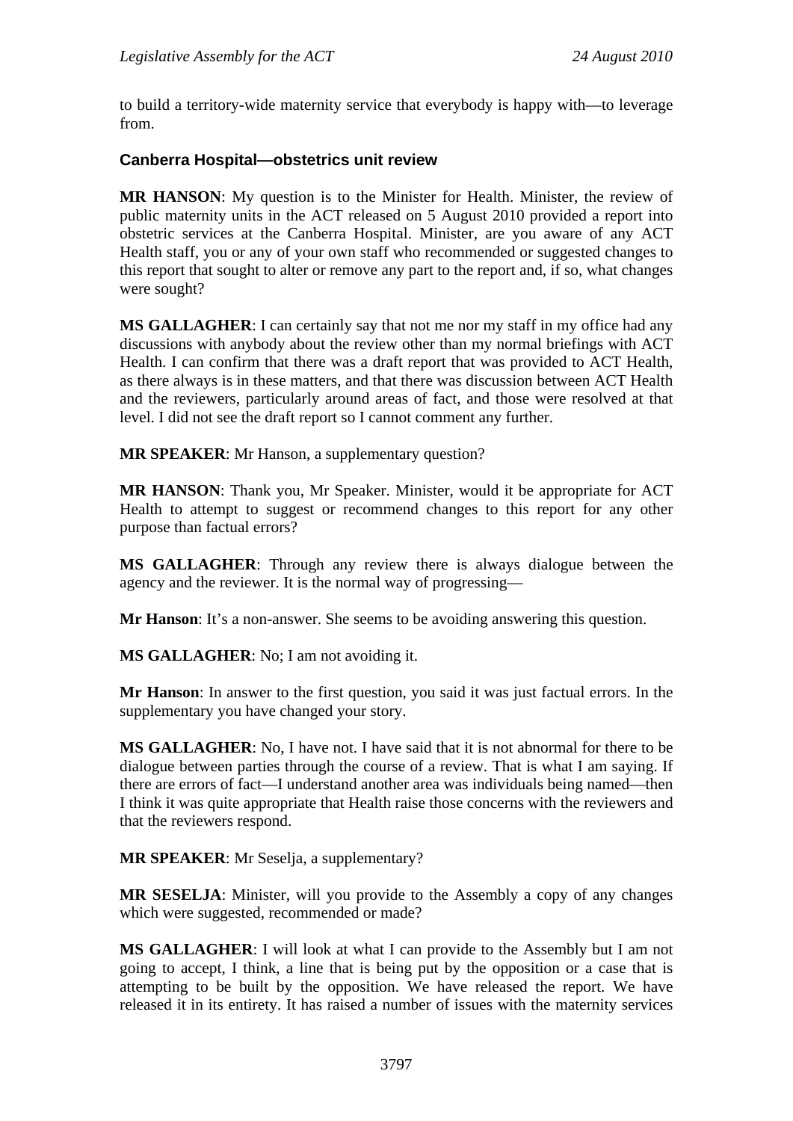to build a territory-wide maternity service that everybody is happy with—to leverage from.

## **Canberra Hospital—obstetrics unit review**

**MR HANSON**: My question is to the Minister for Health. Minister, the review of public maternity units in the ACT released on 5 August 2010 provided a report into obstetric services at the Canberra Hospital. Minister, are you aware of any ACT Health staff, you or any of your own staff who recommended or suggested changes to this report that sought to alter or remove any part to the report and, if so, what changes were sought?

**MS GALLAGHER**: I can certainly say that not me nor my staff in my office had any discussions with anybody about the review other than my normal briefings with ACT Health. I can confirm that there was a draft report that was provided to ACT Health, as there always is in these matters, and that there was discussion between ACT Health and the reviewers, particularly around areas of fact, and those were resolved at that level. I did not see the draft report so I cannot comment any further.

**MR SPEAKER**: Mr Hanson, a supplementary question?

**MR HANSON**: Thank you, Mr Speaker. Minister, would it be appropriate for ACT Health to attempt to suggest or recommend changes to this report for any other purpose than factual errors?

**MS GALLAGHER**: Through any review there is always dialogue between the agency and the reviewer. It is the normal way of progressing—

**Mr Hanson**: It's a non-answer. She seems to be avoiding answering this question.

**MS GALLAGHER**: No; I am not avoiding it.

**Mr Hanson**: In answer to the first question, you said it was just factual errors. In the supplementary you have changed your story.

**MS GALLAGHER**: No, I have not. I have said that it is not abnormal for there to be dialogue between parties through the course of a review. That is what I am saying. If there are errors of fact—I understand another area was individuals being named—then I think it was quite appropriate that Health raise those concerns with the reviewers and that the reviewers respond.

**MR SPEAKER**: Mr Seselja, a supplementary?

**MR SESELJA**: Minister, will you provide to the Assembly a copy of any changes which were suggested, recommended or made?

**MS GALLAGHER**: I will look at what I can provide to the Assembly but I am not going to accept, I think, a line that is being put by the opposition or a case that is attempting to be built by the opposition. We have released the report. We have released it in its entirety. It has raised a number of issues with the maternity services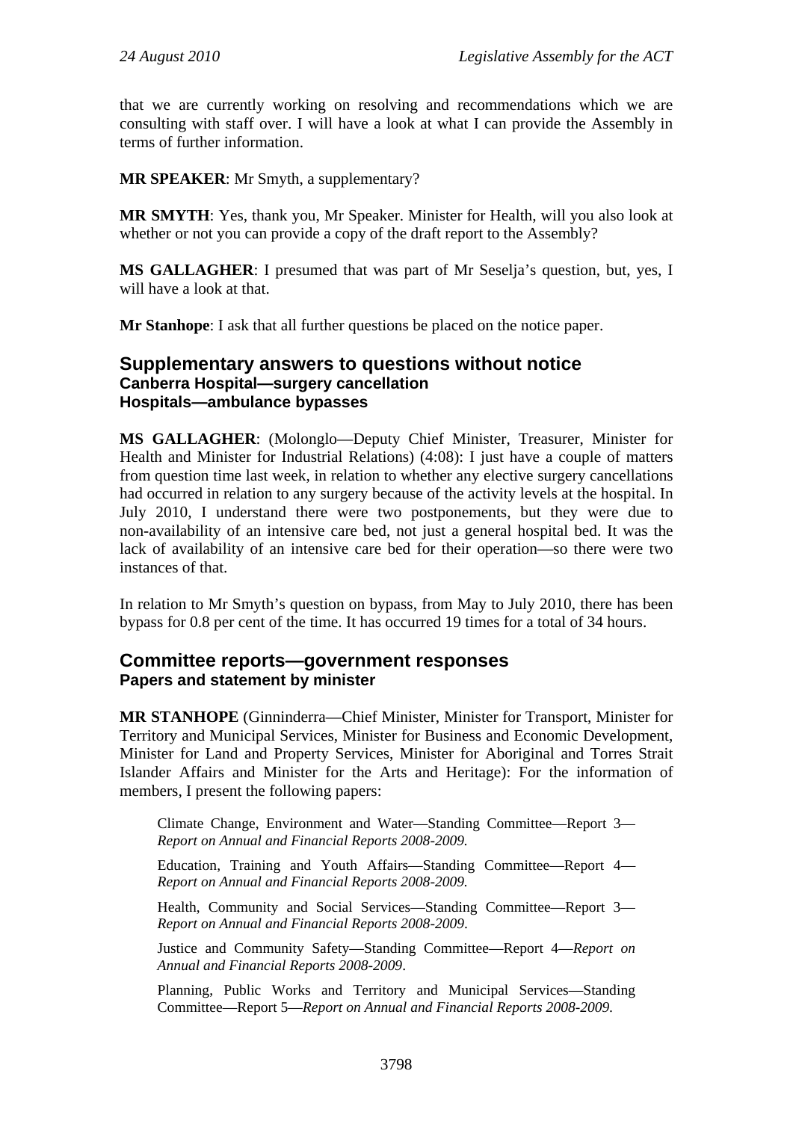that we are currently working on resolving and recommendations which we are consulting with staff over. I will have a look at what I can provide the Assembly in terms of further information.

**MR SPEAKER**: Mr Smyth, a supplementary?

**MR SMYTH**: Yes, thank you, Mr Speaker. Minister for Health, will you also look at whether or not you can provide a copy of the draft report to the Assembly?

**MS GALLAGHER**: I presumed that was part of Mr Seselja's question, but, yes, I will have a look at that.

**Mr Stanhope**: I ask that all further questions be placed on the notice paper.

## **Supplementary answers to questions without notice Canberra Hospital—surgery cancellation Hospitals—ambulance bypasses**

**MS GALLAGHER**: (Molonglo—Deputy Chief Minister, Treasurer, Minister for Health and Minister for Industrial Relations) (4:08): I just have a couple of matters from question time last week, in relation to whether any elective surgery cancellations had occurred in relation to any surgery because of the activity levels at the hospital. In July 2010, I understand there were two postponements, but they were due to non-availability of an intensive care bed, not just a general hospital bed. It was the lack of availability of an intensive care bed for their operation—so there were two instances of that.

In relation to Mr Smyth's question on bypass, from May to July 2010, there has been bypass for 0.8 per cent of the time. It has occurred 19 times for a total of 34 hours.

## **Committee reports—government responses Papers and statement by minister**

**MR STANHOPE** (Ginninderra—Chief Minister, Minister for Transport, Minister for Territory and Municipal Services, Minister for Business and Economic Development, Minister for Land and Property Services, Minister for Aboriginal and Torres Strait Islander Affairs and Minister for the Arts and Heritage): For the information of members, I present the following papers:

Climate Change, Environment and Water—Standing Committee—Report 3— *Report on Annual and Financial Reports 2008-2009.*

Education, Training and Youth Affairs—Standing Committee—Report 4— *Report on Annual and Financial Reports 2008-2009.*

Health, Community and Social Services—Standing Committee—Report 3— *Report on Annual and Financial Reports 2008-2009*.

Justice and Community Safety—Standing Committee—Report 4—*Report on Annual and Financial Reports 2008-2009*.

Planning, Public Works and Territory and Municipal Services—Standing Committee—Report 5—*Report on Annual and Financial Reports 2008-2009.*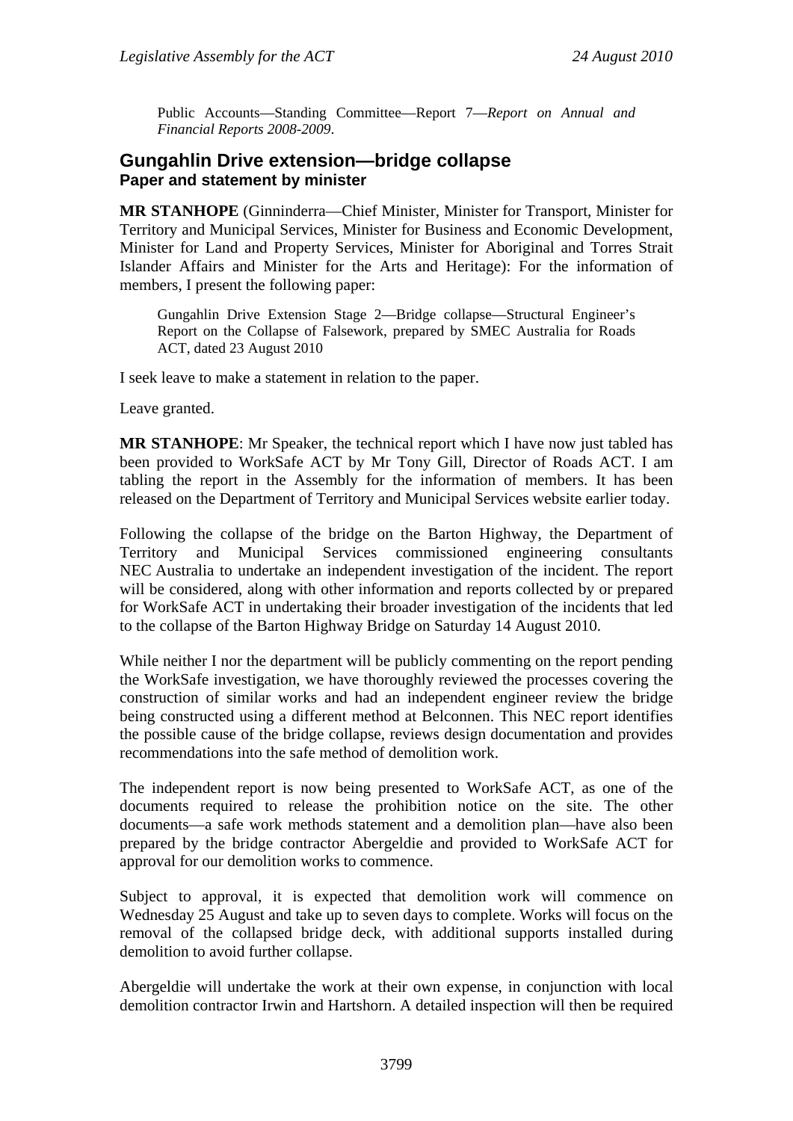Public Accounts—Standing Committee—Report 7—*Report on Annual and Financial Reports 2008-2009*.

## **Gungahlin Drive extension—bridge collapse Paper and statement by minister**

**MR STANHOPE** (Ginninderra—Chief Minister, Minister for Transport, Minister for Territory and Municipal Services, Minister for Business and Economic Development, Minister for Land and Property Services, Minister for Aboriginal and Torres Strait Islander Affairs and Minister for the Arts and Heritage): For the information of members, I present the following paper:

Gungahlin Drive Extension Stage 2—Bridge collapse—Structural Engineer's Report on the Collapse of Falsework, prepared by SMEC Australia for Roads ACT, dated 23 August 2010

I seek leave to make a statement in relation to the paper.

Leave granted.

**MR STANHOPE**: Mr Speaker, the technical report which I have now just tabled has been provided to WorkSafe ACT by Mr Tony Gill, Director of Roads ACT. I am tabling the report in the Assembly for the information of members. It has been released on the Department of Territory and Municipal Services website earlier today.

Following the collapse of the bridge on the Barton Highway, the Department of Territory and Municipal Services commissioned engineering consultants NEC Australia to undertake an independent investigation of the incident. The report will be considered, along with other information and reports collected by or prepared for WorkSafe ACT in undertaking their broader investigation of the incidents that led to the collapse of the Barton Highway Bridge on Saturday 14 August 2010.

While neither I nor the department will be publicly commenting on the report pending the WorkSafe investigation, we have thoroughly reviewed the processes covering the construction of similar works and had an independent engineer review the bridge being constructed using a different method at Belconnen. This NEC report identifies the possible cause of the bridge collapse, reviews design documentation and provides recommendations into the safe method of demolition work.

The independent report is now being presented to WorkSafe ACT, as one of the documents required to release the prohibition notice on the site. The other documents—a safe work methods statement and a demolition plan—have also been prepared by the bridge contractor Abergeldie and provided to WorkSafe ACT for approval for our demolition works to commence.

Subject to approval, it is expected that demolition work will commence on Wednesday 25 August and take up to seven days to complete. Works will focus on the removal of the collapsed bridge deck, with additional supports installed during demolition to avoid further collapse.

Abergeldie will undertake the work at their own expense, in conjunction with local demolition contractor Irwin and Hartshorn. A detailed inspection will then be required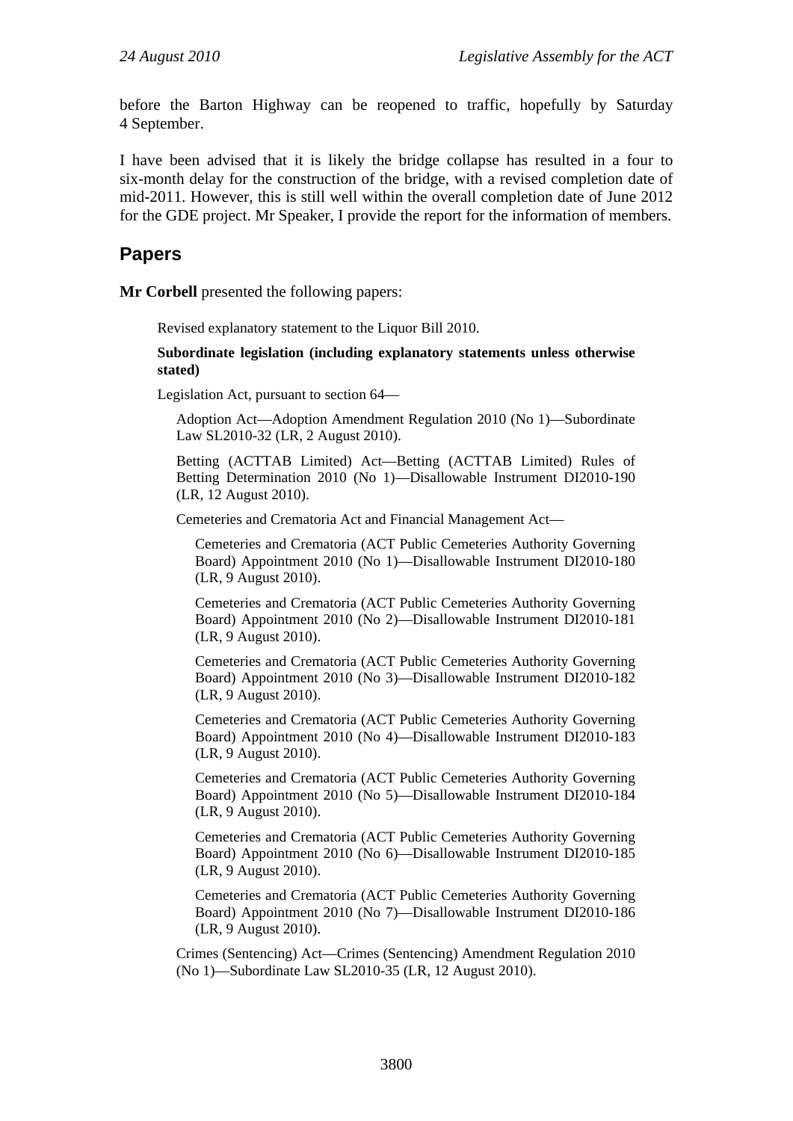before the Barton Highway can be reopened to traffic, hopefully by Saturday 4 September.

I have been advised that it is likely the bridge collapse has resulted in a four to six-month delay for the construction of the bridge, with a revised completion date of mid-2011. However, this is still well within the overall completion date of June 2012 for the GDE project. Mr Speaker, I provide the report for the information of members.

# **Papers**

**Mr Corbell** presented the following papers:

Revised explanatory statement to the Liquor Bill 2010.

**Subordinate legislation (including explanatory statements unless otherwise stated)** 

Legislation Act, pursuant to section 64—

Adoption Act—Adoption Amendment Regulation 2010 (No 1)—Subordinate Law SL2010-32 (LR, 2 August 2010).

Betting (ACTTAB Limited) Act—Betting (ACTTAB Limited) Rules of Betting Determination 2010 (No 1)—Disallowable Instrument DI2010-190 (LR, 12 August 2010).

Cemeteries and Crematoria Act and Financial Management Act—

Cemeteries and Crematoria (ACT Public Cemeteries Authority Governing Board) Appointment 2010 (No 1)—Disallowable Instrument DI2010-180 (LR, 9 August 2010).

Cemeteries and Crematoria (ACT Public Cemeteries Authority Governing Board) Appointment 2010 (No 2)—Disallowable Instrument DI2010-181 (LR, 9 August 2010).

Cemeteries and Crematoria (ACT Public Cemeteries Authority Governing Board) Appointment 2010 (No 3)—Disallowable Instrument DI2010-182 (LR, 9 August 2010).

Cemeteries and Crematoria (ACT Public Cemeteries Authority Governing Board) Appointment 2010 (No 4)—Disallowable Instrument DI2010-183 (LR, 9 August 2010).

Cemeteries and Crematoria (ACT Public Cemeteries Authority Governing Board) Appointment 2010 (No 5)—Disallowable Instrument DI2010-184 (LR, 9 August 2010).

Cemeteries and Crematoria (ACT Public Cemeteries Authority Governing Board) Appointment 2010 (No 6)—Disallowable Instrument DI2010-185 (LR, 9 August 2010).

Cemeteries and Crematoria (ACT Public Cemeteries Authority Governing Board) Appointment 2010 (No 7)—Disallowable Instrument DI2010-186 (LR, 9 August 2010).

Crimes (Sentencing) Act—Crimes (Sentencing) Amendment Regulation 2010 (No 1)—Subordinate Law SL2010-35 (LR, 12 August 2010).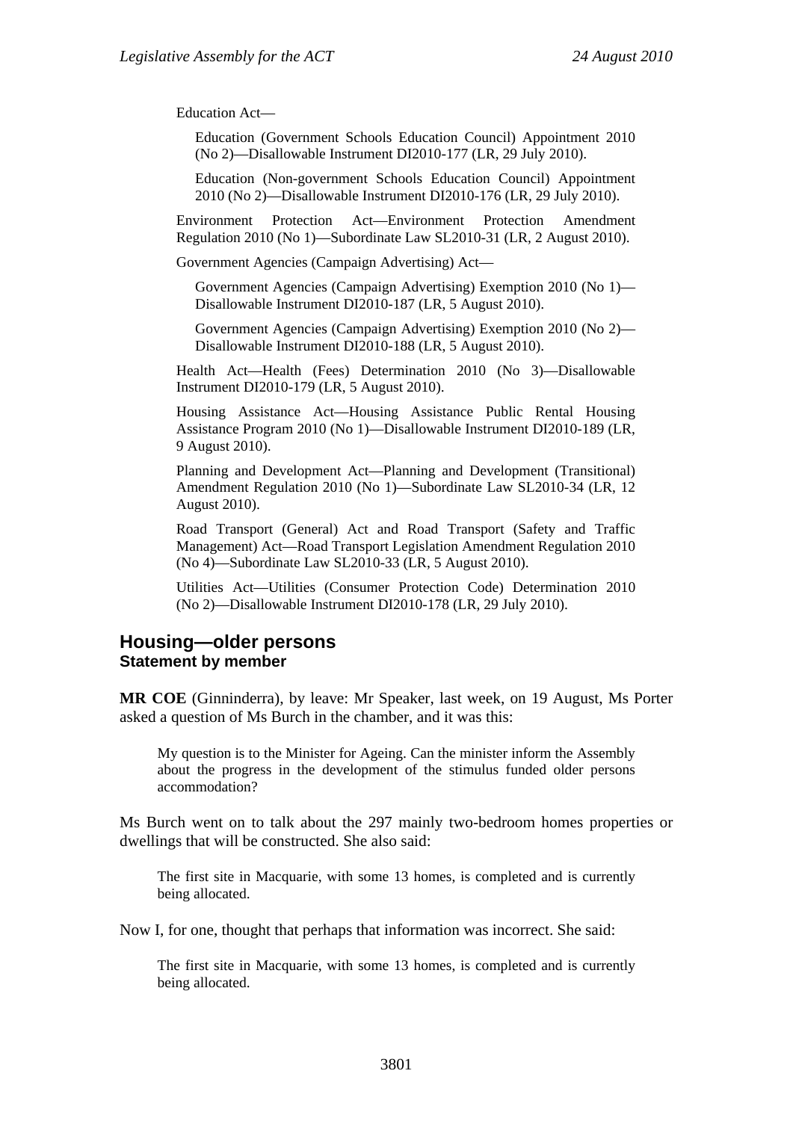Education Act—

Education (Government Schools Education Council) Appointment 2010 (No 2)—Disallowable Instrument DI2010-177 (LR, 29 July 2010).

Education (Non-government Schools Education Council) Appointment 2010 (No 2)—Disallowable Instrument DI2010-176 (LR, 29 July 2010).

Environment Protection Act—Environment Protection Amendment Regulation 2010 (No 1)—Subordinate Law SL2010-31 (LR, 2 August 2010).

Government Agencies (Campaign Advertising) Act—

Government Agencies (Campaign Advertising) Exemption 2010 (No 1)— Disallowable Instrument DI2010-187 (LR, 5 August 2010).

Government Agencies (Campaign Advertising) Exemption 2010 (No 2)— Disallowable Instrument DI2010-188 (LR, 5 August 2010).

Health Act—Health (Fees) Determination 2010 (No 3)—Disallowable Instrument DI2010-179 (LR, 5 August 2010).

Housing Assistance Act—Housing Assistance Public Rental Housing Assistance Program 2010 (No 1)—Disallowable Instrument DI2010-189 (LR, 9 August 2010).

Planning and Development Act—Planning and Development (Transitional) Amendment Regulation 2010 (No 1)—Subordinate Law SL2010-34 (LR, 12 August 2010).

Road Transport (General) Act and Road Transport (Safety and Traffic Management) Act—Road Transport Legislation Amendment Regulation 2010 (No 4)—Subordinate Law SL2010-33 (LR, 5 August 2010).

Utilities Act—Utilities (Consumer Protection Code) Determination 2010 (No 2)—Disallowable Instrument DI2010-178 (LR, 29 July 2010).

## **Housing—older persons Statement by member**

**MR COE** (Ginninderra), by leave: Mr Speaker, last week, on 19 August, Ms Porter asked a question of Ms Burch in the chamber, and it was this:

My question is to the Minister for Ageing. Can the minister inform the Assembly about the progress in the development of the stimulus funded older persons accommodation?

Ms Burch went on to talk about the 297 mainly two-bedroom homes properties or dwellings that will be constructed. She also said:

The first site in Macquarie, with some 13 homes, is completed and is currently being allocated.

Now I, for one, thought that perhaps that information was incorrect. She said:

The first site in Macquarie, with some 13 homes, is completed and is currently being allocated.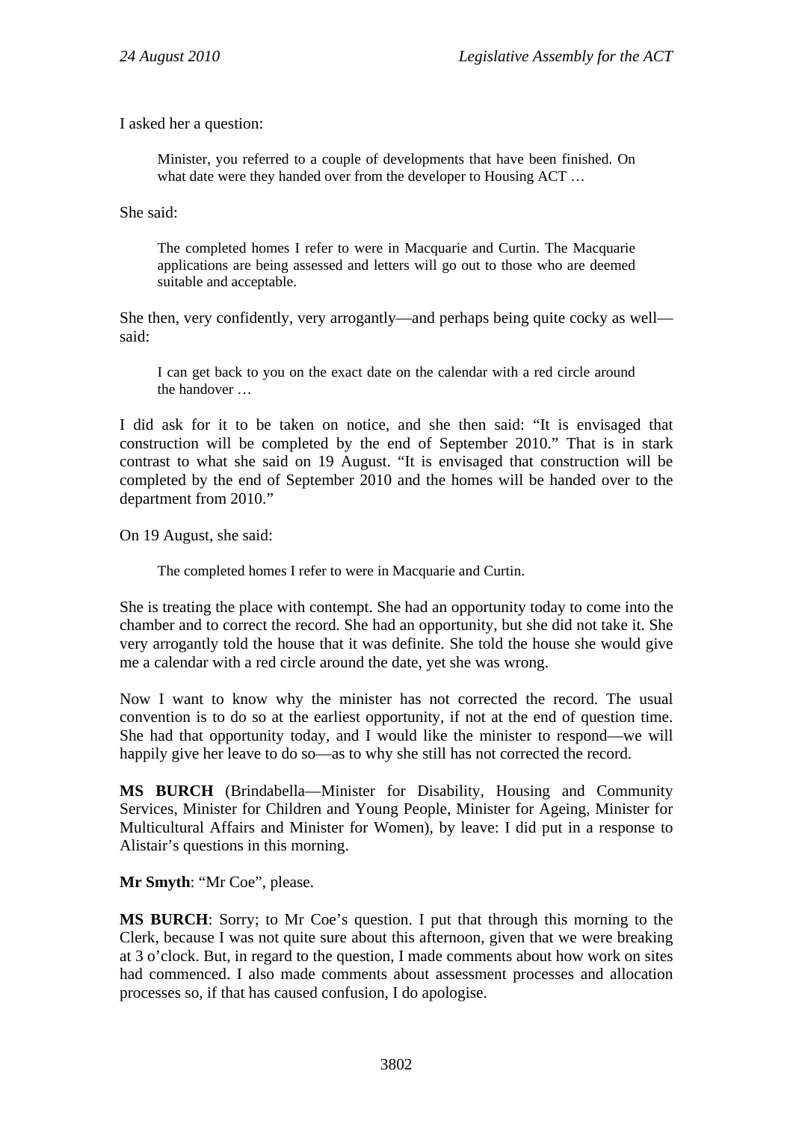I asked her a question:

Minister, you referred to a couple of developments that have been finished. On what date were they handed over from the developer to Housing ACT …

She said:

The completed homes I refer to were in Macquarie and Curtin. The Macquarie applications are being assessed and letters will go out to those who are deemed suitable and acceptable.

She then, very confidently, very arrogantly—and perhaps being quite cocky as well said:

I can get back to you on the exact date on the calendar with a red circle around the handover …

I did ask for it to be taken on notice, and she then said: "It is envisaged that construction will be completed by the end of September 2010." That is in stark contrast to what she said on 19 August. "It is envisaged that construction will be completed by the end of September 2010 and the homes will be handed over to the department from 2010."

On 19 August, she said:

The completed homes I refer to were in Macquarie and Curtin.

She is treating the place with contempt. She had an opportunity today to come into the chamber and to correct the record. She had an opportunity, but she did not take it. She very arrogantly told the house that it was definite. She told the house she would give me a calendar with a red circle around the date, yet she was wrong.

Now I want to know why the minister has not corrected the record. The usual convention is to do so at the earliest opportunity, if not at the end of question time. She had that opportunity today, and I would like the minister to respond—we will happily give her leave to do so—as to why she still has not corrected the record.

**MS BURCH** (Brindabella—Minister for Disability, Housing and Community Services, Minister for Children and Young People, Minister for Ageing, Minister for Multicultural Affairs and Minister for Women), by leave: I did put in a response to Alistair's questions in this morning.

**Mr Smyth**: "Mr Coe", please.

**MS BURCH**: Sorry; to Mr Coe's question. I put that through this morning to the Clerk, because I was not quite sure about this afternoon, given that we were breaking at 3 o'clock. But, in regard to the question, I made comments about how work on sites had commenced. I also made comments about assessment processes and allocation processes so, if that has caused confusion, I do apologise.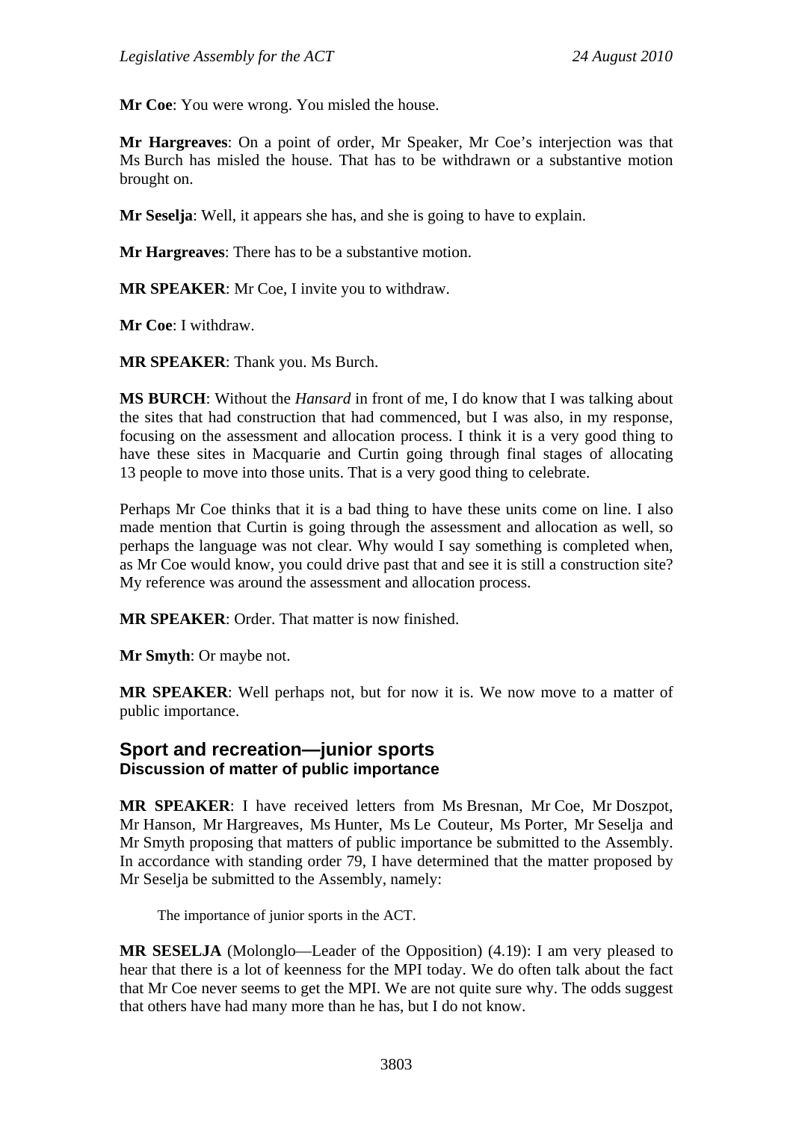**Mr Coe**: You were wrong. You misled the house.

**Mr Hargreaves**: On a point of order, Mr Speaker, Mr Coe's interjection was that Ms Burch has misled the house. That has to be withdrawn or a substantive motion brought on.

**Mr Seselja**: Well, it appears she has, and she is going to have to explain.

**Mr Hargreaves**: There has to be a substantive motion.

**MR SPEAKER**: Mr Coe, I invite you to withdraw.

**Mr Coe**: I withdraw.

**MR SPEAKER**: Thank you. Ms Burch.

**MS BURCH**: Without the *Hansard* in front of me, I do know that I was talking about the sites that had construction that had commenced, but I was also, in my response, focusing on the assessment and allocation process. I think it is a very good thing to have these sites in Macquarie and Curtin going through final stages of allocating 13 people to move into those units. That is a very good thing to celebrate.

Perhaps Mr Coe thinks that it is a bad thing to have these units come on line. I also made mention that Curtin is going through the assessment and allocation as well, so perhaps the language was not clear. Why would I say something is completed when, as Mr Coe would know, you could drive past that and see it is still a construction site? My reference was around the assessment and allocation process.

**MR SPEAKER**: Order. That matter is now finished.

**Mr Smyth**: Or maybe not.

**MR SPEAKER**: Well perhaps not, but for now it is. We now move to a matter of public importance.

# **Sport and recreation—junior sports Discussion of matter of public importance**

**MR SPEAKER**: I have received letters from Ms Bresnan, Mr Coe, Mr Doszpot, Mr Hanson, Mr Hargreaves, Ms Hunter, Ms Le Couteur, Ms Porter, Mr Seselja and Mr Smyth proposing that matters of public importance be submitted to the Assembly. In accordance with standing order 79, I have determined that the matter proposed by Mr Seselja be submitted to the Assembly, namely:

The importance of junior sports in the ACT.

**MR SESELJA** (Molonglo—Leader of the Opposition) (4.19): I am very pleased to hear that there is a lot of keenness for the MPI today. We do often talk about the fact that Mr Coe never seems to get the MPI. We are not quite sure why. The odds suggest that others have had many more than he has, but I do not know.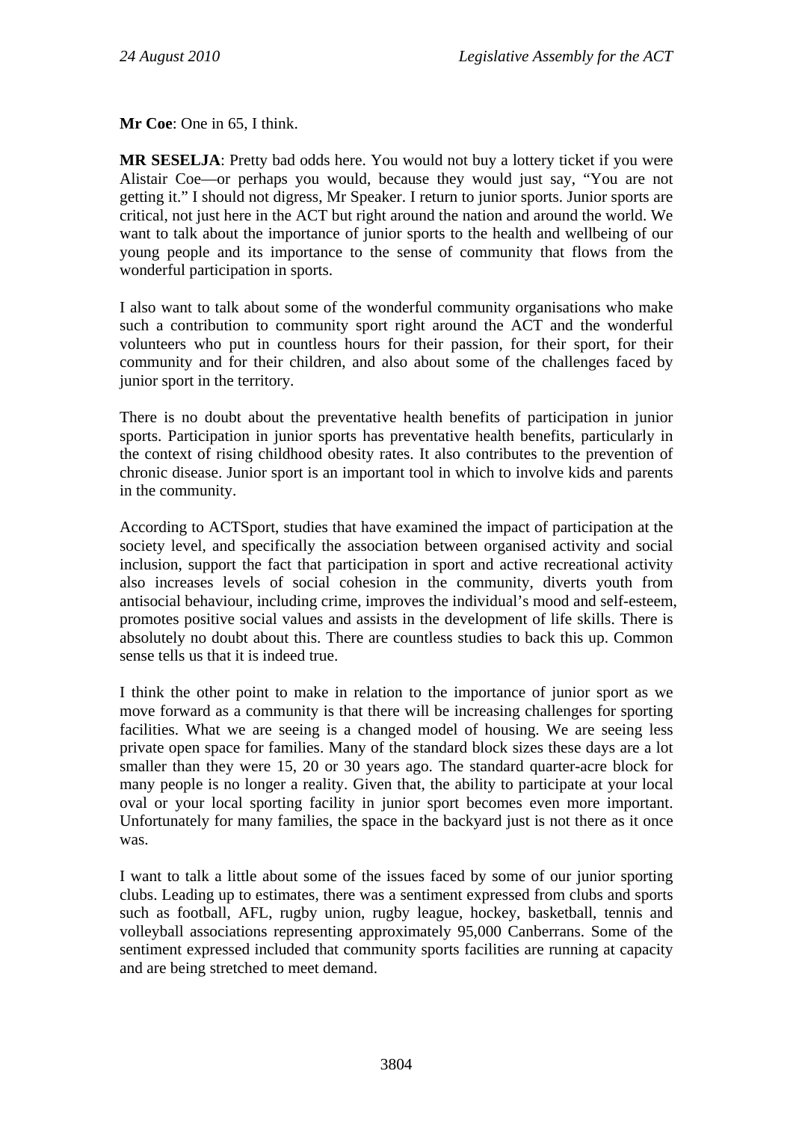**Mr Coe**: One in 65, I think.

**MR SESELJA**: Pretty bad odds here. You would not buy a lottery ticket if you were Alistair Coe—or perhaps you would, because they would just say, "You are not getting it." I should not digress, Mr Speaker. I return to junior sports. Junior sports are critical, not just here in the ACT but right around the nation and around the world. We want to talk about the importance of junior sports to the health and wellbeing of our young people and its importance to the sense of community that flows from the wonderful participation in sports.

I also want to talk about some of the wonderful community organisations who make such a contribution to community sport right around the ACT and the wonderful volunteers who put in countless hours for their passion, for their sport, for their community and for their children, and also about some of the challenges faced by junior sport in the territory.

There is no doubt about the preventative health benefits of participation in junior sports. Participation in junior sports has preventative health benefits, particularly in the context of rising childhood obesity rates. It also contributes to the prevention of chronic disease. Junior sport is an important tool in which to involve kids and parents in the community.

According to ACTSport, studies that have examined the impact of participation at the society level, and specifically the association between organised activity and social inclusion, support the fact that participation in sport and active recreational activity also increases levels of social cohesion in the community, diverts youth from antisocial behaviour, including crime, improves the individual's mood and self-esteem, promotes positive social values and assists in the development of life skills. There is absolutely no doubt about this. There are countless studies to back this up. Common sense tells us that it is indeed true.

I think the other point to make in relation to the importance of junior sport as we move forward as a community is that there will be increasing challenges for sporting facilities. What we are seeing is a changed model of housing. We are seeing less private open space for families. Many of the standard block sizes these days are a lot smaller than they were 15, 20 or 30 years ago. The standard quarter-acre block for many people is no longer a reality. Given that, the ability to participate at your local oval or your local sporting facility in junior sport becomes even more important. Unfortunately for many families, the space in the backyard just is not there as it once was.

I want to talk a little about some of the issues faced by some of our junior sporting clubs. Leading up to estimates, there was a sentiment expressed from clubs and sports such as football, AFL, rugby union, rugby league, hockey, basketball, tennis and volleyball associations representing approximately 95,000 Canberrans. Some of the sentiment expressed included that community sports facilities are running at capacity and are being stretched to meet demand.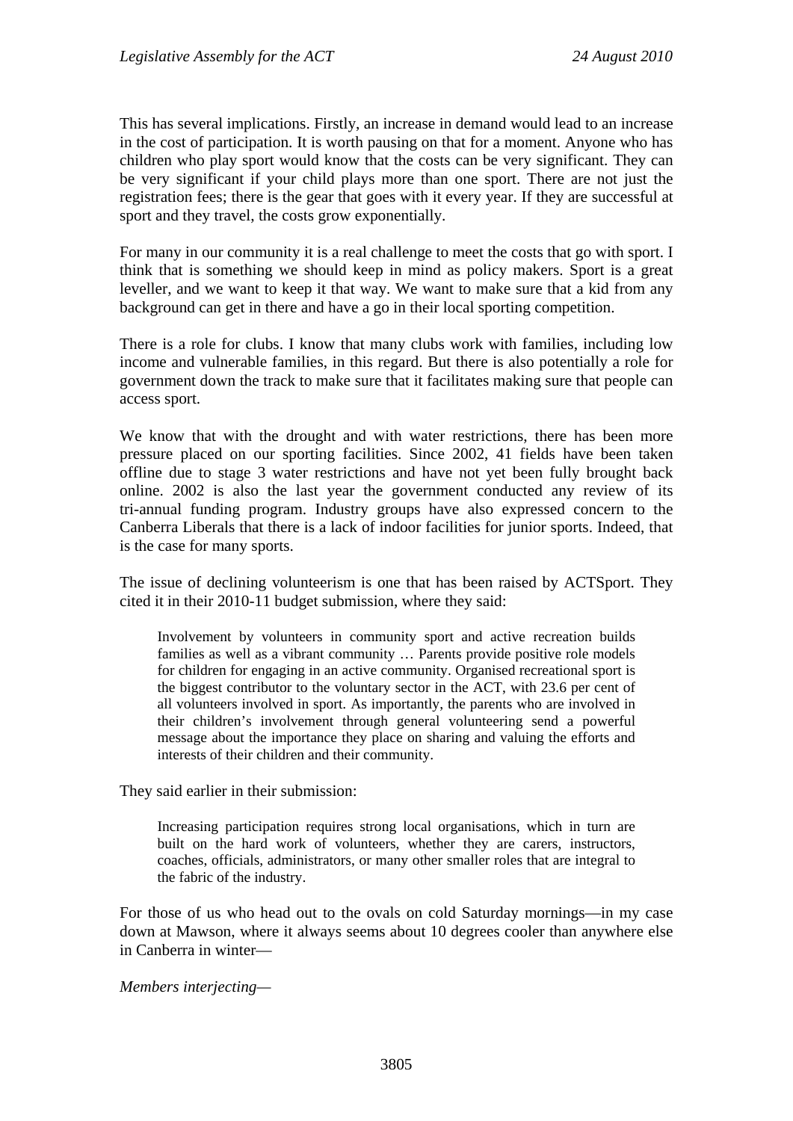This has several implications. Firstly, an increase in demand would lead to an increase in the cost of participation. It is worth pausing on that for a moment. Anyone who has children who play sport would know that the costs can be very significant. They can be very significant if your child plays more than one sport. There are not just the registration fees; there is the gear that goes with it every year. If they are successful at sport and they travel, the costs grow exponentially.

For many in our community it is a real challenge to meet the costs that go with sport. I think that is something we should keep in mind as policy makers. Sport is a great leveller, and we want to keep it that way. We want to make sure that a kid from any background can get in there and have a go in their local sporting competition.

There is a role for clubs. I know that many clubs work with families, including low income and vulnerable families, in this regard. But there is also potentially a role for government down the track to make sure that it facilitates making sure that people can access sport.

We know that with the drought and with water restrictions, there has been more pressure placed on our sporting facilities. Since 2002, 41 fields have been taken offline due to stage 3 water restrictions and have not yet been fully brought back online. 2002 is also the last year the government conducted any review of its tri-annual funding program. Industry groups have also expressed concern to the Canberra Liberals that there is a lack of indoor facilities for junior sports. Indeed, that is the case for many sports.

The issue of declining volunteerism is one that has been raised by ACTSport. They cited it in their 2010-11 budget submission, where they said:

Involvement by volunteers in community sport and active recreation builds families as well as a vibrant community … Parents provide positive role models for children for engaging in an active community. Organised recreational sport is the biggest contributor to the voluntary sector in the ACT, with 23.6 per cent of all volunteers involved in sport. As importantly, the parents who are involved in their children's involvement through general volunteering send a powerful message about the importance they place on sharing and valuing the efforts and interests of their children and their community.

They said earlier in their submission:

Increasing participation requires strong local organisations, which in turn are built on the hard work of volunteers, whether they are carers, instructors, coaches, officials, administrators, or many other smaller roles that are integral to the fabric of the industry.

For those of us who head out to the ovals on cold Saturday mornings—in my case down at Mawson, where it always seems about 10 degrees cooler than anywhere else in Canberra in winter—

*Members interjecting—*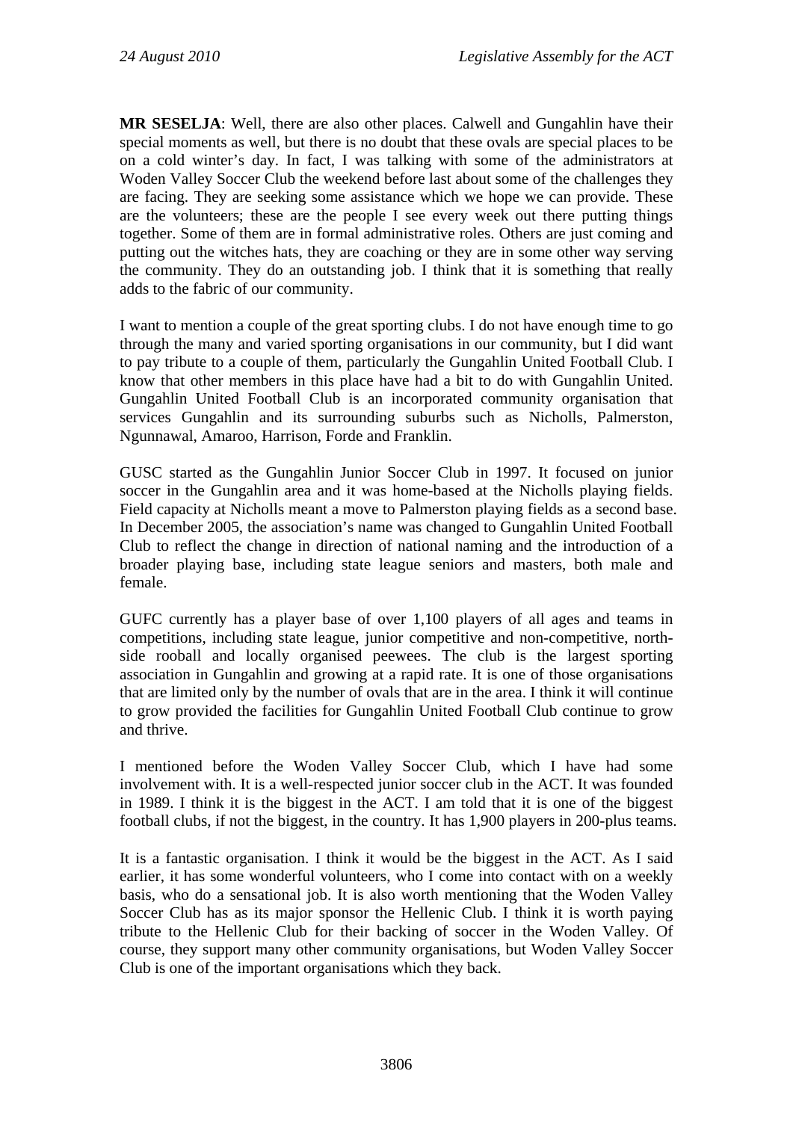**MR SESELJA**: Well, there are also other places. Calwell and Gungahlin have their special moments as well, but there is no doubt that these ovals are special places to be on a cold winter's day. In fact, I was talking with some of the administrators at Woden Valley Soccer Club the weekend before last about some of the challenges they are facing. They are seeking some assistance which we hope we can provide. These are the volunteers; these are the people I see every week out there putting things together. Some of them are in formal administrative roles. Others are just coming and putting out the witches hats, they are coaching or they are in some other way serving the community. They do an outstanding job. I think that it is something that really adds to the fabric of our community.

I want to mention a couple of the great sporting clubs. I do not have enough time to go through the many and varied sporting organisations in our community, but I did want to pay tribute to a couple of them, particularly the Gungahlin United Football Club. I know that other members in this place have had a bit to do with Gungahlin United. Gungahlin United Football Club is an incorporated community organisation that services Gungahlin and its surrounding suburbs such as Nicholls, Palmerston, Ngunnawal, Amaroo, Harrison, Forde and Franklin.

GUSC started as the Gungahlin Junior Soccer Club in 1997. It focused on junior soccer in the Gungahlin area and it was home-based at the Nicholls playing fields. Field capacity at Nicholls meant a move to Palmerston playing fields as a second base. In December 2005, the association's name was changed to Gungahlin United Football Club to reflect the change in direction of national naming and the introduction of a broader playing base, including state league seniors and masters, both male and female.

GUFC currently has a player base of over 1,100 players of all ages and teams in competitions, including state league, junior competitive and non-competitive, northside rooball and locally organised peewees. The club is the largest sporting association in Gungahlin and growing at a rapid rate. It is one of those organisations that are limited only by the number of ovals that are in the area. I think it will continue to grow provided the facilities for Gungahlin United Football Club continue to grow and thrive.

I mentioned before the Woden Valley Soccer Club, which I have had some involvement with. It is a well-respected junior soccer club in the ACT. It was founded in 1989. I think it is the biggest in the ACT. I am told that it is one of the biggest football clubs, if not the biggest, in the country. It has 1,900 players in 200-plus teams.

It is a fantastic organisation. I think it would be the biggest in the ACT. As I said earlier, it has some wonderful volunteers, who I come into contact with on a weekly basis, who do a sensational job. It is also worth mentioning that the Woden Valley Soccer Club has as its major sponsor the Hellenic Club. I think it is worth paying tribute to the Hellenic Club for their backing of soccer in the Woden Valley. Of course, they support many other community organisations, but Woden Valley Soccer Club is one of the important organisations which they back.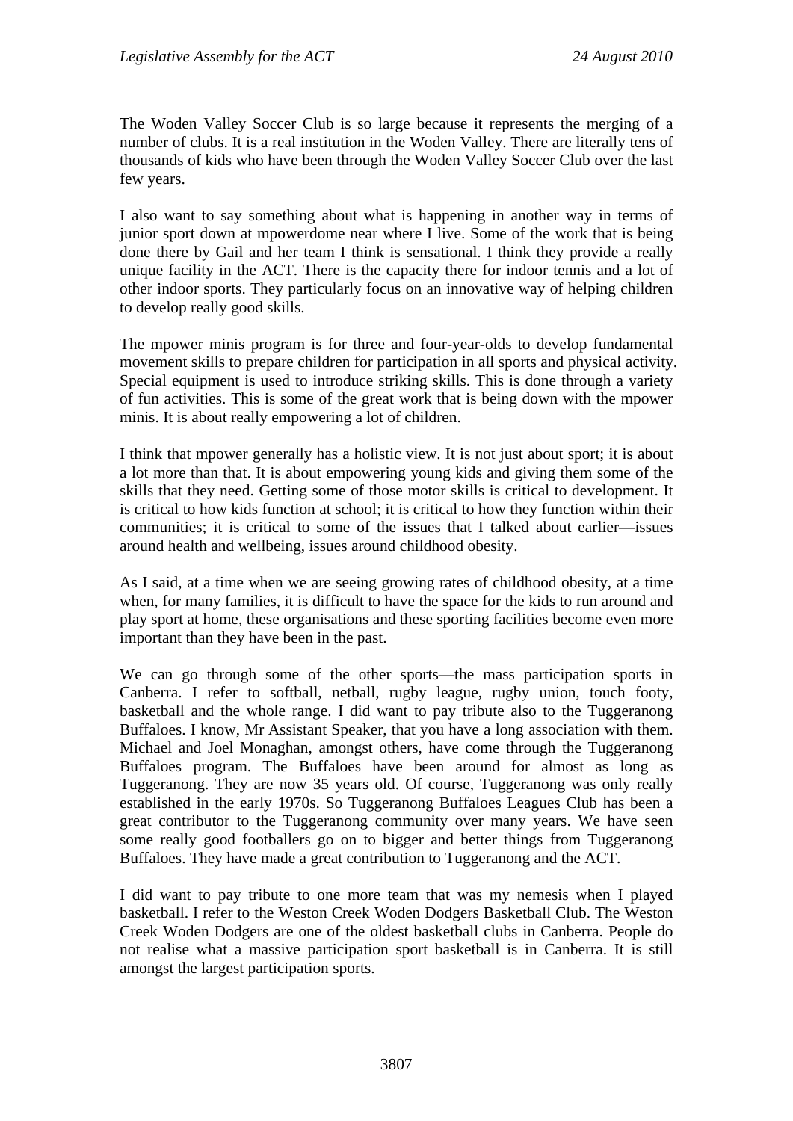The Woden Valley Soccer Club is so large because it represents the merging of a number of clubs. It is a real institution in the Woden Valley. There are literally tens of thousands of kids who have been through the Woden Valley Soccer Club over the last few years.

I also want to say something about what is happening in another way in terms of junior sport down at mpowerdome near where I live. Some of the work that is being done there by Gail and her team I think is sensational. I think they provide a really unique facility in the ACT. There is the capacity there for indoor tennis and a lot of other indoor sports. They particularly focus on an innovative way of helping children to develop really good skills.

The mpower minis program is for three and four-year-olds to develop fundamental movement skills to prepare children for participation in all sports and physical activity. Special equipment is used to introduce striking skills. This is done through a variety of fun activities. This is some of the great work that is being down with the mpower minis. It is about really empowering a lot of children.

I think that mpower generally has a holistic view. It is not just about sport; it is about a lot more than that. It is about empowering young kids and giving them some of the skills that they need. Getting some of those motor skills is critical to development. It is critical to how kids function at school; it is critical to how they function within their communities; it is critical to some of the issues that I talked about earlier—issues around health and wellbeing, issues around childhood obesity.

As I said, at a time when we are seeing growing rates of childhood obesity, at a time when, for many families, it is difficult to have the space for the kids to run around and play sport at home, these organisations and these sporting facilities become even more important than they have been in the past.

We can go through some of the other sports—the mass participation sports in Canberra. I refer to softball, netball, rugby league, rugby union, touch footy, basketball and the whole range. I did want to pay tribute also to the Tuggeranong Buffaloes. I know, Mr Assistant Speaker, that you have a long association with them. Michael and Joel Monaghan, amongst others, have come through the Tuggeranong Buffaloes program. The Buffaloes have been around for almost as long as Tuggeranong. They are now 35 years old. Of course, Tuggeranong was only really established in the early 1970s. So Tuggeranong Buffaloes Leagues Club has been a great contributor to the Tuggeranong community over many years. We have seen some really good footballers go on to bigger and better things from Tuggeranong Buffaloes. They have made a great contribution to Tuggeranong and the ACT.

I did want to pay tribute to one more team that was my nemesis when I played basketball. I refer to the Weston Creek Woden Dodgers Basketball Club. The Weston Creek Woden Dodgers are one of the oldest basketball clubs in Canberra. People do not realise what a massive participation sport basketball is in Canberra. It is still amongst the largest participation sports.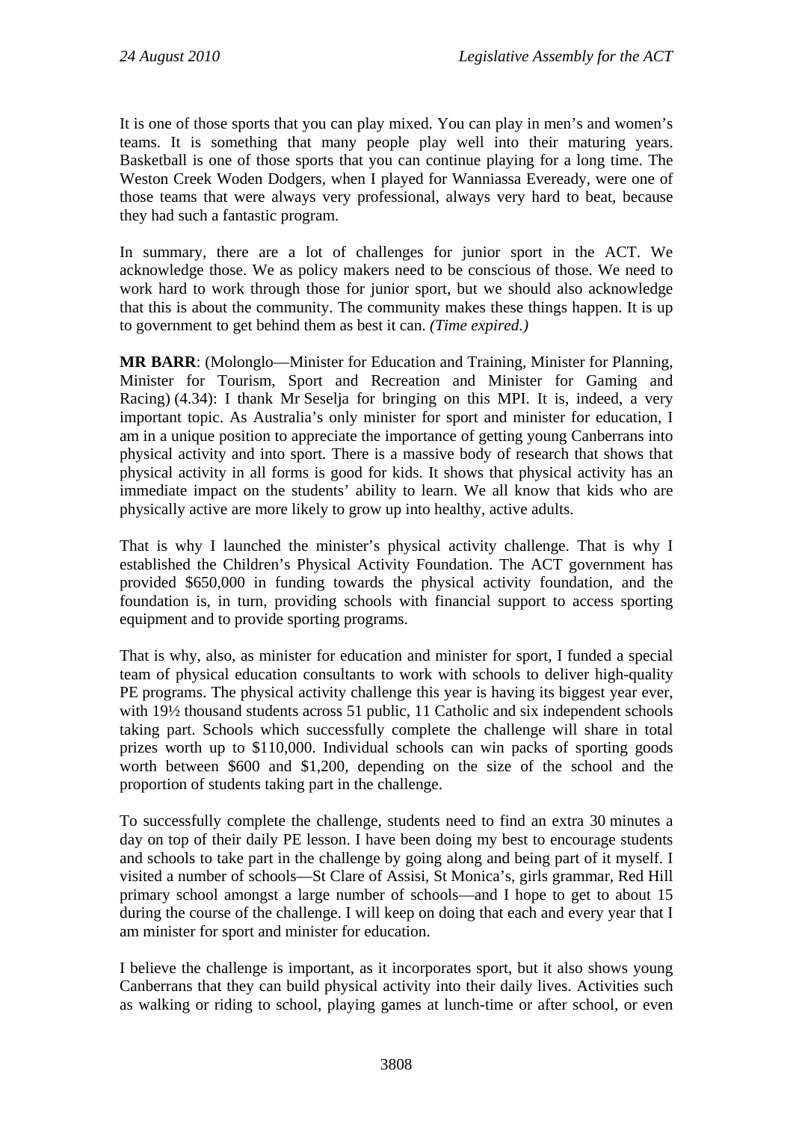It is one of those sports that you can play mixed. You can play in men's and women's teams. It is something that many people play well into their maturing years. Basketball is one of those sports that you can continue playing for a long time. The Weston Creek Woden Dodgers, when I played for Wanniassa Eveready, were one of those teams that were always very professional, always very hard to beat, because they had such a fantastic program.

In summary, there are a lot of challenges for junior sport in the ACT. We acknowledge those. We as policy makers need to be conscious of those. We need to work hard to work through those for junior sport, but we should also acknowledge that this is about the community. The community makes these things happen. It is up to government to get behind them as best it can. *(Time expired.)*

**MR BARR**: (Molonglo—Minister for Education and Training, Minister for Planning, Minister for Tourism, Sport and Recreation and Minister for Gaming and Racing) (4.34): I thank Mr Seselja for bringing on this MPI. It is, indeed, a very important topic. As Australia's only minister for sport and minister for education, I am in a unique position to appreciate the importance of getting young Canberrans into physical activity and into sport. There is a massive body of research that shows that physical activity in all forms is good for kids. It shows that physical activity has an immediate impact on the students' ability to learn. We all know that kids who are physically active are more likely to grow up into healthy, active adults.

That is why I launched the minister's physical activity challenge. That is why I established the Children's Physical Activity Foundation. The ACT government has provided \$650,000 in funding towards the physical activity foundation, and the foundation is, in turn, providing schools with financial support to access sporting equipment and to provide sporting programs.

That is why, also, as minister for education and minister for sport, I funded a special team of physical education consultants to work with schools to deliver high-quality PE programs. The physical activity challenge this year is having its biggest year ever, with 19<sup>1</sup>/<sub>2</sub> thousand students across 51 public, 11 Catholic and six independent schools taking part. Schools which successfully complete the challenge will share in total prizes worth up to \$110,000. Individual schools can win packs of sporting goods worth between \$600 and \$1,200, depending on the size of the school and the proportion of students taking part in the challenge.

To successfully complete the challenge, students need to find an extra 30 minutes a day on top of their daily PE lesson. I have been doing my best to encourage students and schools to take part in the challenge by going along and being part of it myself. I visited a number of schools—St Clare of Assisi, St Monica's, girls grammar, Red Hill primary school amongst a large number of schools—and I hope to get to about 15 during the course of the challenge. I will keep on doing that each and every year that I am minister for sport and minister for education.

I believe the challenge is important, as it incorporates sport, but it also shows young Canberrans that they can build physical activity into their daily lives. Activities such as walking or riding to school, playing games at lunch-time or after school, or even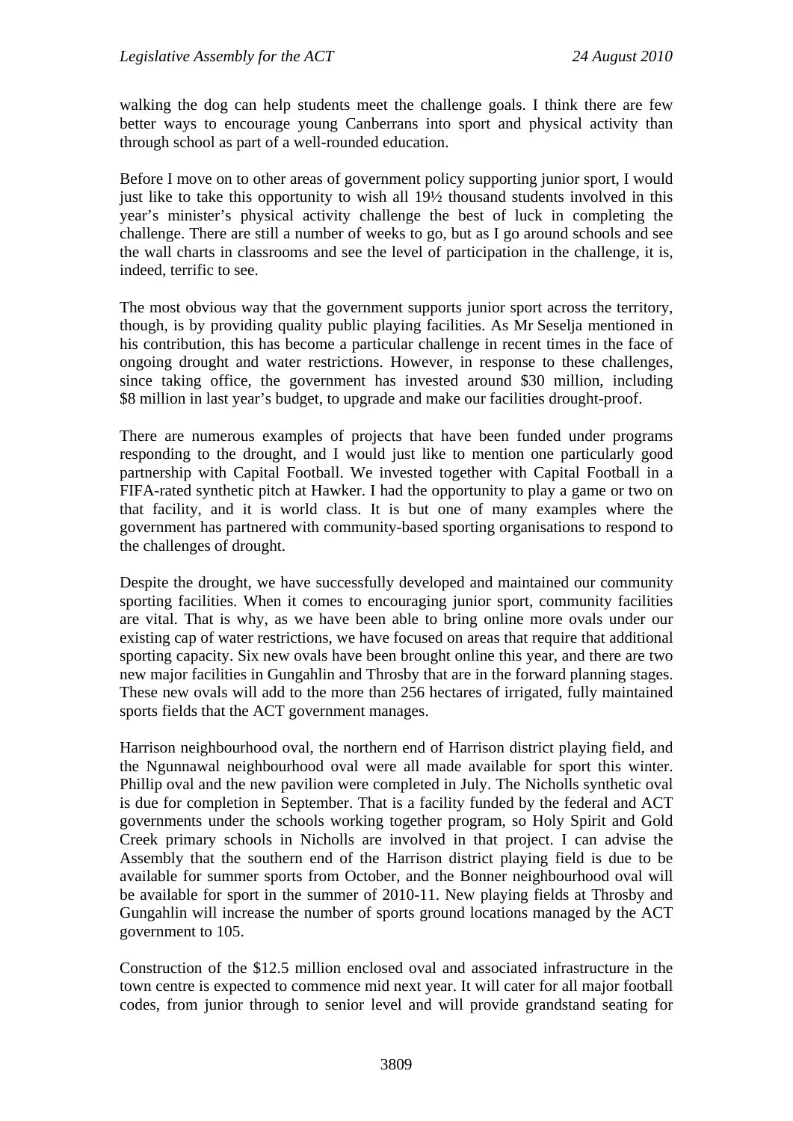walking the dog can help students meet the challenge goals. I think there are few better ways to encourage young Canberrans into sport and physical activity than through school as part of a well-rounded education.

Before I move on to other areas of government policy supporting junior sport, I would just like to take this opportunity to wish all 19½ thousand students involved in this year's minister's physical activity challenge the best of luck in completing the challenge. There are still a number of weeks to go, but as I go around schools and see the wall charts in classrooms and see the level of participation in the challenge, it is, indeed, terrific to see.

The most obvious way that the government supports junior sport across the territory, though, is by providing quality public playing facilities. As Mr Seselja mentioned in his contribution, this has become a particular challenge in recent times in the face of ongoing drought and water restrictions. However, in response to these challenges, since taking office, the government has invested around \$30 million, including \$8 million in last year's budget, to upgrade and make our facilities drought-proof.

There are numerous examples of projects that have been funded under programs responding to the drought, and I would just like to mention one particularly good partnership with Capital Football. We invested together with Capital Football in a FIFA-rated synthetic pitch at Hawker. I had the opportunity to play a game or two on that facility, and it is world class. It is but one of many examples where the government has partnered with community-based sporting organisations to respond to the challenges of drought.

Despite the drought, we have successfully developed and maintained our community sporting facilities. When it comes to encouraging junior sport, community facilities are vital. That is why, as we have been able to bring online more ovals under our existing cap of water restrictions, we have focused on areas that require that additional sporting capacity. Six new ovals have been brought online this year, and there are two new major facilities in Gungahlin and Throsby that are in the forward planning stages. These new ovals will add to the more than 256 hectares of irrigated, fully maintained sports fields that the ACT government manages.

Harrison neighbourhood oval, the northern end of Harrison district playing field, and the Ngunnawal neighbourhood oval were all made available for sport this winter. Phillip oval and the new pavilion were completed in July. The Nicholls synthetic oval is due for completion in September. That is a facility funded by the federal and ACT governments under the schools working together program, so Holy Spirit and Gold Creek primary schools in Nicholls are involved in that project. I can advise the Assembly that the southern end of the Harrison district playing field is due to be available for summer sports from October, and the Bonner neighbourhood oval will be available for sport in the summer of 2010-11. New playing fields at Throsby and Gungahlin will increase the number of sports ground locations managed by the ACT government to 105.

Construction of the \$12.5 million enclosed oval and associated infrastructure in the town centre is expected to commence mid next year. It will cater for all major football codes, from junior through to senior level and will provide grandstand seating for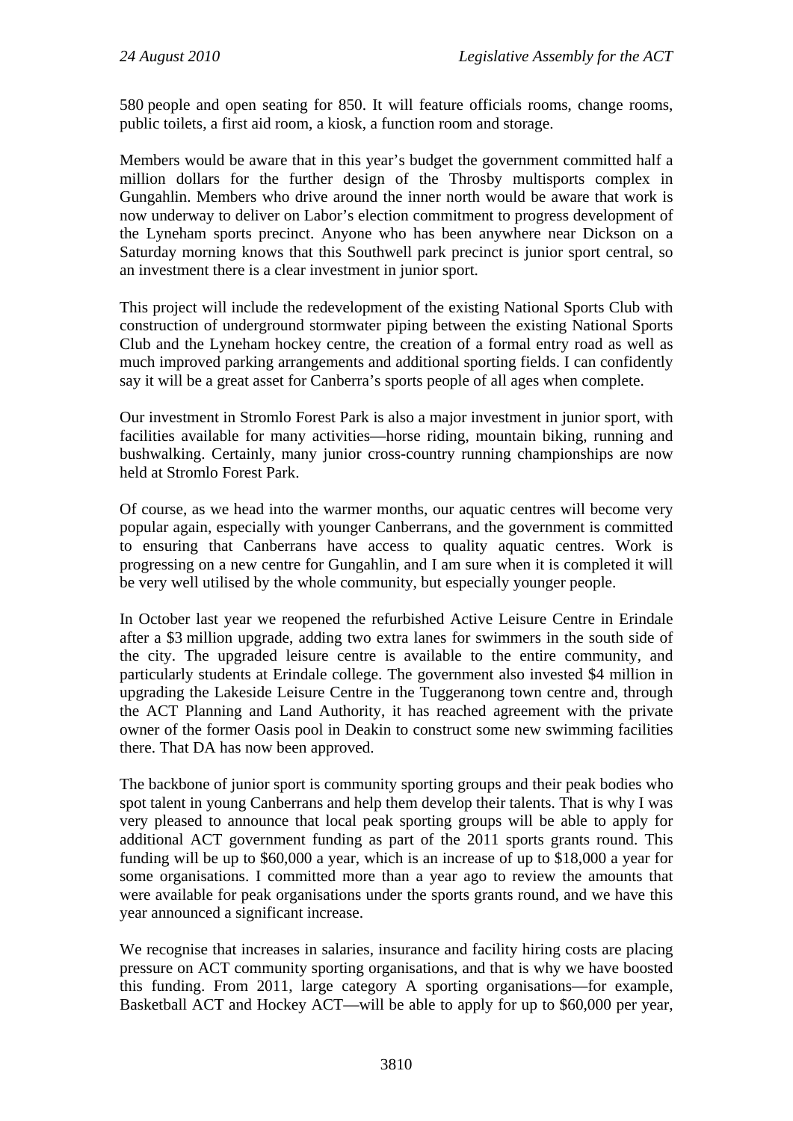580 people and open seating for 850. It will feature officials rooms, change rooms, public toilets, a first aid room, a kiosk, a function room and storage.

Members would be aware that in this year's budget the government committed half a million dollars for the further design of the Throsby multisports complex in Gungahlin. Members who drive around the inner north would be aware that work is now underway to deliver on Labor's election commitment to progress development of the Lyneham sports precinct. Anyone who has been anywhere near Dickson on a Saturday morning knows that this Southwell park precinct is junior sport central, so an investment there is a clear investment in junior sport.

This project will include the redevelopment of the existing National Sports Club with construction of underground stormwater piping between the existing National Sports Club and the Lyneham hockey centre, the creation of a formal entry road as well as much improved parking arrangements and additional sporting fields. I can confidently say it will be a great asset for Canberra's sports people of all ages when complete.

Our investment in Stromlo Forest Park is also a major investment in junior sport, with facilities available for many activities—horse riding, mountain biking, running and bushwalking. Certainly, many junior cross-country running championships are now held at Stromlo Forest Park.

Of course, as we head into the warmer months, our aquatic centres will become very popular again, especially with younger Canberrans, and the government is committed to ensuring that Canberrans have access to quality aquatic centres. Work is progressing on a new centre for Gungahlin, and I am sure when it is completed it will be very well utilised by the whole community, but especially younger people.

In October last year we reopened the refurbished Active Leisure Centre in Erindale after a \$3 million upgrade, adding two extra lanes for swimmers in the south side of the city. The upgraded leisure centre is available to the entire community, and particularly students at Erindale college. The government also invested \$4 million in upgrading the Lakeside Leisure Centre in the Tuggeranong town centre and, through the ACT Planning and Land Authority, it has reached agreement with the private owner of the former Oasis pool in Deakin to construct some new swimming facilities there. That DA has now been approved.

The backbone of junior sport is community sporting groups and their peak bodies who spot talent in young Canberrans and help them develop their talents. That is why I was very pleased to announce that local peak sporting groups will be able to apply for additional ACT government funding as part of the 2011 sports grants round. This funding will be up to \$60,000 a year, which is an increase of up to \$18,000 a year for some organisations. I committed more than a year ago to review the amounts that were available for peak organisations under the sports grants round, and we have this year announced a significant increase.

We recognise that increases in salaries, insurance and facility hiring costs are placing pressure on ACT community sporting organisations, and that is why we have boosted this funding. From 2011, large category A sporting organisations—for example, Basketball ACT and Hockey ACT—will be able to apply for up to \$60,000 per year,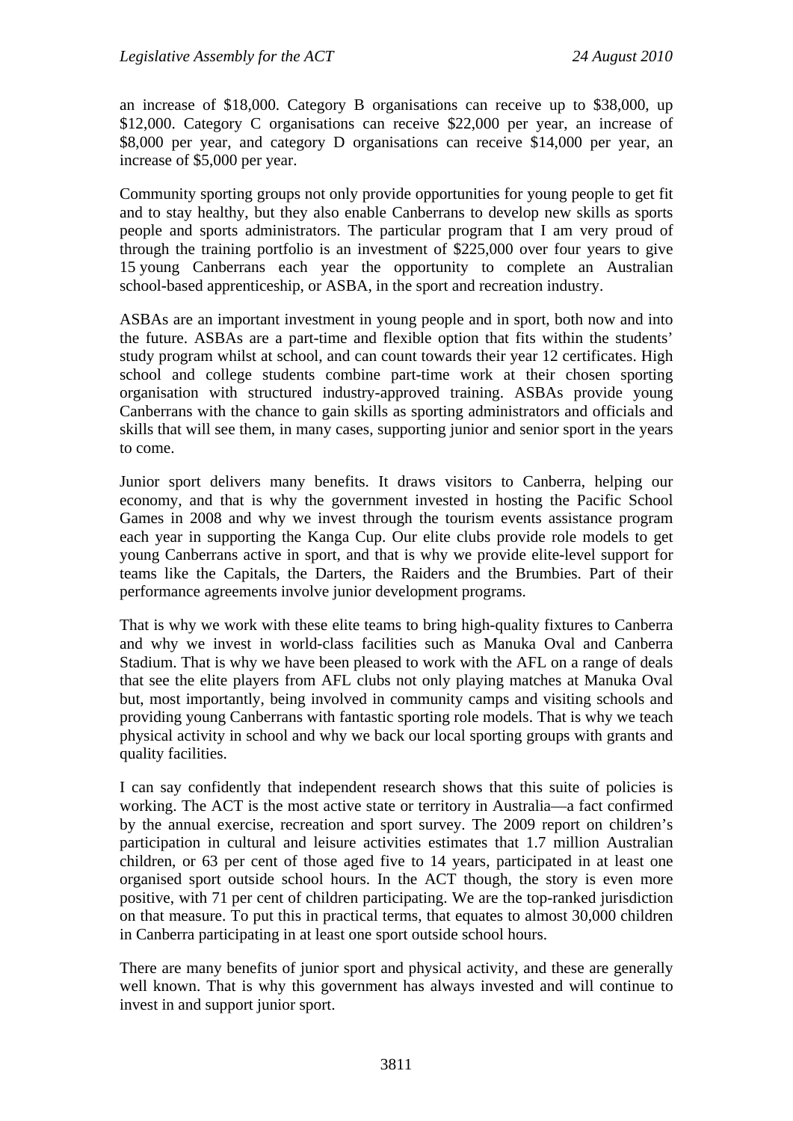an increase of \$18,000. Category B organisations can receive up to \$38,000, up \$12,000. Category C organisations can receive \$22,000 per year, an increase of \$8,000 per year, and category D organisations can receive \$14,000 per year, an increase of \$5,000 per year.

Community sporting groups not only provide opportunities for young people to get fit and to stay healthy, but they also enable Canberrans to develop new skills as sports people and sports administrators. The particular program that I am very proud of through the training portfolio is an investment of \$225,000 over four years to give 15 young Canberrans each year the opportunity to complete an Australian school-based apprenticeship, or ASBA, in the sport and recreation industry.

ASBAs are an important investment in young people and in sport, both now and into the future. ASBAs are a part-time and flexible option that fits within the students' study program whilst at school, and can count towards their year 12 certificates. High school and college students combine part-time work at their chosen sporting organisation with structured industry-approved training. ASBAs provide young Canberrans with the chance to gain skills as sporting administrators and officials and skills that will see them, in many cases, supporting junior and senior sport in the years to come.

Junior sport delivers many benefits. It draws visitors to Canberra, helping our economy, and that is why the government invested in hosting the Pacific School Games in 2008 and why we invest through the tourism events assistance program each year in supporting the Kanga Cup. Our elite clubs provide role models to get young Canberrans active in sport, and that is why we provide elite-level support for teams like the Capitals, the Darters, the Raiders and the Brumbies. Part of their performance agreements involve junior development programs.

That is why we work with these elite teams to bring high-quality fixtures to Canberra and why we invest in world-class facilities such as Manuka Oval and Canberra Stadium. That is why we have been pleased to work with the AFL on a range of deals that see the elite players from AFL clubs not only playing matches at Manuka Oval but, most importantly, being involved in community camps and visiting schools and providing young Canberrans with fantastic sporting role models. That is why we teach physical activity in school and why we back our local sporting groups with grants and quality facilities.

I can say confidently that independent research shows that this suite of policies is working. The ACT is the most active state or territory in Australia—a fact confirmed by the annual exercise, recreation and sport survey. The 2009 report on children's participation in cultural and leisure activities estimates that 1.7 million Australian children, or 63 per cent of those aged five to 14 years, participated in at least one organised sport outside school hours. In the ACT though, the story is even more positive, with 71 per cent of children participating. We are the top-ranked jurisdiction on that measure. To put this in practical terms, that equates to almost 30,000 children in Canberra participating in at least one sport outside school hours.

There are many benefits of junior sport and physical activity, and these are generally well known. That is why this government has always invested and will continue to invest in and support junior sport.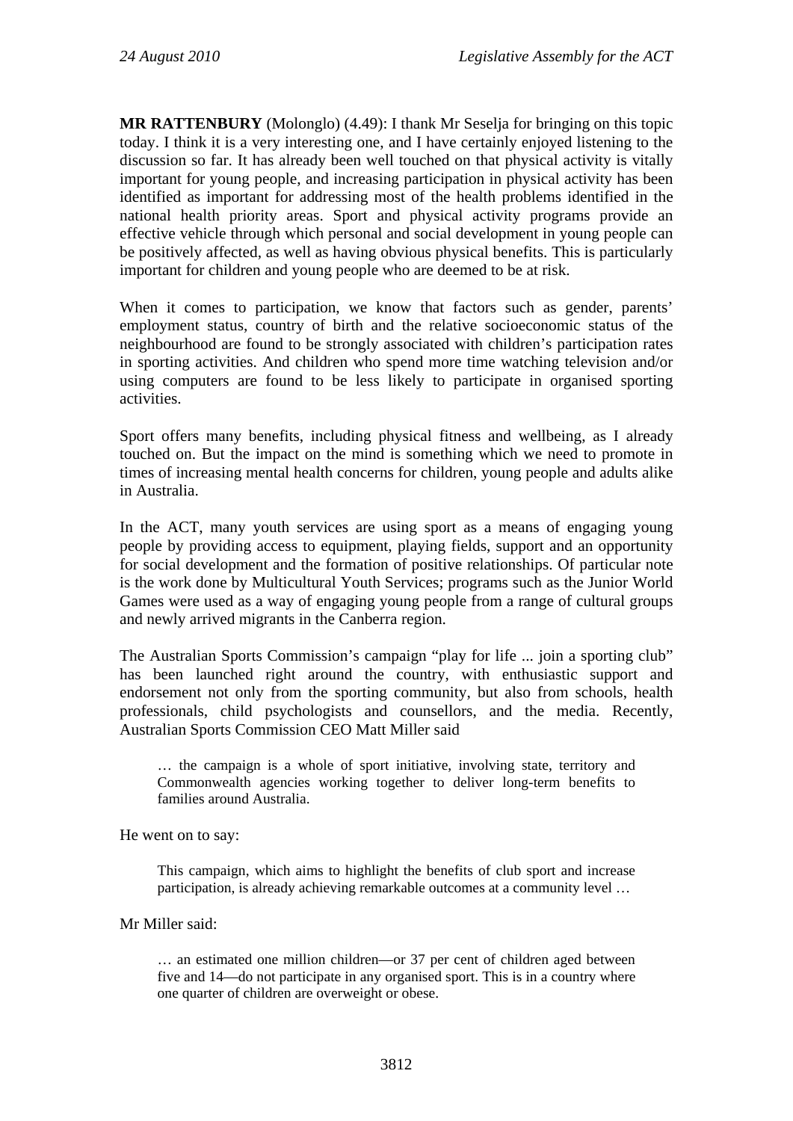**MR RATTENBURY** (Molonglo) (4.49): I thank Mr Seselja for bringing on this topic today. I think it is a very interesting one, and I have certainly enjoyed listening to the discussion so far. It has already been well touched on that physical activity is vitally important for young people, and increasing participation in physical activity has been identified as important for addressing most of the health problems identified in the national health priority areas. Sport and physical activity programs provide an effective vehicle through which personal and social development in young people can be positively affected, as well as having obvious physical benefits. This is particularly important for children and young people who are deemed to be at risk.

When it comes to participation, we know that factors such as gender, parents' employment status, country of birth and the relative socioeconomic status of the neighbourhood are found to be strongly associated with children's participation rates in sporting activities. And children who spend more time watching television and/or using computers are found to be less likely to participate in organised sporting activities.

Sport offers many benefits, including physical fitness and wellbeing, as I already touched on. But the impact on the mind is something which we need to promote in times of increasing mental health concerns for children, young people and adults alike in Australia.

In the ACT, many youth services are using sport as a means of engaging young people by providing access to equipment, playing fields, support and an opportunity for social development and the formation of positive relationships. Of particular note is the work done by Multicultural Youth Services; programs such as the Junior World Games were used as a way of engaging young people from a range of cultural groups and newly arrived migrants in the Canberra region.

The Australian Sports Commission's campaign "play for life ... join a sporting club" has been launched right around the country, with enthusiastic support and endorsement not only from the sporting community, but also from schools, health professionals, child psychologists and counsellors, and the media. Recently, Australian Sports Commission CEO Matt Miller said

… the campaign is a whole of sport initiative, involving state, territory and Commonwealth agencies working together to deliver long-term benefits to families around Australia.

He went on to say:

This campaign, which aims to highlight the benefits of club sport and increase participation, is already achieving remarkable outcomes at a community level …

Mr Miller said:

… an estimated one million children—or 37 per cent of children aged between five and 14—do not participate in any organised sport. This is in a country where one quarter of children are overweight or obese.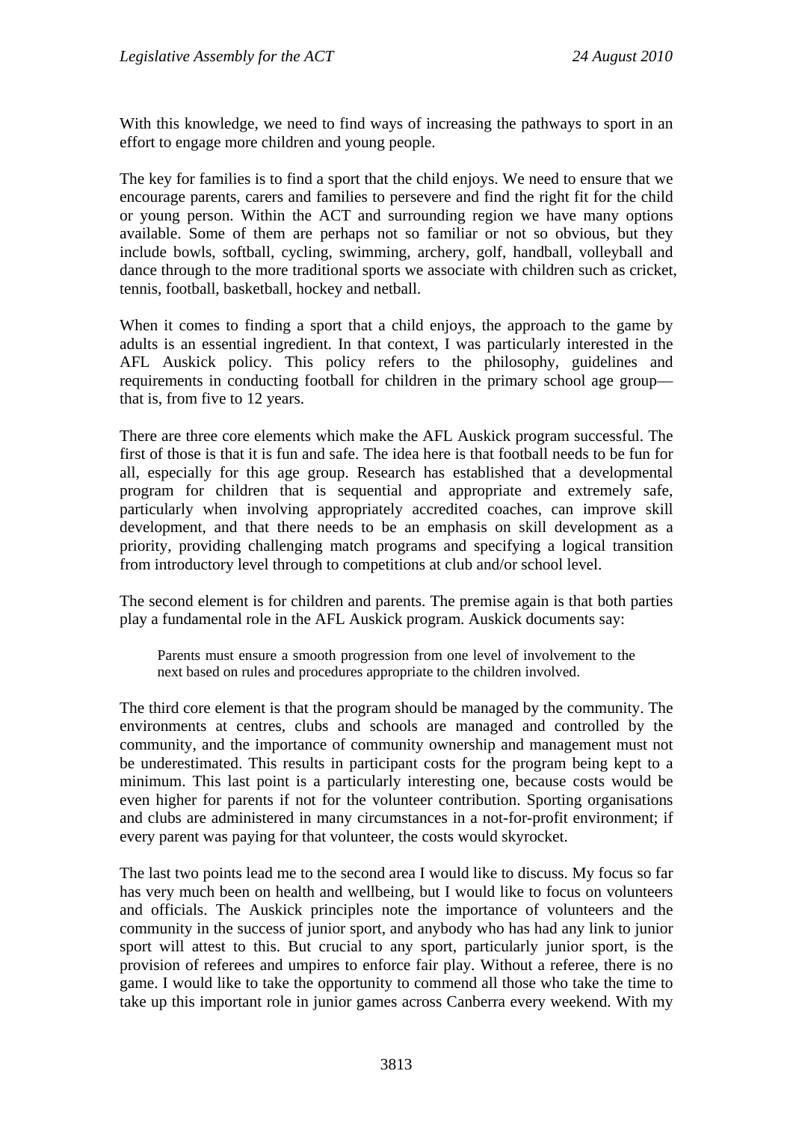With this knowledge, we need to find ways of increasing the pathways to sport in an effort to engage more children and young people.

The key for families is to find a sport that the child enjoys. We need to ensure that we encourage parents, carers and families to persevere and find the right fit for the child or young person. Within the ACT and surrounding region we have many options available. Some of them are perhaps not so familiar or not so obvious, but they include bowls, softball, cycling, swimming, archery, golf, handball, volleyball and dance through to the more traditional sports we associate with children such as cricket, tennis, football, basketball, hockey and netball.

When it comes to finding a sport that a child enjoys, the approach to the game by adults is an essential ingredient. In that context, I was particularly interested in the AFL Auskick policy. This policy refers to the philosophy, guidelines and requirements in conducting football for children in the primary school age group that is, from five to 12 years.

There are three core elements which make the AFL Auskick program successful. The first of those is that it is fun and safe. The idea here is that football needs to be fun for all, especially for this age group. Research has established that a developmental program for children that is sequential and appropriate and extremely safe, particularly when involving appropriately accredited coaches, can improve skill development, and that there needs to be an emphasis on skill development as a priority, providing challenging match programs and specifying a logical transition from introductory level through to competitions at club and/or school level.

The second element is for children and parents. The premise again is that both parties play a fundamental role in the AFL Auskick program. Auskick documents say:

Parents must ensure a smooth progression from one level of involvement to the next based on rules and procedures appropriate to the children involved.

The third core element is that the program should be managed by the community. The environments at centres, clubs and schools are managed and controlled by the community, and the importance of community ownership and management must not be underestimated. This results in participant costs for the program being kept to a minimum. This last point is a particularly interesting one, because costs would be even higher for parents if not for the volunteer contribution. Sporting organisations and clubs are administered in many circumstances in a not-for-profit environment; if every parent was paying for that volunteer, the costs would skyrocket.

The last two points lead me to the second area I would like to discuss. My focus so far has very much been on health and wellbeing, but I would like to focus on volunteers and officials. The Auskick principles note the importance of volunteers and the community in the success of junior sport, and anybody who has had any link to junior sport will attest to this. But crucial to any sport, particularly junior sport, is the provision of referees and umpires to enforce fair play. Without a referee, there is no game. I would like to take the opportunity to commend all those who take the time to take up this important role in junior games across Canberra every weekend. With my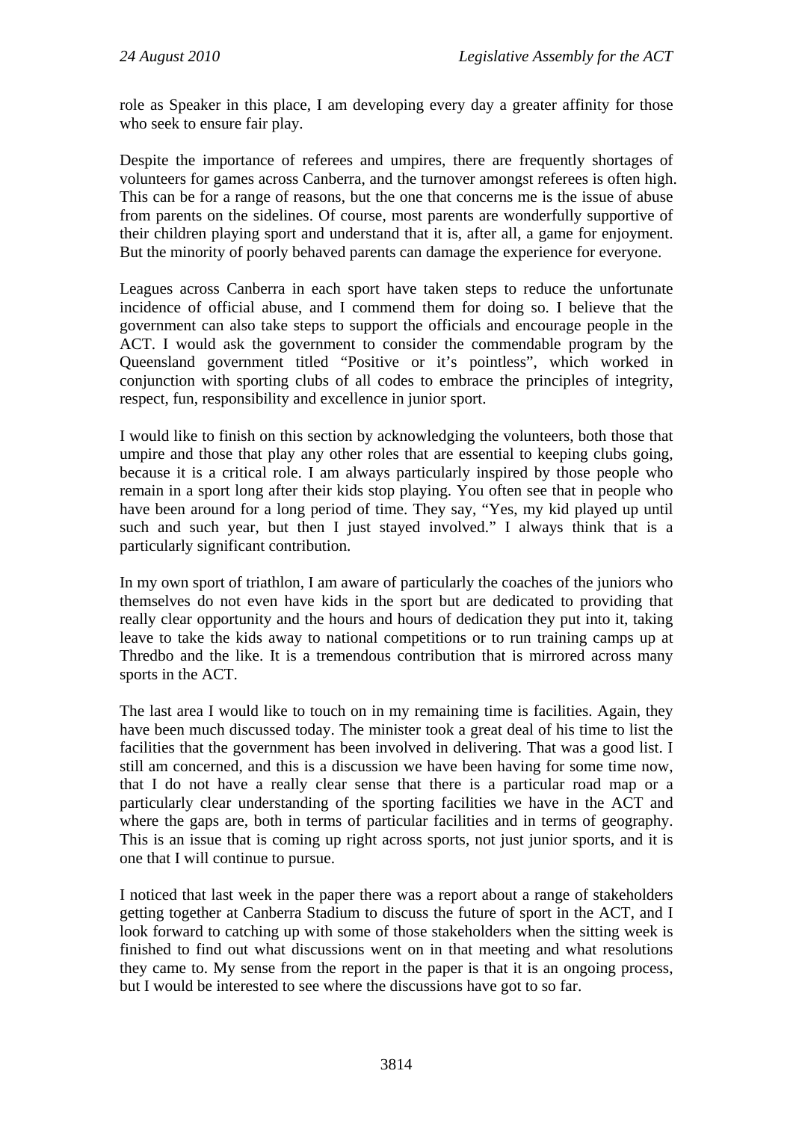role as Speaker in this place, I am developing every day a greater affinity for those who seek to ensure fair play.

Despite the importance of referees and umpires, there are frequently shortages of volunteers for games across Canberra, and the turnover amongst referees is often high. This can be for a range of reasons, but the one that concerns me is the issue of abuse from parents on the sidelines. Of course, most parents are wonderfully supportive of their children playing sport and understand that it is, after all, a game for enjoyment. But the minority of poorly behaved parents can damage the experience for everyone.

Leagues across Canberra in each sport have taken steps to reduce the unfortunate incidence of official abuse, and I commend them for doing so. I believe that the government can also take steps to support the officials and encourage people in the ACT. I would ask the government to consider the commendable program by the Queensland government titled "Positive or it's pointless", which worked in conjunction with sporting clubs of all codes to embrace the principles of integrity, respect, fun, responsibility and excellence in junior sport.

I would like to finish on this section by acknowledging the volunteers, both those that umpire and those that play any other roles that are essential to keeping clubs going, because it is a critical role. I am always particularly inspired by those people who remain in a sport long after their kids stop playing. You often see that in people who have been around for a long period of time. They say, "Yes, my kid played up until such and such year, but then I just stayed involved." I always think that is a particularly significant contribution.

In my own sport of triathlon, I am aware of particularly the coaches of the juniors who themselves do not even have kids in the sport but are dedicated to providing that really clear opportunity and the hours and hours of dedication they put into it, taking leave to take the kids away to national competitions or to run training camps up at Thredbo and the like. It is a tremendous contribution that is mirrored across many sports in the ACT.

The last area I would like to touch on in my remaining time is facilities. Again, they have been much discussed today. The minister took a great deal of his time to list the facilities that the government has been involved in delivering. That was a good list. I still am concerned, and this is a discussion we have been having for some time now, that I do not have a really clear sense that there is a particular road map or a particularly clear understanding of the sporting facilities we have in the ACT and where the gaps are, both in terms of particular facilities and in terms of geography. This is an issue that is coming up right across sports, not just junior sports, and it is one that I will continue to pursue.

I noticed that last week in the paper there was a report about a range of stakeholders getting together at Canberra Stadium to discuss the future of sport in the ACT, and I look forward to catching up with some of those stakeholders when the sitting week is finished to find out what discussions went on in that meeting and what resolutions they came to. My sense from the report in the paper is that it is an ongoing process, but I would be interested to see where the discussions have got to so far.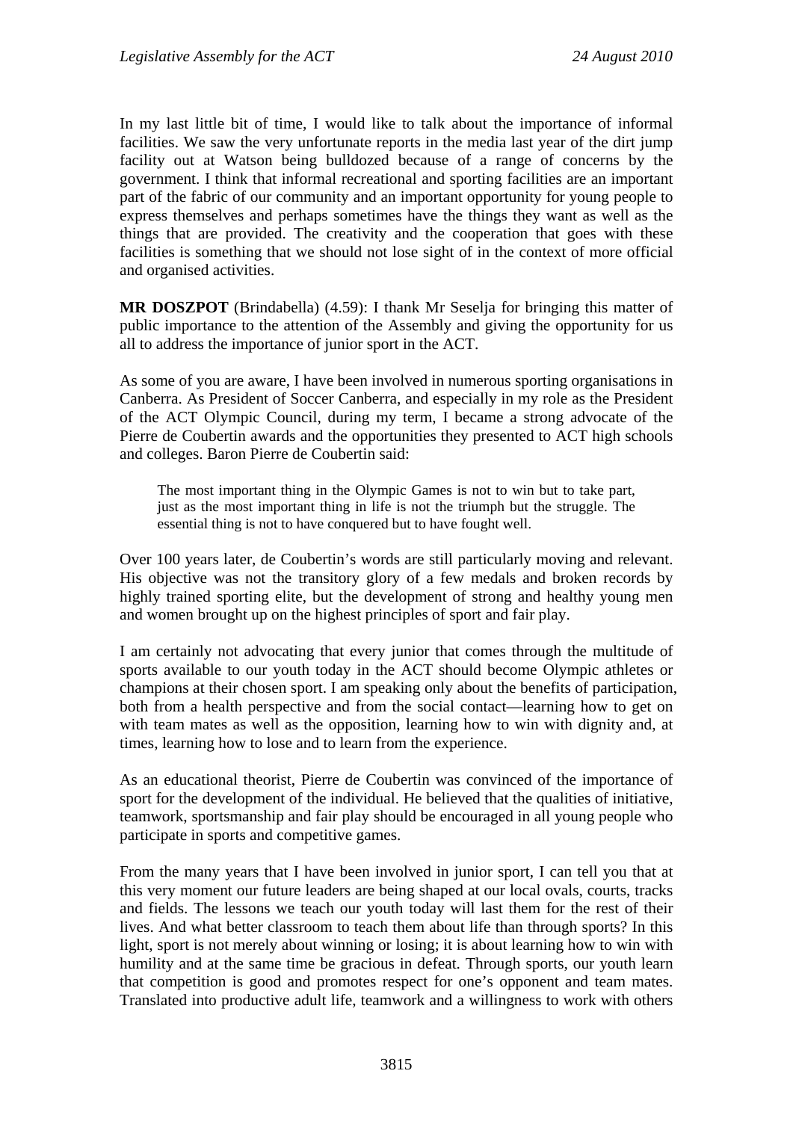In my last little bit of time, I would like to talk about the importance of informal facilities. We saw the very unfortunate reports in the media last year of the dirt jump facility out at Watson being bulldozed because of a range of concerns by the government. I think that informal recreational and sporting facilities are an important part of the fabric of our community and an important opportunity for young people to express themselves and perhaps sometimes have the things they want as well as the things that are provided. The creativity and the cooperation that goes with these facilities is something that we should not lose sight of in the context of more official and organised activities.

**MR DOSZPOT** (Brindabella) (4.59): I thank Mr Seselja for bringing this matter of public importance to the attention of the Assembly and giving the opportunity for us all to address the importance of junior sport in the ACT.

As some of you are aware, I have been involved in numerous sporting organisations in Canberra. As President of Soccer Canberra, and especially in my role as the President of the ACT Olympic Council, during my term, I became a strong advocate of the Pierre de Coubertin awards and the opportunities they presented to ACT high schools and colleges. Baron Pierre de Coubertin said:

The most important thing in the Olympic Games is not to win but to take part, just as the most important thing in life is not the triumph but the struggle. The essential thing is not to have conquered but to have fought well.

Over 100 years later, de Coubertin's words are still particularly moving and relevant. His objective was not the transitory glory of a few medals and broken records by highly trained sporting elite, but the development of strong and healthy young men and women brought up on the highest principles of sport and fair play.

I am certainly not advocating that every junior that comes through the multitude of sports available to our youth today in the ACT should become Olympic athletes or champions at their chosen sport. I am speaking only about the benefits of participation, both from a health perspective and from the social contact—learning how to get on with team mates as well as the opposition, learning how to win with dignity and, at times, learning how to lose and to learn from the experience.

As an educational theorist, Pierre de Coubertin was convinced of the importance of sport for the development of the individual. He believed that the qualities of initiative, teamwork, sportsmanship and fair play should be encouraged in all young people who participate in sports and competitive games.

From the many years that I have been involved in junior sport, I can tell you that at this very moment our future leaders are being shaped at our local ovals, courts, tracks and fields. The lessons we teach our youth today will last them for the rest of their lives. And what better classroom to teach them about life than through sports? In this light, sport is not merely about winning or losing; it is about learning how to win with humility and at the same time be gracious in defeat. Through sports, our youth learn that competition is good and promotes respect for one's opponent and team mates. Translated into productive adult life, teamwork and a willingness to work with others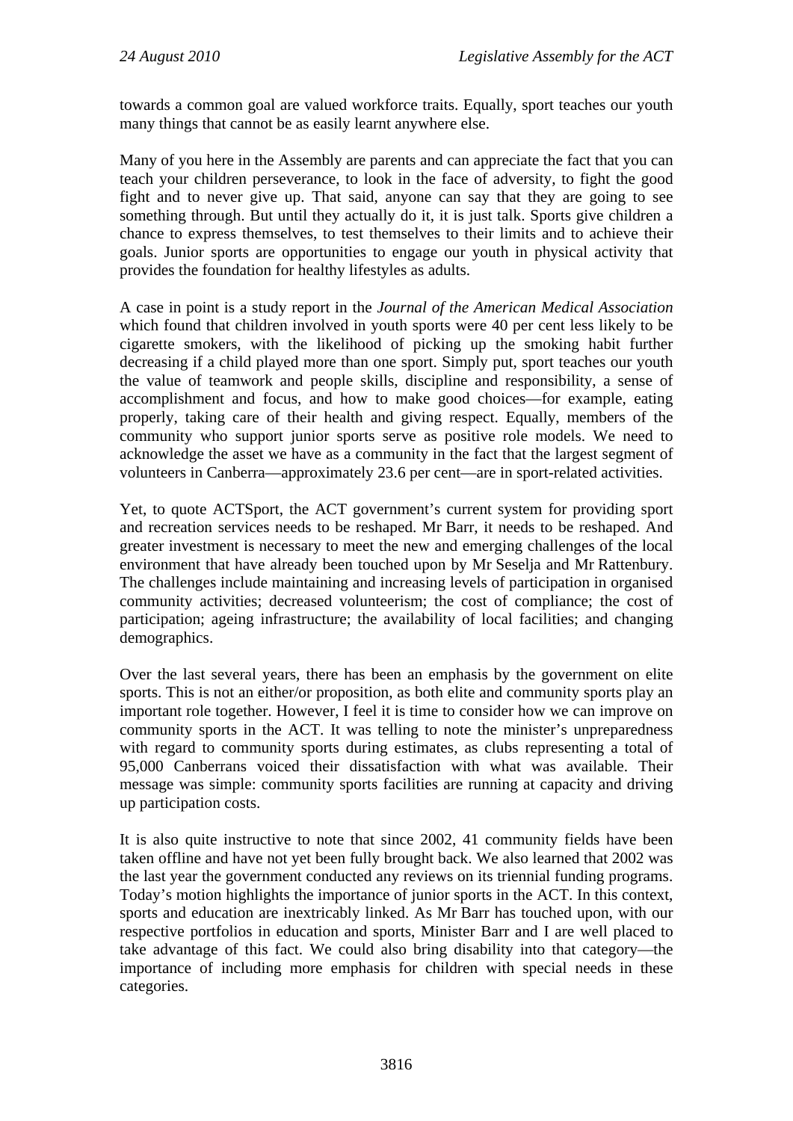towards a common goal are valued workforce traits. Equally, sport teaches our youth many things that cannot be as easily learnt anywhere else.

Many of you here in the Assembly are parents and can appreciate the fact that you can teach your children perseverance, to look in the face of adversity, to fight the good fight and to never give up. That said, anyone can say that they are going to see something through. But until they actually do it, it is just talk. Sports give children a chance to express themselves, to test themselves to their limits and to achieve their goals. Junior sports are opportunities to engage our youth in physical activity that provides the foundation for healthy lifestyles as adults.

A case in point is a study report in the *Journal of the American Medical Association* which found that children involved in youth sports were 40 per cent less likely to be cigarette smokers, with the likelihood of picking up the smoking habit further decreasing if a child played more than one sport. Simply put, sport teaches our youth the value of teamwork and people skills, discipline and responsibility, a sense of accomplishment and focus, and how to make good choices—for example, eating properly, taking care of their health and giving respect. Equally, members of the community who support junior sports serve as positive role models. We need to acknowledge the asset we have as a community in the fact that the largest segment of volunteers in Canberra—approximately 23.6 per cent—are in sport-related activities.

Yet, to quote ACTSport, the ACT government's current system for providing sport and recreation services needs to be reshaped. Mr Barr, it needs to be reshaped. And greater investment is necessary to meet the new and emerging challenges of the local environment that have already been touched upon by Mr Seselja and Mr Rattenbury. The challenges include maintaining and increasing levels of participation in organised community activities; decreased volunteerism; the cost of compliance; the cost of participation; ageing infrastructure; the availability of local facilities; and changing demographics.

Over the last several years, there has been an emphasis by the government on elite sports. This is not an either/or proposition, as both elite and community sports play an important role together. However, I feel it is time to consider how we can improve on community sports in the ACT. It was telling to note the minister's unpreparedness with regard to community sports during estimates, as clubs representing a total of 95,000 Canberrans voiced their dissatisfaction with what was available. Their message was simple: community sports facilities are running at capacity and driving up participation costs.

It is also quite instructive to note that since 2002, 41 community fields have been taken offline and have not yet been fully brought back. We also learned that 2002 was the last year the government conducted any reviews on its triennial funding programs. Today's motion highlights the importance of junior sports in the ACT. In this context, sports and education are inextricably linked. As Mr Barr has touched upon, with our respective portfolios in education and sports, Minister Barr and I are well placed to take advantage of this fact. We could also bring disability into that category—the importance of including more emphasis for children with special needs in these categories.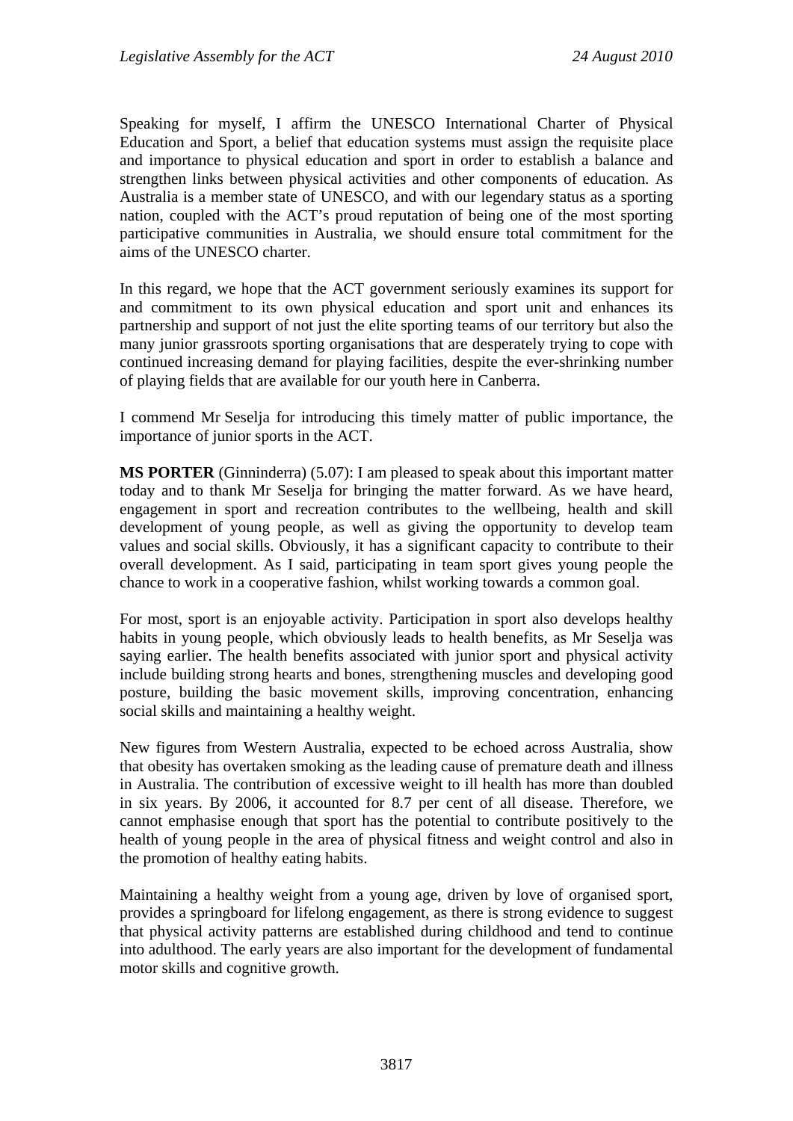Speaking for myself, I affirm the UNESCO International Charter of Physical Education and Sport, a belief that education systems must assign the requisite place and importance to physical education and sport in order to establish a balance and strengthen links between physical activities and other components of education. As Australia is a member state of UNESCO, and with our legendary status as a sporting nation, coupled with the ACT's proud reputation of being one of the most sporting participative communities in Australia, we should ensure total commitment for the aims of the UNESCO charter.

In this regard, we hope that the ACT government seriously examines its support for and commitment to its own physical education and sport unit and enhances its partnership and support of not just the elite sporting teams of our territory but also the many junior grassroots sporting organisations that are desperately trying to cope with continued increasing demand for playing facilities, despite the ever-shrinking number of playing fields that are available for our youth here in Canberra.

I commend Mr Seselja for introducing this timely matter of public importance, the importance of junior sports in the ACT.

**MS PORTER** (Ginninderra) (5.07): I am pleased to speak about this important matter today and to thank Mr Seselja for bringing the matter forward. As we have heard, engagement in sport and recreation contributes to the wellbeing, health and skill development of young people, as well as giving the opportunity to develop team values and social skills. Obviously, it has a significant capacity to contribute to their overall development. As I said, participating in team sport gives young people the chance to work in a cooperative fashion, whilst working towards a common goal.

For most, sport is an enjoyable activity. Participation in sport also develops healthy habits in young people, which obviously leads to health benefits, as Mr Seselja was saying earlier. The health benefits associated with junior sport and physical activity include building strong hearts and bones, strengthening muscles and developing good posture, building the basic movement skills, improving concentration, enhancing social skills and maintaining a healthy weight.

New figures from Western Australia, expected to be echoed across Australia, show that obesity has overtaken smoking as the leading cause of premature death and illness in Australia. The contribution of excessive weight to ill health has more than doubled in six years. By 2006, it accounted for 8.7 per cent of all disease. Therefore, we cannot emphasise enough that sport has the potential to contribute positively to the health of young people in the area of physical fitness and weight control and also in the promotion of healthy eating habits.

Maintaining a healthy weight from a young age, driven by love of organised sport, provides a springboard for lifelong engagement, as there is strong evidence to suggest that physical activity patterns are established during childhood and tend to continue into adulthood. The early years are also important for the development of fundamental motor skills and cognitive growth.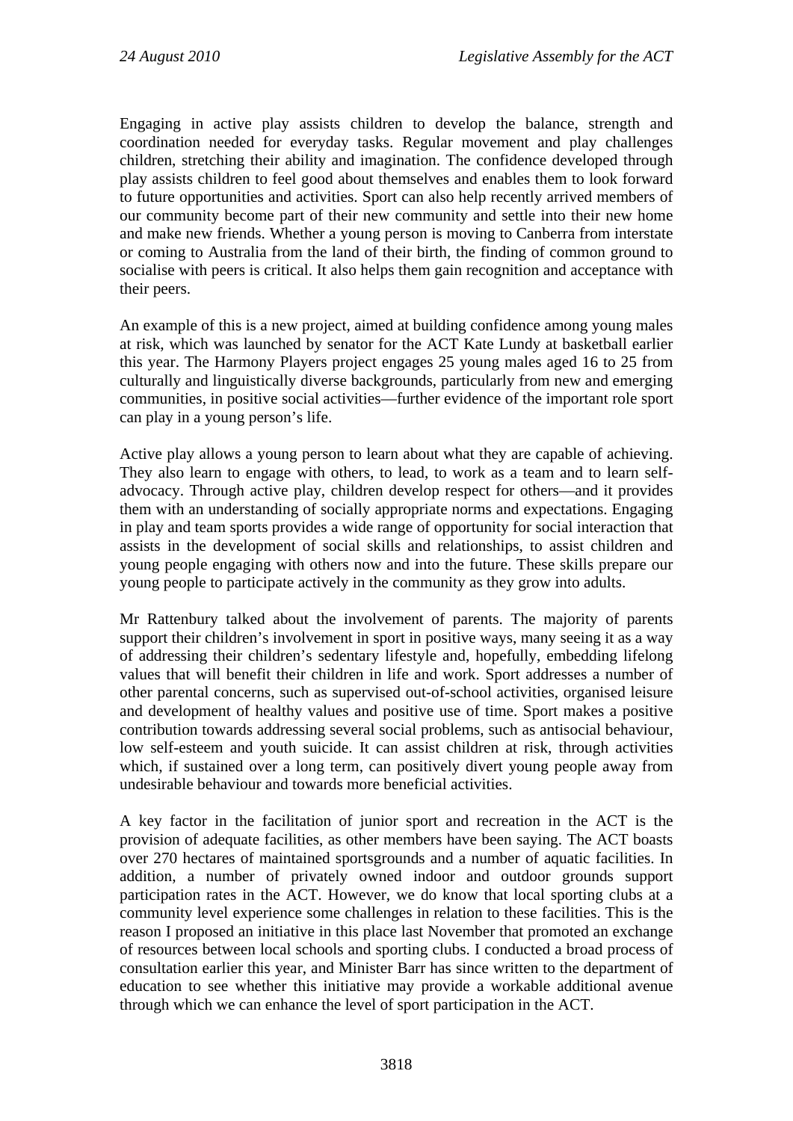Engaging in active play assists children to develop the balance, strength and coordination needed for everyday tasks. Regular movement and play challenges children, stretching their ability and imagination. The confidence developed through play assists children to feel good about themselves and enables them to look forward to future opportunities and activities. Sport can also help recently arrived members of our community become part of their new community and settle into their new home and make new friends. Whether a young person is moving to Canberra from interstate or coming to Australia from the land of their birth, the finding of common ground to socialise with peers is critical. It also helps them gain recognition and acceptance with their peers.

An example of this is a new project, aimed at building confidence among young males at risk, which was launched by senator for the ACT Kate Lundy at basketball earlier this year. The Harmony Players project engages 25 young males aged 16 to 25 from culturally and linguistically diverse backgrounds, particularly from new and emerging communities, in positive social activities—further evidence of the important role sport can play in a young person's life.

Active play allows a young person to learn about what they are capable of achieving. They also learn to engage with others, to lead, to work as a team and to learn selfadvocacy. Through active play, children develop respect for others—and it provides them with an understanding of socially appropriate norms and expectations. Engaging in play and team sports provides a wide range of opportunity for social interaction that assists in the development of social skills and relationships, to assist children and young people engaging with others now and into the future. These skills prepare our young people to participate actively in the community as they grow into adults.

Mr Rattenbury talked about the involvement of parents. The majority of parents support their children's involvement in sport in positive ways, many seeing it as a way of addressing their children's sedentary lifestyle and, hopefully, embedding lifelong values that will benefit their children in life and work. Sport addresses a number of other parental concerns, such as supervised out-of-school activities, organised leisure and development of healthy values and positive use of time. Sport makes a positive contribution towards addressing several social problems, such as antisocial behaviour, low self-esteem and youth suicide. It can assist children at risk, through activities which, if sustained over a long term, can positively divert young people away from undesirable behaviour and towards more beneficial activities.

A key factor in the facilitation of junior sport and recreation in the ACT is the provision of adequate facilities, as other members have been saying. The ACT boasts over 270 hectares of maintained sportsgrounds and a number of aquatic facilities. In addition, a number of privately owned indoor and outdoor grounds support participation rates in the ACT. However, we do know that local sporting clubs at a community level experience some challenges in relation to these facilities. This is the reason I proposed an initiative in this place last November that promoted an exchange of resources between local schools and sporting clubs. I conducted a broad process of consultation earlier this year, and Minister Barr has since written to the department of education to see whether this initiative may provide a workable additional avenue through which we can enhance the level of sport participation in the ACT.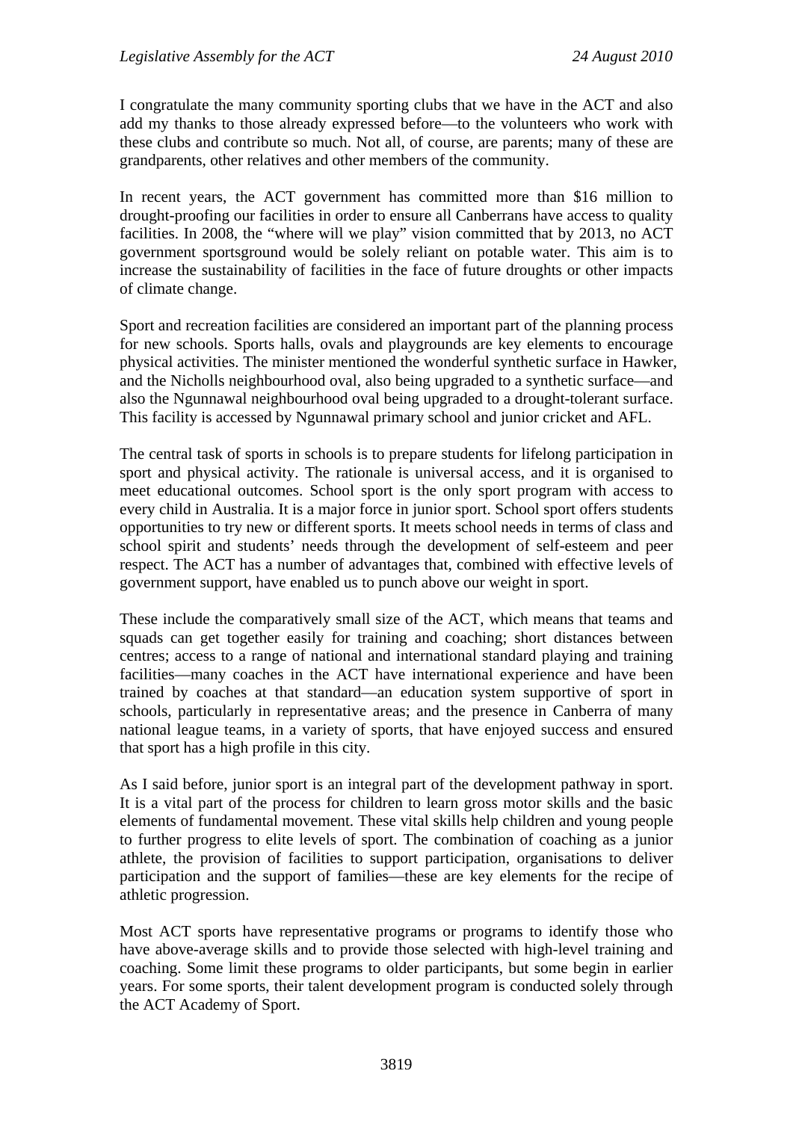I congratulate the many community sporting clubs that we have in the ACT and also add my thanks to those already expressed before—to the volunteers who work with these clubs and contribute so much. Not all, of course, are parents; many of these are grandparents, other relatives and other members of the community.

In recent years, the ACT government has committed more than \$16 million to drought-proofing our facilities in order to ensure all Canberrans have access to quality facilities. In 2008, the "where will we play" vision committed that by 2013, no ACT government sportsground would be solely reliant on potable water. This aim is to increase the sustainability of facilities in the face of future droughts or other impacts of climate change.

Sport and recreation facilities are considered an important part of the planning process for new schools. Sports halls, ovals and playgrounds are key elements to encourage physical activities. The minister mentioned the wonderful synthetic surface in Hawker, and the Nicholls neighbourhood oval, also being upgraded to a synthetic surface—and also the Ngunnawal neighbourhood oval being upgraded to a drought-tolerant surface. This facility is accessed by Ngunnawal primary school and junior cricket and AFL.

The central task of sports in schools is to prepare students for lifelong participation in sport and physical activity. The rationale is universal access, and it is organised to meet educational outcomes. School sport is the only sport program with access to every child in Australia. It is a major force in junior sport. School sport offers students opportunities to try new or different sports. It meets school needs in terms of class and school spirit and students' needs through the development of self-esteem and peer respect. The ACT has a number of advantages that, combined with effective levels of government support, have enabled us to punch above our weight in sport.

These include the comparatively small size of the ACT, which means that teams and squads can get together easily for training and coaching; short distances between centres; access to a range of national and international standard playing and training facilities—many coaches in the ACT have international experience and have been trained by coaches at that standard—an education system supportive of sport in schools, particularly in representative areas; and the presence in Canberra of many national league teams, in a variety of sports, that have enjoyed success and ensured that sport has a high profile in this city.

As I said before, junior sport is an integral part of the development pathway in sport. It is a vital part of the process for children to learn gross motor skills and the basic elements of fundamental movement. These vital skills help children and young people to further progress to elite levels of sport. The combination of coaching as a junior athlete, the provision of facilities to support participation, organisations to deliver participation and the support of families—these are key elements for the recipe of athletic progression.

Most ACT sports have representative programs or programs to identify those who have above-average skills and to provide those selected with high-level training and coaching. Some limit these programs to older participants, but some begin in earlier years. For some sports, their talent development program is conducted solely through the ACT Academy of Sport.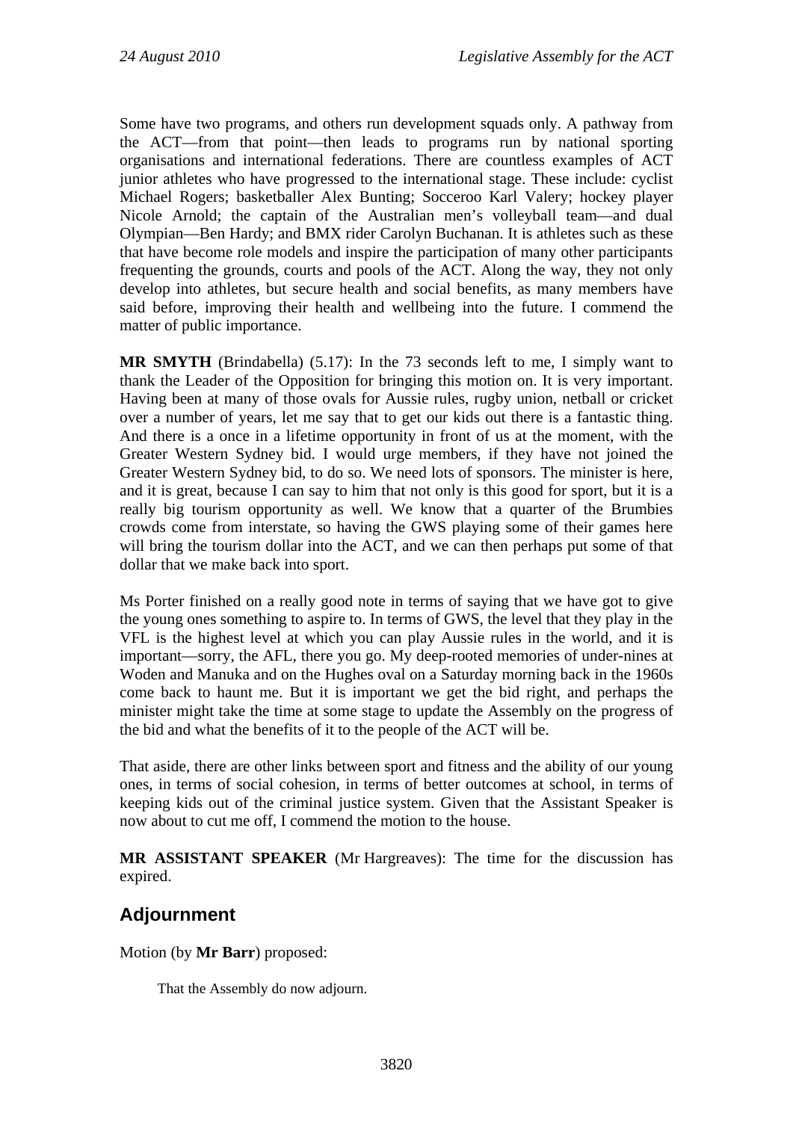Some have two programs, and others run development squads only. A pathway from the ACT—from that point—then leads to programs run by national sporting organisations and international federations. There are countless examples of ACT junior athletes who have progressed to the international stage. These include: cyclist Michael Rogers; basketballer Alex Bunting; Socceroo Karl Valery; hockey player Nicole Arnold; the captain of the Australian men's volleyball team—and dual Olympian—Ben Hardy; and BMX rider Carolyn Buchanan. It is athletes such as these that have become role models and inspire the participation of many other participants frequenting the grounds, courts and pools of the ACT. Along the way, they not only develop into athletes, but secure health and social benefits, as many members have said before, improving their health and wellbeing into the future. I commend the matter of public importance.

**MR SMYTH** (Brindabella) (5.17): In the 73 seconds left to me, I simply want to thank the Leader of the Opposition for bringing this motion on. It is very important. Having been at many of those ovals for Aussie rules, rugby union, netball or cricket over a number of years, let me say that to get our kids out there is a fantastic thing. And there is a once in a lifetime opportunity in front of us at the moment, with the Greater Western Sydney bid. I would urge members, if they have not joined the Greater Western Sydney bid, to do so. We need lots of sponsors. The minister is here, and it is great, because I can say to him that not only is this good for sport, but it is a really big tourism opportunity as well. We know that a quarter of the Brumbies crowds come from interstate, so having the GWS playing some of their games here will bring the tourism dollar into the ACT, and we can then perhaps put some of that dollar that we make back into sport.

Ms Porter finished on a really good note in terms of saying that we have got to give the young ones something to aspire to. In terms of GWS, the level that they play in the VFL is the highest level at which you can play Aussie rules in the world, and it is important—sorry, the AFL, there you go. My deep-rooted memories of under-nines at Woden and Manuka and on the Hughes oval on a Saturday morning back in the 1960s come back to haunt me. But it is important we get the bid right, and perhaps the minister might take the time at some stage to update the Assembly on the progress of the bid and what the benefits of it to the people of the ACT will be.

That aside, there are other links between sport and fitness and the ability of our young ones, in terms of social cohesion, in terms of better outcomes at school, in terms of keeping kids out of the criminal justice system. Given that the Assistant Speaker is now about to cut me off, I commend the motion to the house.

**MR ASSISTANT SPEAKER** (Mr Hargreaves): The time for the discussion has expired.

# **Adjournment**

Motion (by **Mr Barr**) proposed:

That the Assembly do now adjourn.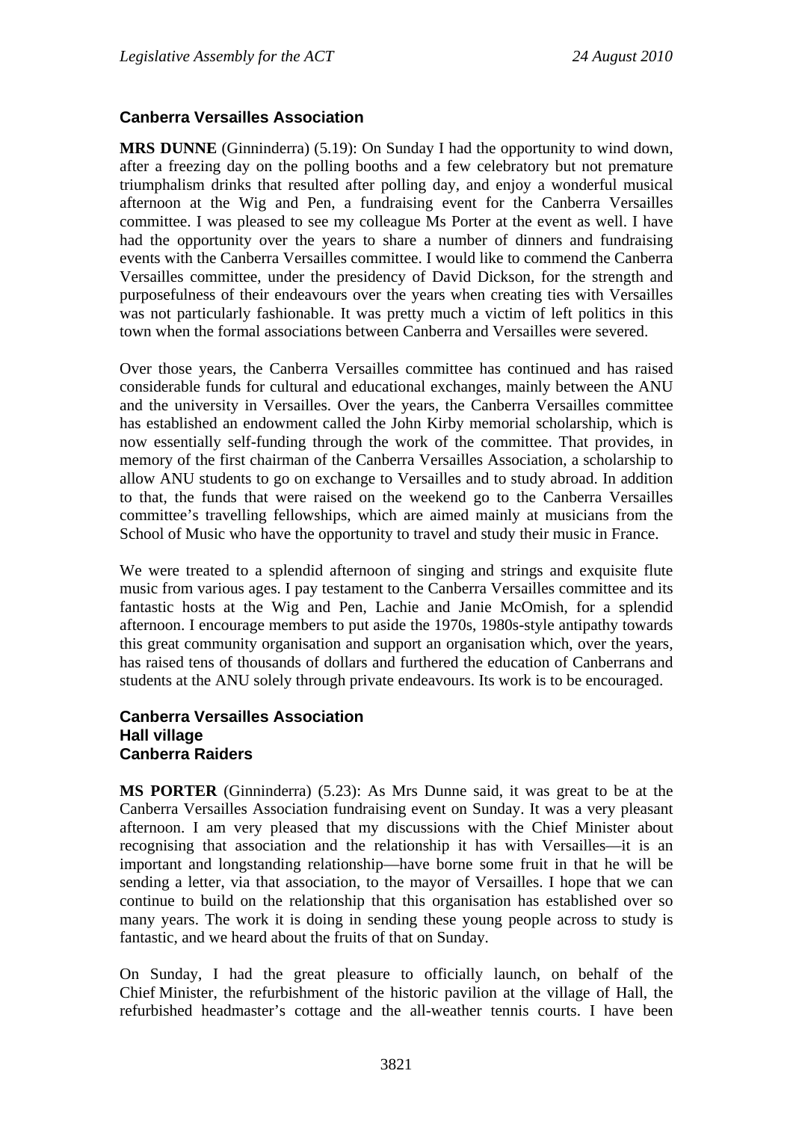## **Canberra Versailles Association**

**MRS DUNNE** (Ginninderra) (5.19): On Sunday I had the opportunity to wind down, after a freezing day on the polling booths and a few celebratory but not premature triumphalism drinks that resulted after polling day, and enjoy a wonderful musical afternoon at the Wig and Pen, a fundraising event for the Canberra Versailles committee. I was pleased to see my colleague Ms Porter at the event as well. I have had the opportunity over the years to share a number of dinners and fundraising events with the Canberra Versailles committee. I would like to commend the Canberra Versailles committee, under the presidency of David Dickson, for the strength and purposefulness of their endeavours over the years when creating ties with Versailles was not particularly fashionable. It was pretty much a victim of left politics in this town when the formal associations between Canberra and Versailles were severed.

Over those years, the Canberra Versailles committee has continued and has raised considerable funds for cultural and educational exchanges, mainly between the ANU and the university in Versailles. Over the years, the Canberra Versailles committee has established an endowment called the John Kirby memorial scholarship, which is now essentially self-funding through the work of the committee. That provides, in memory of the first chairman of the Canberra Versailles Association, a scholarship to allow ANU students to go on exchange to Versailles and to study abroad. In addition to that, the funds that were raised on the weekend go to the Canberra Versailles committee's travelling fellowships, which are aimed mainly at musicians from the School of Music who have the opportunity to travel and study their music in France.

We were treated to a splendid afternoon of singing and strings and exquisite flute music from various ages. I pay testament to the Canberra Versailles committee and its fantastic hosts at the Wig and Pen, Lachie and Janie McOmish, for a splendid afternoon. I encourage members to put aside the 1970s, 1980s-style antipathy towards this great community organisation and support an organisation which, over the years, has raised tens of thousands of dollars and furthered the education of Canberrans and students at the ANU solely through private endeavours. Its work is to be encouraged.

#### **Canberra Versailles Association Hall village Canberra Raiders**

**MS PORTER** (Ginninderra) (5.23): As Mrs Dunne said, it was great to be at the Canberra Versailles Association fundraising event on Sunday. It was a very pleasant afternoon. I am very pleased that my discussions with the Chief Minister about recognising that association and the relationship it has with Versailles—it is an important and longstanding relationship—have borne some fruit in that he will be sending a letter, via that association, to the mayor of Versailles. I hope that we can continue to build on the relationship that this organisation has established over so many years. The work it is doing in sending these young people across to study is fantastic, and we heard about the fruits of that on Sunday.

On Sunday, I had the great pleasure to officially launch, on behalf of the Chief Minister, the refurbishment of the historic pavilion at the village of Hall, the refurbished headmaster's cottage and the all-weather tennis courts. I have been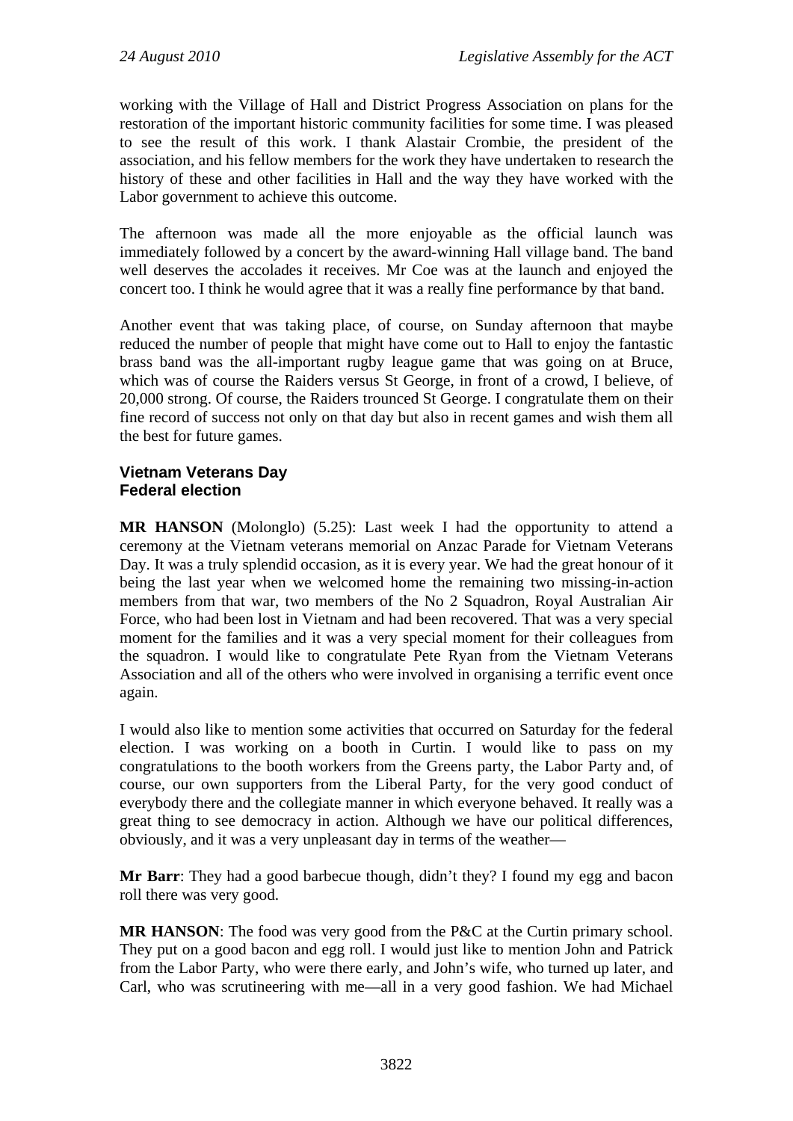working with the Village of Hall and District Progress Association on plans for the restoration of the important historic community facilities for some time. I was pleased to see the result of this work. I thank Alastair Crombie, the president of the association, and his fellow members for the work they have undertaken to research the history of these and other facilities in Hall and the way they have worked with the Labor government to achieve this outcome.

The afternoon was made all the more enjoyable as the official launch was immediately followed by a concert by the award-winning Hall village band. The band well deserves the accolades it receives. Mr Coe was at the launch and enjoyed the concert too. I think he would agree that it was a really fine performance by that band.

Another event that was taking place, of course, on Sunday afternoon that maybe reduced the number of people that might have come out to Hall to enjoy the fantastic brass band was the all-important rugby league game that was going on at Bruce, which was of course the Raiders versus St George, in front of a crowd, I believe, of 20,000 strong. Of course, the Raiders trounced St George. I congratulate them on their fine record of success not only on that day but also in recent games and wish them all the best for future games.

## **Vietnam Veterans Day Federal election**

**MR HANSON** (Molonglo) (5.25): Last week I had the opportunity to attend a ceremony at the Vietnam veterans memorial on Anzac Parade for Vietnam Veterans Day. It was a truly splendid occasion, as it is every year. We had the great honour of it being the last year when we welcomed home the remaining two missing-in-action members from that war, two members of the No 2 Squadron, Royal Australian Air Force, who had been lost in Vietnam and had been recovered. That was a very special moment for the families and it was a very special moment for their colleagues from the squadron. I would like to congratulate Pete Ryan from the Vietnam Veterans Association and all of the others who were involved in organising a terrific event once again.

I would also like to mention some activities that occurred on Saturday for the federal election. I was working on a booth in Curtin. I would like to pass on my congratulations to the booth workers from the Greens party, the Labor Party and, of course, our own supporters from the Liberal Party, for the very good conduct of everybody there and the collegiate manner in which everyone behaved. It really was a great thing to see democracy in action. Although we have our political differences, obviously, and it was a very unpleasant day in terms of the weather—

**Mr Barr**: They had a good barbecue though, didn't they? I found my egg and bacon roll there was very good.

**MR HANSON:** The food was very good from the P&C at the Curtin primary school. They put on a good bacon and egg roll. I would just like to mention John and Patrick from the Labor Party, who were there early, and John's wife, who turned up later, and Carl, who was scrutineering with me—all in a very good fashion. We had Michael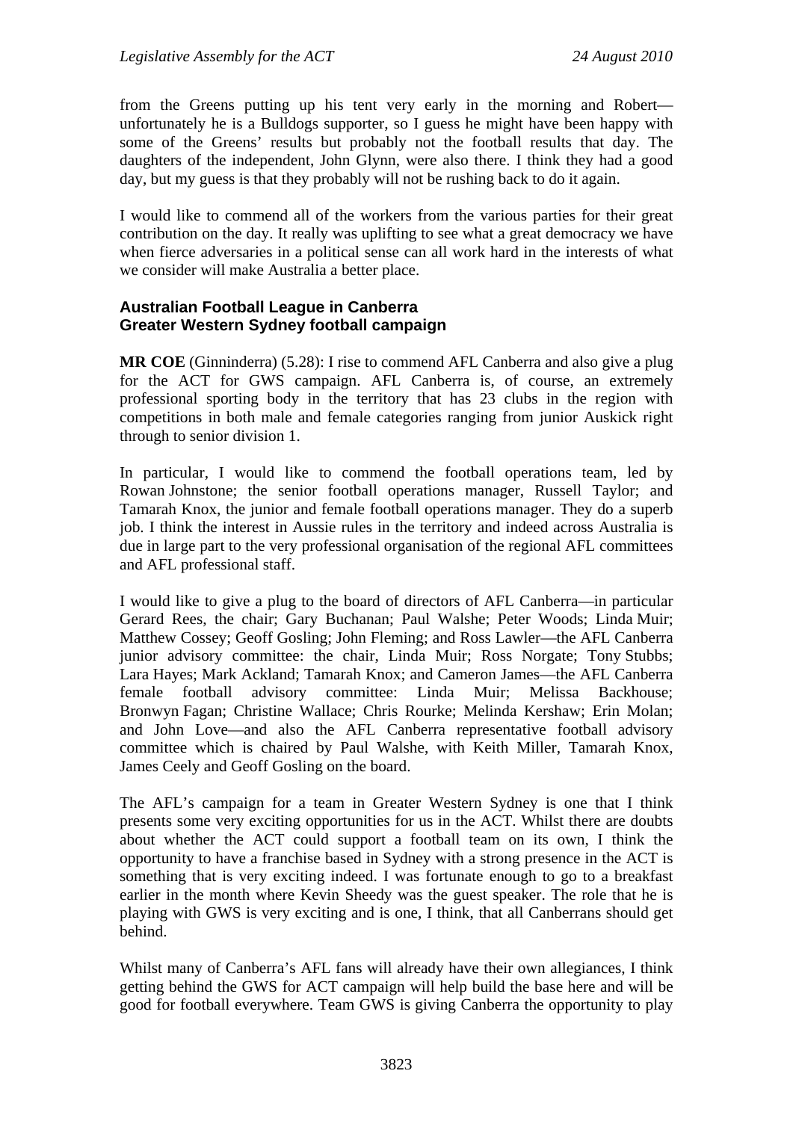from the Greens putting up his tent very early in the morning and Robert unfortunately he is a Bulldogs supporter, so I guess he might have been happy with some of the Greens' results but probably not the football results that day. The daughters of the independent, John Glynn, were also there. I think they had a good day, but my guess is that they probably will not be rushing back to do it again.

I would like to commend all of the workers from the various parties for their great contribution on the day. It really was uplifting to see what a great democracy we have when fierce adversaries in a political sense can all work hard in the interests of what we consider will make Australia a better place.

## **Australian Football League in Canberra Greater Western Sydney football campaign**

**MR COE** (Ginninderra) (5.28): I rise to commend AFL Canberra and also give a plug for the ACT for GWS campaign. AFL Canberra is, of course, an extremely professional sporting body in the territory that has 23 clubs in the region with competitions in both male and female categories ranging from junior Auskick right through to senior division 1.

In particular, I would like to commend the football operations team, led by Rowan Johnstone; the senior football operations manager, Russell Taylor; and Tamarah Knox, the junior and female football operations manager. They do a superb job. I think the interest in Aussie rules in the territory and indeed across Australia is due in large part to the very professional organisation of the regional AFL committees and AFL professional staff.

I would like to give a plug to the board of directors of AFL Canberra—in particular Gerard Rees, the chair; Gary Buchanan; Paul Walshe; Peter Woods; Linda Muir; Matthew Cossey; Geoff Gosling; John Fleming; and Ross Lawler—the AFL Canberra junior advisory committee: the chair, Linda Muir; Ross Norgate; Tony Stubbs; Lara Hayes; Mark Ackland; Tamarah Knox; and Cameron James—the AFL Canberra female football advisory committee: Linda Muir; Melissa Backhouse; Bronwyn Fagan; Christine Wallace; Chris Rourke; Melinda Kershaw; Erin Molan; and John Love—and also the AFL Canberra representative football advisory committee which is chaired by Paul Walshe, with Keith Miller, Tamarah Knox, James Ceely and Geoff Gosling on the board.

The AFL's campaign for a team in Greater Western Sydney is one that I think presents some very exciting opportunities for us in the ACT. Whilst there are doubts about whether the ACT could support a football team on its own, I think the opportunity to have a franchise based in Sydney with a strong presence in the ACT is something that is very exciting indeed. I was fortunate enough to go to a breakfast earlier in the month where Kevin Sheedy was the guest speaker. The role that he is playing with GWS is very exciting and is one, I think, that all Canberrans should get behind.

Whilst many of Canberra's AFL fans will already have their own allegiances, I think getting behind the GWS for ACT campaign will help build the base here and will be good for football everywhere. Team GWS is giving Canberra the opportunity to play